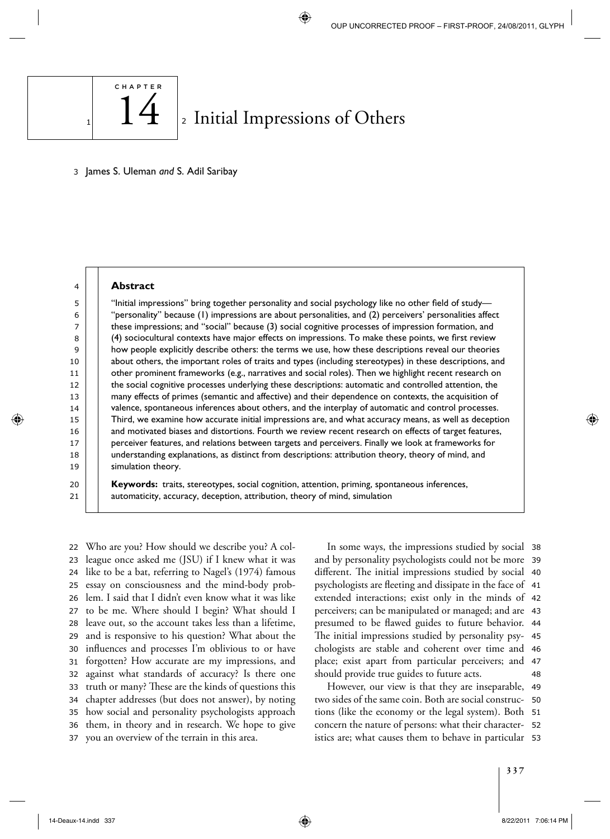# CHAPTER  $14\,$   $\,$   $\,$  Initial Impressions of Others

3 James S. Uleman *and* S. Adil Saribay

## **Abstract**

"Initial impressions" bring together personality and social psychology like no other field of study- "personality" because (1) impressions are about personalities, and (2) perceivers' personalities affect these impressions; and "social" because (3) social cognitive processes of impression formation, and (4) sociocultural contexts have major effects on impressions. To make these points, we first review how people explicitly describe others: the terms we use, how these descriptions reveal our theories about others, the important roles of traits and types (including stereotypes) in these descriptions, and other prominent frameworks (e.g., narratives and social roles). Then we highlight recent research on the social cognitive processes underlying these descriptions: automatic and controlled attention, the many effects of primes (semantic and affective) and their dependence on contexts, the acquisition of valence, spontaneous inferences about others, and the interplay of automatic and control processes. Third, we examine how accurate initial impressions are, and what accuracy means, as well as deception and motivated biases and distortions. Fourth we review recent research on effects of target features, perceiver features, and relations between targets and perceivers. Finally we look at frameworks for understanding explanations, as distinct from descriptions: attribution theory, theory of mind, and simulation theory.

⊕

Keywords: traits, stereotypes, social cognition, attention, priming, spontaneous inferences, automaticity, accuracy, deception, attribution, theory of mind, simulation

37 36 35 34 33 32 31 30 29 28 27 26 25 24 23 22 Who are you? How should we describe you? A colleague once asked me (JSU) if I knew what it was like to be a bat, referring to Nagel's (1974) famous essay on consciousness and the mind-body problem. I said that I didn't even know what it was like to be me. Where should I begin? What should I leave out, so the account takes less than a lifetime, and is responsive to his question? What about the influences and processes I'm oblivious to or have forgotten? How accurate are my impressions, and against what standards of accuracy? Is there one truth or many? These are the kinds of questions this chapter addresses (but does not answer), by noting how social and personality psychologists approach them, in theory and in research. We hope to give you an overview of the terrain in this area.

48 47 place; exist apart from particular perceivers; and 46 chologists are stable and coherent over time and 45 44 43 perceivers; can be manipulated or managed; and are extended interactions; exist only in the minds of 42 psychologists are fleeting and dissipate in the face of 41 different. The initial impressions studied by social 40 and by personality psychologists could not be more 39 38 In some ways, the impressions studied by social presumed to be flawed guides to future behavior. The initial impressions studied by personality psyshould provide true guides to future acts.

53 istics are; what causes them to behave in particular 52 tions (like the economy or the legal system). Both 51 50 49 However, our view is that they are inseparable, two sides of the same coin. Both are social construcconcern the nature of persons: what their character-

14-Deaux-14.indd 337 8/22/2011 7:06:14 PM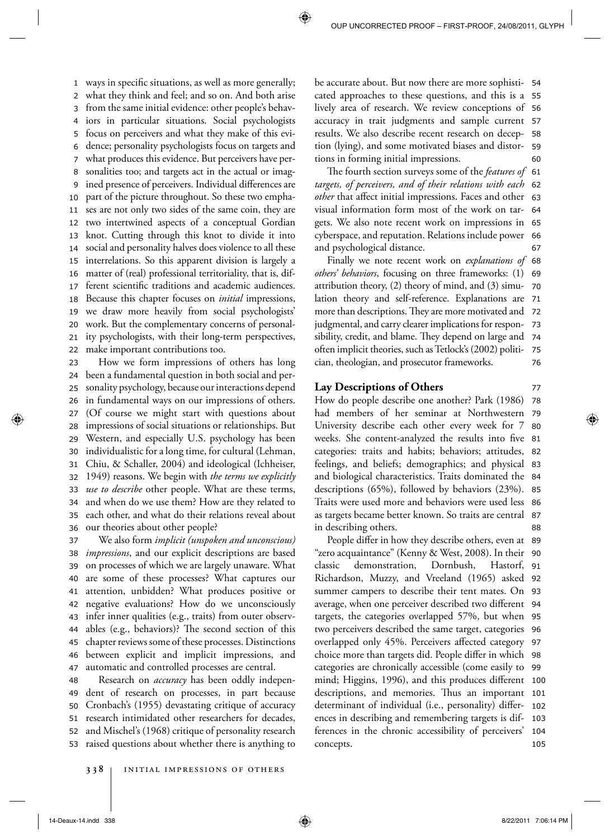

22 21 20 19 18 17 16 15 14 13 12 11 10 9 8 7 6 5 4 3 2 1 ways in specific situations, as well as more generally; what they think and feel; and so on. And both arise from the same initial evidence: other people's behaviors in particular situations. Social psychologists focus on perceivers and what they make of this evidence; personality psychologists focus on targets and what produces this evidence. But perceivers have personalities too; and targets act in the actual or imagined presence of perceivers. Individual differences are part of the picture throughout. So these two emphases are not only two sides of the same coin, they are two intertwined aspects of a conceptual Gordian knot. Cutting through this knot to divide it into social and personality halves does violence to all these interrelations. So this apparent division is largely a matter of (real) professional territoriality, that is, different scientific traditions and academic audiences. Because this chapter focuses on *initial* impressions, we draw more heavily from social psychologists' work. But the complementary concerns of personality psychologists, with their long-term perspectives, make important contributions too.

36 35 34 33 32 31 30 29 28 27 26 25 24 23 How we form impressions of others has long been a fundamental question in both social and personality psychology, because our interactions depend in fundamental ways on our impressions of others. (Of course we might start with questions about impressions of social situations or relationships. But Western, and especially U.S. psychology has been individualistic for a long time, for cultural (Lehman, Chiu, & Schaller, 2004) and ideological (Ichheiser, 1949 ) reasons. We begin with *the terms we explicitly use to describe* other people. What are these terms, and when do we use them? How are they related to each other, and what do their relations reveal about our theories about other people?

47 46 45 44 43 42 41 40 39 38 37 We also form *implicit (unspoken and unconscious) impressions* , and our explicit descriptions are based on processes of which we are largely unaware. What are some of these processes? What captures our attention, unbidden? What produces positive or negative evaluations? How do we unconsciously infer inner qualities (e.g., traits) from outer observables (e.g., behaviors)? The second section of this chapter reviews some of these processes. Distinctions between explicit and implicit impressions, and automatic and controlled processes are central.

53 52 51 50 49 48 Research on *accuracy* has been oddly independent of research on processes, in part because Cronbach's (1955) devastating critique of accuracy research intimidated other researchers for decades, and Mischel's (1968) critique of personality research raised questions about whether there is anything to

**338** initial impressions of others

60 59 58 57 accuracy in trait judgments and sample current lively area of research. We review conceptions of 56 55 cated approaches to these questions, and this is a 54 be accurate about. But now there are more sophistiresults. We also describe recent research on deception (lying), and some motivated biases and distortions in forming initial impressions.

67 66 65 64 other that affect initial impressions. Faces and other 63 62 The fourth section surveys some of the *features of* 61 *targets, of perceivers, and of their relations with each*  visual information form most of the work on targets. We also note recent work on impressions in cyberspace, and reputation. Relations include power and psychological distance.

76 75 sibility, credit, and blame. They depend on large and  $\,$  74  $\,$ 73 more than descriptions. They are more motivated and 72 lation theory and self-reference. Explanations are 71 70 attribution theory, (2) theory of mind, and (3) simu-69 Finally we note recent work on *explanations of* 68 *others' behaviors* , focusing on three frameworks: (1) judgmental, and carry clearer implications for responoften implicit theories, such as Tetlock's (2002) politician, theologian, and prosecutor frameworks.

## **Lay Descriptions of Others**

88 87 86 85 84 and biological characteristics. Traits dominated the 83 feelings, and beliefs; demographics; and physical 82 weeks. She content-analyzed the results into five 81 80 79 78 How do people describe one another? Park (1986) had members of her seminar at Northwestern University describe each other every week for 7 categories: traits and habits; behaviors; attitudes, descriptions  $(65\%)$ , followed by behaviors  $(23\%)$ . Traits were used more and behaviors were used less as targets became better known. So traits are central in describing others.

105 ferences in the chronic accessibility of perceivers' 104 103 determinant of individual (i.e., personality) differ- 102 descriptions, and memories. Thus an important 101 mind; Higgins, 1996), and this produces different 100 99 98 97 96 targets, the categories overlapped 57%, but when 95 average, when one perceiver described two different 94 summer campers to describe their tent mates. On 93 92 Richardson, Muzzy, and Vreeland (1965) asked 91 90 People differ in how they describe others, even at 89 "zero acquaintance" ( Kenny & West, 2008 ). In their classic demonstration, Dornbush, Hastorf, two perceivers described the same target, categories overlapped only 45%. Perceivers affected category choice more than targets did. People differ in which categories are chronically accessible (come easily to ences in describing and remembering targets is difconcepts.

77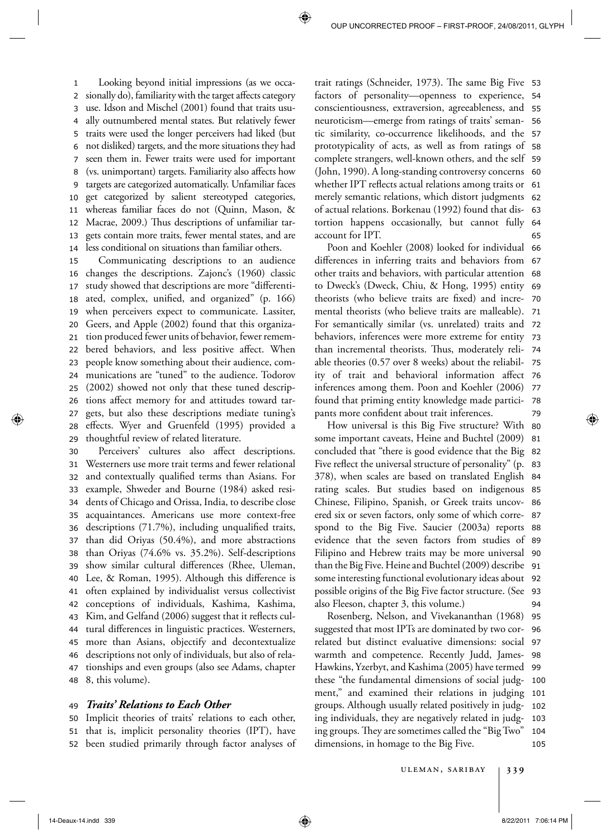14 13 12 11 10 9 8 7 6 5 4 3 2 1 Looking beyond initial impressions (as we occasionally do), familiarity with the target affects category use. Idson and Mischel (2001) found that traits usually outnumbered mental states. But relatively fewer traits were used the longer perceivers had liked (but not disliked) targets, and the more situations they had seen them in. Fewer traits were used for important (vs. unimportant) targets. Familiarity also affects how targets are categorized automatically. Unfamiliar faces get categorized by salient stereotyped categories, whereas familiar faces do not (Quinn, Mason, & Macrae, 2009.) Thus descriptions of unfamiliar targets contain more traits, fewer mental states, and are less conditional on situations than familiar others.

29 28 27 26 25 24 23 22 21 20 19 18 17 16 15 Communicating descriptions to an audience changes the descriptions. Zajonc's (1960) classic study showed that descriptions are more "differentiated, complex, unified, and organized" (p. 166) when perceivers expect to communicate. Lassiter, Geers, and Apple (2002) found that this organization produced fewer units of behavior, fewer remembered behaviors, and less positive affect. When people know something about their audience, communications are "tuned" to the audience. Todorov (2002) showed not only that these tuned descriptions affect memory for and attitudes toward targets, but also these descriptions mediate tuning's effects. Wyer and Gruenfeld (1995) provided a thoughtful review of related literature.

48 47 46 45 44 43 42 41 40 39 38 37 36 35 34 33 32 31 30 Perceivers' cultures also affect descriptions. Westerners use more trait terms and fewer relational and contextually qualified terms than Asians. For example, Shweder and Bourne (1984) asked residents of Chicago and Orissa, India, to describe close acquaintances. Americans use more context-free descriptions  $(71.7%)$ , including unqualified traits, than did Oriyas  $(50.4\%)$ , and more abstractions than Oriyas  $(74.6\%$  vs. 35.2%). Self-descriptions show similar cultural differences (Rhee, Uleman, Lee,  $& Roman, 1995$ . Although this difference is often explained by individualist versus collectivist conceptions of individuals, Kashima, Kashima, Kim, and Gelfand (2006) suggest that it reflects cultural differences in linguistic practices. Westerners, more than Asians, objectify and decontextualize descriptions not only of individuals, but also of relationships and even groups (also see Adams, chapter 8, this volume).

#### 49  *Traits' Relations to Each Other*

52 51 50 Implicit theories of traits' relations to each other, that is, implicit personality theories (IPT), have been studied primarily through factor analyses of

65 64 63 62 merely semantic relations, which distort judgments whether IPT reflects actual relations among traits or 61 (John, 1990). A long-standing controversy concerns 60 59 complete strangers, well-known others, and the self 58 prototypicality of acts, as well as from ratings of 57 56 55 conscientiousness, extraversion, agreeableness, and 54 trait ratings (Schneider, 1973). The same Big Five 53 factors of personality—openness to experience, neuroticism — emerge from ratings of traits' semantic similarity, co-occurrence likelihoods, and the of actual relations. Borkenau (1992) found that distortion happens occasionally, but cannot fully account for IPT.

79 78 77 76 75 74 73 behaviors, inferences were more extreme for entity 72 For semantically similar (vs. unrelated) traits and 71 70 69 68 differences in inferring traits and behaviors from 67 Poon and Koehler (2008) looked for individual 66 other traits and behaviors, with particular attention to Dweck's (Dweck, Chiu, & Hong, 1995) entity theorists (who believe traits are fixed) and incremental theorists (who believe traits are malleable). than incremental theorists. Thus, moderately reliable theories (0.57 over 8 weeks) about the reliability of trait and behavioral information affect inferences among them. Poon and Koehler (2006) found that priming entity knowledge made participants more confident about trait inferences.

94 possible origins of the Big Five factor structure. (See 93 92 some interesting functional evolutionary ideas about 91 than the Big Five. Heine and Buchtel (2009) describe 90 Filipino and Hebrew traits may be more universal 89 evidence that the seven factors from studies of 88 spond to the Big Five. Saucier (2003a) reports 87 86 85 rating scales. But studies based on indigenous 84 83 82 81 80 How universal is this Big Five structure? With some important caveats, Heine and Buchtel (2009) concluded that "there is good evidence that the Big Five reflect the universal structure of personality" (p. 378), when scales are based on translated English Chinese, Filipino, Spanish, or Greek traits uncovered six or seven factors, only some of which correalso Fleeson, chapter 3, this volume.)

105 104 103 groups. Although usually related positively in judg-  $\,$  102  $\,$ 101 ment," and examined their relations in judging these "the fundamental dimensions of social judg- 100 99 98 97 96 95 Rosenberg, Nelson, and Vivekananthan (1968) suggested that most IPTs are dominated by two correlated but distinct evaluative dimensions: social warmth and competence. Recently Judd, James-Hawkins, Yzerbyt, and Kashima (2005) have termed ing individuals, they are negatively related in judging groups. They are sometimes called the "Big Two" dimensions, in homage to the Big Five.

ULEMAN, SARIBAY | 339

⊕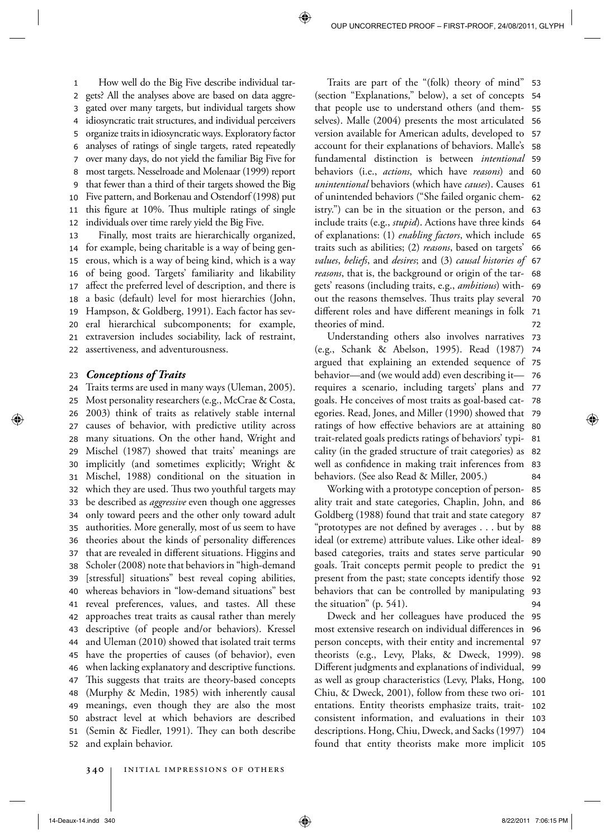12 11 10 9 8 7 6 5 4 3 2 1 How well do the Big Five describe individual targets? All the analyses above are based on data aggregated over many targets, but individual targets show idiosyncratic trait structures, and individual perceivers organize traits in idiosyncratic ways. Exploratory factor analyses of ratings of single targets, rated repeatedly over many days, do not yield the familiar Big Five for most targets. Nesselroade and Molenaar (1999) report that fewer than a third of their targets showed the Big Five pattern, and Borkenau and Ostendorf (1998) put this figure at 10%. Thus multiple ratings of single individuals over time rarely yield the Big Five.

22 21 20 19 18 17 16 15 14 13 Finally, most traits are hierarchically organized, for example, being charitable is a way of being generous, which is a way of being kind, which is a way of being good. Targets' familiarity and likability affect the preferred level of description, and there is a basic (default) level for most hierarchies ( John, Hampson, & Goldberg, 1991). Each factor has several hierarchical subcomponents; for example, extraversion includes sociability, lack of restraint, assertiveness, and adventurousness.

#### 23  *Conceptions of Traits*

52 51 50 49 48 47 46 45 44 43 42 41 40 39 38 37 36 35 34 33 32 31 30 29 28 27 26 25 24 Traits terms are used in many ways (Uleman, 2005). Most personality researchers (e.g., McCrae & Costa, 2003) think of traits as relatively stable internal causes of behavior, with predictive utility across many situations. On the other hand, Wright and Mischel (1987) showed that traits' meanings are implicitly (and sometimes explicitly; Wright & Mischel, 1988) conditional on the situation in which they are used. Thus two youthful targets may be described as *aggressive* even though one aggresses only toward peers and the other only toward adult authorities. More generally, most of us seem to have theories about the kinds of personality differences that are revealed in different situations. Higgins and Scholer (2008) note that behaviors in "high-demand [stressful] situations" best reveal coping abilities, whereas behaviors in "low-demand situations" best reveal preferences, values, and tastes. All these approaches treat traits as causal rather than merely descriptive (of people and/or behaviors). Kressel and Uleman (2010) showed that isolated trait terms have the properties of causes (of behavior), even when lacking explanatory and descriptive functions. This suggests that traits are theory-based concepts (Murphy & Medin, 1985) with inherently causal meanings, even though they are also the most abstract level at which behaviors are described (Semin & Fiedler, 1991). They can both describe and explain behavior.

**340** initial impressions of others

72 different roles and have different meanings in folk 71 out the reasons themselves. Thus traits play several 70 69 68 67 *values* , *beliefs* , and *desires* ; and (3) *causal histories of*  66 of explanations: (1) *enabling factors*, which include 65 64 63 62 61 behaviors (i.e., *actions*, which have *reasons*) and 60 59 fundamental distinction is between *intentional* 58 account for their explanations of behaviors. Malle's 57 56 selves). Malle (2004) presents the most articulated 55 54 (section "Explanations," below), a set of concepts 53 Traits are part of the "(folk) theory of mind" that people use to understand others (and themversion available for American adults, developed to *unintentional* behaviors (which have *causes* ). Causes of unintended behaviors ("She failed organic chemistry.") can be in the situation or the person, and include traits (e.g., *stupid*). Actions have three kinds traits such as abilities; (2) *reasons* , based on targets' *reasons* , that is, the background or origin of the targets' reasons (including traits, e.g., *ambitious* ) withtheories of mind.

84 83 82 cality (in the graded structure of trait categories) as 81 ratings of how effective behaviors are at attaining 80 79 78 requires a scenario, including targets' plans and 77 76 75 argued that explaining an extended sequence of 74 Understanding others also involves narratives 73 (e.g., Schank & Abelson, 1995). Read (1987) behavior—and (we would add) even describing it goals. He conceives of most traits as goal-based categories. Read, Jones, and Miller (1990) showed that trait-related goals predicts ratings of behaviors' typiwell as confidence in making trait inferences from behaviors. (See also Read & Miller, 2005.)

94 93 present from the past; state concepts identify those 92 goals. Trait concepts permit people to predict the 91 90 based categories, traits and states serve particular 89 "prototypes are not defined by averages . . . but by 88 Goldberg (1988) found that trait and state category 87 86 ality trait and state categories, Chaplin, John, and 85 Working with a prototype conception of personideal (or extreme) attribute values. Like other idealbehaviors that can be controlled by manipulating the situation" (p. 541).

found that entity theorists make more implicit 105 descriptions. Hong, Chiu, Dweck, and Sacks (1997) 104 103 consistent information, and evaluations in their 102 entations. Entity theorists emphasize traits, trait-101 100 99 98 person concepts, with their entity and incremental 97 most extensive research on individual differences in 96 Dweck and her colleagues have produced the 95 theorists (e.g., Levy, Plaks, & Dweck, 1999). Different judgments and explanations of individual, as well as group characteristics ( Levy, Plaks, Hong, Chiu, & Dweck, 2001), follow from these two ori-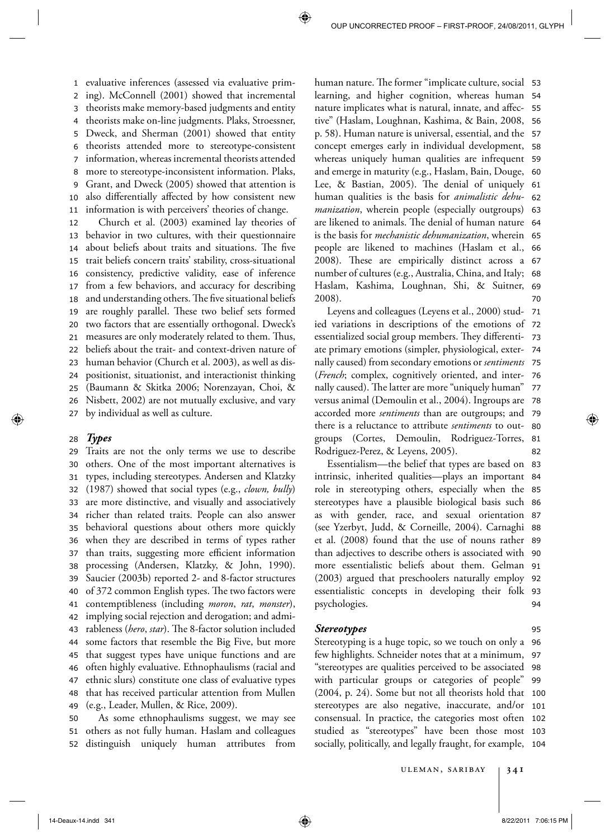10 9 8 7 6 5 4 3 2 1 evaluative inferences (assessed via evaluative priming). McConnell (2001) showed that incremental theorists make memory-based judgments and entity theorists make on-line judgments. Plaks, Stroessner, Dweck, and Sherman (2001) showed that entity theorists attended more to stereotype-consistent information, whereas incremental theorists attended more to stereotype-inconsistent information. Plaks, Grant, and Dweck (2005) showed that attention is also differentially affected by how consistent new

27 26 25 24 23 22 21 20 19 18 17 16 15 14 13 12 11 information is with perceivers' theories of change. Church et al. (2003) examined lay theories of behavior in two cultures, with their questionnaire about beliefs about traits and situations. The five trait beliefs concern traits' stability, cross-situational consistency, predictive validity, ease of inference from a few behaviors, and accuracy for describing and understanding others. The five situational beliefs are roughly parallel. These two belief sets formed two factors that are essentially orthogonal. Dweck's measures are only moderately related to them. Thus, beliefs about the trait- and context-driven nature of human behavior (Church et al. 2003), as well as dispositionist, situationist, and interactionist thinking (Baumann & Skitka 2006; Norenzayan, Choi, & Nisbett, 2002) are not mutually exclusive, and vary by individual as well as culture.

#### 28  *Types*

49 48 47 46 45 44 43 42 41 40 39 38 37 36 35 34 33 32 31 30 29 Traits are not the only terms we use to describe others. One of the most important alternatives is types, including stereotypes. Andersen and Klatzky (1987) showed that social types (e.g., *clown, bully* ) are more distinctive, and visually and associatively richer than related traits. People can also answer behavioral questions about others more quickly when they are described in terms of types rather than traits, suggesting more efficient information processing (Andersen, Klatzky, & John, 1990). Saucier (2003b) reported 2- and 8-factor structures of 372 common English types. The two factors were contemptibleness (including *moron*, *rat*, *monster*), implying social rejection and derogation; and admirableness (hero, star). The 8-factor solution included some factors that resemble the Big Five, but more that suggest types have unique functions and are often highly evaluative. Ethnophaulisms (racial and ethnic slurs) constitute one class of evaluative types that has received particular attention from Mullen (e.g., Leader, Mullen, & Rice, 2009).

52 51 50 As some ethnophaulisms suggest, we may see others as not fully human. Haslam and colleagues distinguish uniquely human attributes from

70 69 68 number of cultures (e.g., Australia, China, and Italy; 67 people are likened to machines (Haslam et al., 66 is the basis for *mechanistic dehumanization*, wherein 65 are likened to animals. The denial of human nature  $\,$  64  $\,$ 63 62 61 60 59 whereas uniquely human qualities are infrequent 58 concept emerges early in individual development, 57 56 55 54 learning, and higher cognition, whereas human human nature. The former "implicate culture, social 53 nature implicates what is natural, innate, and affective" (Haslam, Loughnan, Kashima, & Bain, 2008, p. 58). Human nature is universal, essential, and the and emerge in maturity (e.g., Haslam, Bain, Douge, Lee,  $\&$  Bastian, 2005). The denial of uniquely human qualities is the basis for *animalistic dehumanization*, wherein people (especially outgroups) 2008). These are empirically distinct across a Haslam, Kashima, Loughnan, Shi, & Suitner, 2008).

82 81 80 79 accorded more *sentiments* than are outgroups; and versus animal (Demoulin et al., 2004). Ingroups are 78 77 76 75 74 essentialized social group members. They differenti- 73 72 ied variations in descriptions of the emotions of Leyens and colleagues (Leyens et al., 2000) stud- 71 ate primary emotions (simpler, physiological, externally caused) from secondary emotions or *sentiments* (*French*; complex, cognitively oriented, and internally caused). The latter are more "uniquely human" there is a reluctance to attribute *sentiments* to outgroups ( Cortes, Demoulin, Rodriguez-Torres, Rodriguez-Perez, & Leyens, 2005).

94 93 essentialistic concepts in developing their folk 92 91 more essentialistic beliefs about them. Gelman 90 89 et al. (2008) found that the use of nouns rather (see Yzerbyt, Judd, & Corneille, 2004). Carnaghi 88 as with gender, race, and sexual orientation 87 86 stereotypes have a plausible biological basis such 85 role in stereotyping others, especially when the intrinsic, inherited qualities—plays an important 84 Essentialism—the belief that types are based on 83 than adjectives to describe others is associated with (2003) argued that preschoolers naturally employ psychologies.

## *Stereotypes*

104 socially, politically, and legally fraught, for example, studied as "stereotypes" have been those most 103 consensual. In practice, the categories most often 102 stereotypes are also negative, inaccurate, and/or 101 (2004, p. 24). Some but not all theorists hold that 100 99 98 97 Stereotyping is a huge topic, so we touch on only a 96 few highlights. Schneider notes that at a minimum, "stereotypes are qualities perceived to be associated with particular groups or categories of people"

 $ULEMAN, SARIBAY$ 

95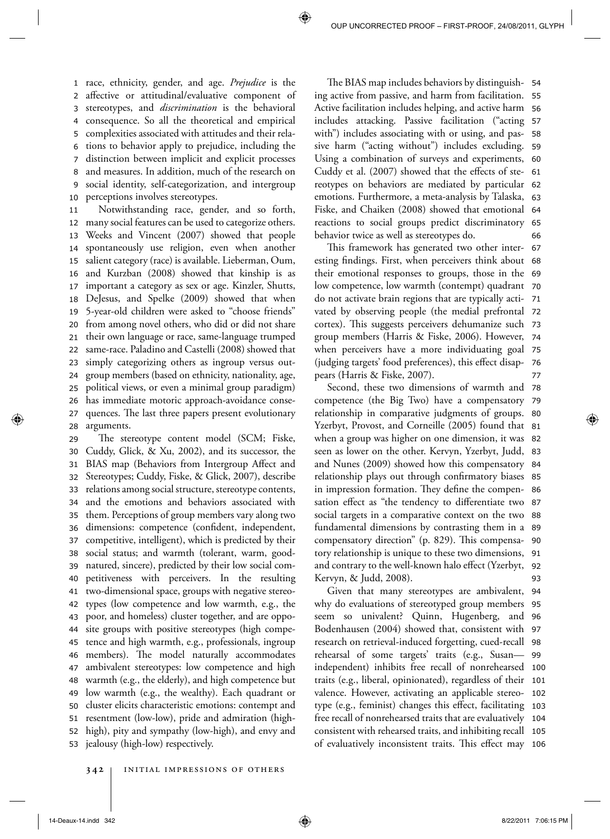10 9 8 7 6 5 4 3 2 <sup>1</sup> race, ethnicity, gender, and age. *Prejudice* is the affective or attitudinal/evaluative component of stereotypes, and *discrimination* is the behavioral consequence. So all the theoretical and empirical complexities associated with attitudes and their relations to behavior apply to prejudice, including the distinction between implicit and explicit processes and measures. In addition, much of the research on social identity, self-categorization, and intergroup perceptions involves stereotypes.

28 27 26 25 24 23 22 21 20 19 18 17 16 15 14 13 12 11 Notwithstanding race, gender, and so forth, many social features can be used to categorize others. Weeks and Vincent (2007) showed that people spontaneously use religion, even when another salient category (race) is available. Lieberman, Oum, and Kurzban (2008) showed that kinship is as important a category as sex or age. Kinzler, Shutts, DeJesus, and Spelke (2009) showed that when 5-year-old children were asked to "choose friends" from among novel others, who did or did not share their own language or race, same-language trumped same-race. Paladino and Castelli (2008) showed that simply categorizing others as ingroup versus outgroup members (based on ethnicity, nationality, age, political views, or even a minimal group paradigm) has immediate motoric approach-avoidance consequences. The last three papers present evolutionary arguments.

53 52 51 50 49 48 47 46 45 44 43 42 41 40 39 38 37 36 35 34 33 32 31 30 29 The stereotype content model (SCM; Fiske, Cuddy, Glick, & Xu, 2002), and its successor, the BIAS map (Behaviors from Intergroup Affect and Stereotypes; Cuddy, Fiske, & Glick, 2007), describe relations among social structure, stereotype contents, and the emotions and behaviors associated with them. Perceptions of group members vary along two dimensions: competence (confident, independent, competitive, intelligent), which is predicted by their social status; and warmth (tolerant, warm, goodnatured, sincere), predicted by their low social competitiveness with perceivers. In the resulting two-dimensional space, groups with negative stereotypes (low competence and low warmth, e.g., the poor, and homeless) cluster together, and are opposite groups with positive stereotypes (high competence and high warmth, e.g., professionals, ingroup members). The model naturally accommodates ambivalent stereotypes: low competence and high warmth (e.g., the elderly), and high competence but low warmth (e.g., the wealthy). Each quadrant or cluster elicits characteristic emotions: contempt and resentment (low-low), pride and admiration (highhigh), pity and sympathy (low-high), and envy and jealousy (high-low) respectively.

66 65 64 63 62 61 60 59 58 57 includes attacking. Passive facilitation ("acting 56 Active facilitation includes helping, and active harm 55 The BIAS map includes behaviors by distinguish- 54 ing active from passive, and harm from facilitation. with") includes associating with or using, and passive harm ("acting without") includes excluding. Using a combination of surveys and experiments, Cuddy et al. (2007) showed that the effects of stereotypes on behaviors are mediated by particular emotions. Furthermore, a meta-analysis by Talaska, Fiske, and Chaiken (2008) showed that emotional reactions to social groups predict discriminatory behavior twice as well as stereotypes do.

77 76 75 group members (Harris & Fiske, 2006). However, 74 cortex). This suggests perceivers dehumanize such 73 vated by observing people (the medial prefrontal 72 71 low competence, low warmth (contempt) quadrant 70 their emotional responses to groups, those in the 69 esting findings. First, when perceivers think about 68 67 This framework has generated two other interdo not activate brain regions that are typically actiwhen perceivers have a more individuating goal (judging targets' food preferences), this effect disappears (Harris & Fiske, 2007).

93 92 91 90 89 fundamental dimensions by contrasting them in a 88 87 86 relationship plays out through confirmatory biases 85 84 83 82 when a group was higher on one dimension, it was Yzerbyt, Provost, and Corneille (2005) found that 81 80 79 Second, these two dimensions of warmth and 78 competence (the Big Two) have a compensatory relationship in comparative judgments of groups. seen as lower on the other. Kervyn, Yzerbyt, Judd, and Nunes (2009) showed how this compensatory in impression formation. They define the compensation effect as "the tendency to differentiate two social targets in a comparative context on the two compensatory direction" (p. 829). This compensatory relationship is unique to these two dimensions, and contrary to the well-known halo effect (Yzerbyt, Kervyn, & Judd, 2008).

of evaluatively inconsistent traits. This effect may 106 105 consistent with rehearsed traits, and inhibiting recall 104 free recall of nonrehearsed traits that are evaluatively type (e.g., feminist) changes this effect, facilitating 103 valence. However, activating an applicable stereo- 102 traits (e.g., liberal, opinionated), regardless of their 101 independent) inhibits free recall of nonrehearsed 100 99 98 research on retrieval-induced forgetting, cued-recall Bodenhausen (2004) showed that, consistent with 97 96 seem so univalent? Quinn, Hugenberg, and 95 94 Given that many stereotypes are ambivalent, why do evaluations of stereotyped group members rehearsal of some targets' traits (e.g., Susan⊕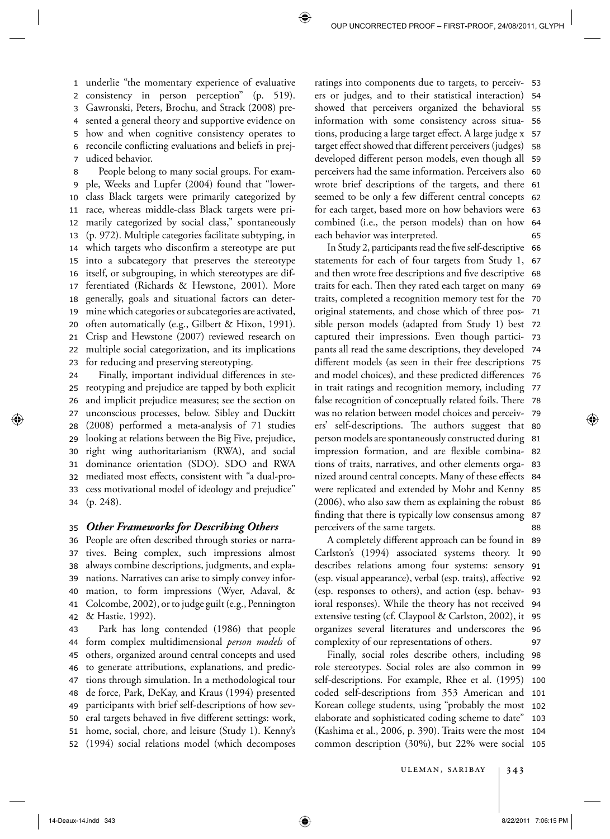7 6 5 4 3 2 <sup>1</sup> underlie "the momentary experience of evaluative consistency in person perception" (p. 519). Gawronski, Peters, Brochu, and Strack (2008) presented a general theory and supportive evidence on how and when cognitive consistency operates to reconcile conflicting evaluations and beliefs in prejudiced behavior.

23 22 21 20 19 18 17 16 15 14 13 12 11 10 9 8 People belong to many social groups. For example, Weeks and Lupfer (2004) found that "lowerclass Black targets were primarily categorized by race, whereas middle-class Black targets were primarily categorized by social class," spontaneously (p. 972). Multiple categories facilitate subtyping, in which targets who disconfirm a stereotype are put into a subcategory that preserves the stereotype itself, or subgrouping, in which stereotypes are differentiated (Richards & Hewstone, 2001). More generally, goals and situational factors can determine which categories or subcategories are activated, often automatically (e.g., Gilbert & Hixon, 1991). Crisp and Hewstone (2007) reviewed research on multiple social categorization, and its implications for reducing and preserving stereotyping.

34 33 32 31 30 29 28 27 26 25 24 Finally, important individual differences in stereotyping and prejudice are tapped by both explicit and implicit prejudice measures; see the section on unconscious processes, below. Sibley and Duckitt (2008) performed a meta-analysis of 71 studies looking at relations between the Big Five, prejudice, right wing authoritarianism (RWA), and social dominance orientation (SDO). SDO and RWA mediated most effects, consistent with "a dual-process motivational model of ideology and prejudice" (p. 248).

#### 35  *Other Frameworks for Describing Others*

42 41 40 39 38 37 36 People are often described through stories or narratives. Being complex, such impressions almost always combine descriptions, judgments, and explanations. Narratives can arise to simply convey information, to form impressions (Wyer, Adaval, & Colcombe, 2002), or to judge guilt (e.g., Pennington & Hastie, 1992).

52 51 50 49 48 47 46 45 44 43 Park has long contended (1986) that people form complex multidimensional *person models* of others, organized around central concepts and used to generate attributions, explanations, and predictions through simulation. In a methodological tour de force, Park, DeKay, and Kraus (1994) presented participants with brief self-descriptions of how several targets behaved in five different settings: work, home, social, chore, and leisure (Study 1). Kenny's (1994) social relations model (which decomposes

65 64 63 62 wrote brief descriptions of the targets, and there 61 60 developed different person models, even though all 59 58 57 56 55 showed that perceivers organized the behavioral 54 53 ratings into components due to targets, to perceivers or judges, and to their statistical interaction) information with some consistency across situations, producing a large target effect. A large judge x target effect showed that different perceivers (judges) perceivers had the same information. Perceivers also seemed to be only a few different central concepts for each target, based more on how behaviors were combined (i.e., the person models) than on how each behavior was interpreted.

88 87 fi nding that there is typically low consensus among (2006), who also saw them as explaining the robust 86 85 nized around central concepts. Many of these effects 84 83 82 81 person models are spontaneously constructed during ers' self-descriptions. The authors suggest that 80 79 78 77 in trait ratings and recognition memory, including and model choices), and these predicted differences 76 different models (as seen in their free descriptions 75 74 73 captured their impressions. Even though partici-72 sible person models (adapted from Study 1) best 71 70 traits, completed a recognition memory test for the 69 68 67 In Study 2, participants read the five self-descriptive 66 statements for each of four targets from Study 1, and then wrote free descriptions and five descriptive traits for each. Then they rated each target on many original statements, and chose which of three pospants all read the same descriptions, they developed false recognition of conceptually related foils. There was no relation between model choices and perceivimpression formation, and are flexible combinations of traits, narratives, and other elements orgawere replicated and extended by Mohr and Kenny perceivers of the same targets.

97 96 organizes several literatures and underscores the extensive testing (cf. Claypool & Carlston, 2002), it 95 94 ioral responses). While the theory has not received 93 (esp. visual appearance), verbal (esp. traits), affective 92 describes relations among four systems: sensory 91 90 A completely different approach can be found in 89 Carlston's (1994) associated systems theory. It (esp. responses to others), and action (esp. behavcomplexity of our representations of others.

common description (30%), but 22% were social 105 (Kashima et al., 2006, p. 390). Traits were the most 104 103 Korean college students, using "probably the most 102 101 coded self-descriptions from 353 American and 100 99 98 Finally, social roles describe others, including role stereotypes. Social roles are also common in self-descriptions. For example, Rhee et al. (1995) elaborate and sophisticated coding scheme to date"

 $ULEMAN, SARIBAY$ 

⊕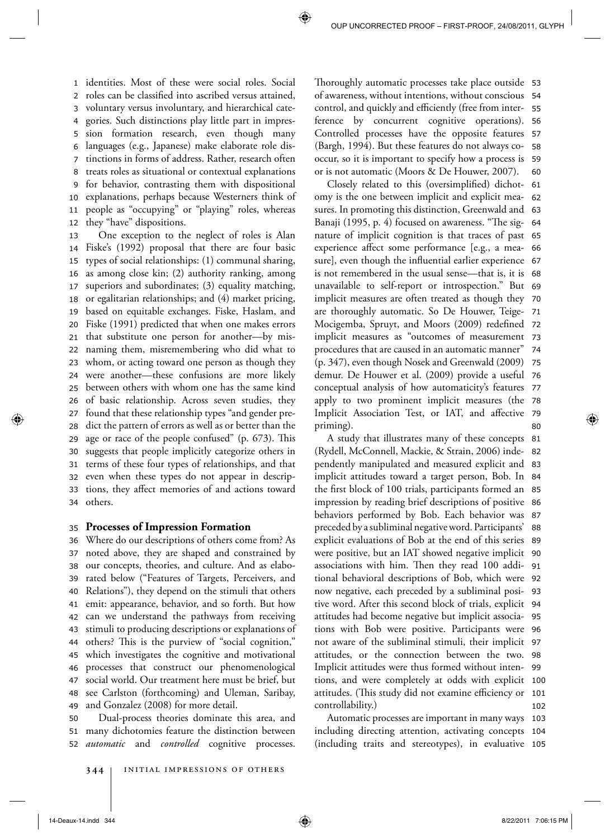12 11 10 9 8 7 6 5 4 3  $\overline{2}$ <sup>1</sup> identities. Most of these were social roles. Social roles can be classified into ascribed versus attained, voluntary versus involuntary, and hierarchical categories. Such distinctions play little part in impression formation research, even though many languages (e.g., Japanese) make elaborate role distinctions in forms of address. Rather, research often treats roles as situational or contextual explanations for behavior, contrasting them with dispositional explanations, perhaps because Westerners think of people as "occupying" or "playing" roles, whereas they "have" dispositions.

34 33 32 31 30 29 28 27 26 25 24 23 22 21 20 19 18 17 16 15 14 13 One exception to the neglect of roles is Alan Fiske's (1992) proposal that there are four basic types of social relationships: (1) communal sharing, as among close kin; (2) authority ranking, among superiors and subordinates; (3) equality matching, or egalitarian relationships; and (4) market pricing, based on equitable exchanges. Fiske, Haslam, and Fiske (1991) predicted that when one makes errors that substitute one person for another-by misnaming them, misremembering who did what to whom, or acting toward one person as though they were another—these confusions are more likely between others with whom one has the same kind of basic relationship. Across seven studies, they found that these relationship types "and gender predict the pattern of errors as well as or better than the age or race of the people confused"  $(p. 673)$ . This suggests that people implicitly categorize others in terms of these four types of relationships, and that even when these types do not appear in descriptions, they affect memories of and actions toward others.

#### 35  **Processes of Impression Formation**

49 48 47 46 45 44 43 42 41 40 39 38 37 36 Where do our descriptions of others come from? As noted above, they are shaped and constrained by our concepts, theories, and culture. And as elaborated below ("Features of Targets, Perceivers, and Relations"), they depend on the stimuli that others emit: appearance, behavior, and so forth. But how can we understand the pathways from receiving stimuli to producing descriptions or explanations of others? This is the purview of "social cognition," which investigates the cognitive and motivational processes that construct our phenomenological social world. Our treatment here must be brief, but see Carlston (forthcoming) and Uleman, Saribay, and Gonzalez (2008) for more detail.

52 51 50 Dual-process theories dominate this area, and many dichotomies feature the distinction between *automatic* and *controlled* cognitive processes.

**344** initial impressions of others

60 59 occur, so it is important to specify how a process is (Bargh, 1994). But these features do not always co- 58 Controlled processes have the opposite features 57 56 55 54 of awareness, without intentions, without conscious Thoroughly automatic processes take place outside 53 control, and quickly and efficiently (free from interference by concurrent cognitive operations). or is not automatic (Moors & De Houwer, 2007).

80 Implicit Association Test, or IAT, and affective 79 78 apply to two prominent implicit measures (the 77 conceptual analysis of how automaticity's features 76 demur. De Houwer et al. (2009) provide a useful 75 74 73 implicit measures as "outcomes of measurement Mocigemba, Spruyt, and Moors (2009) redefined 72 71 70 implicit measures are often treated as though they 69 unavailable to self-report or introspection." But is not remembered in the usual sense—that is, it is 68 sure], even though the influential earlier experience 67 experience affect some performance [e.g., a mea- 66 65 nature of implicit cognition is that traces of past 64 63 sures. In promoting this distinction, Greenwald and 62 61 Closely related to this (oversimplified) dichotomy is the one between implicit and explicit mea-Banaji (1995, p. 4) focused on awareness. "The sigare thoroughly automatic. So De Houwer, Teigeprocedures that are caused in an automatic manner" (p. 347), even though Nosek and Greenwald (2009) priming).

102 attitudes. (This study did not examine efficiency or  $\,$  101  $\,$ tions, and were completely at odds with explicit 100 99 98 97 not aware of the subliminal stimuli, their implicit 96 tions with Bob were positive. Participants were 95 attitudes had become negative but implicit associa-94 tive word. After this second block of trials, explicit 93 92 tional behavioral descriptions of Bob, which were 91 90 89 explicit evaluations of Bob at the end of this series 88 preceded by a subliminal negative word. Participants' 87 behaviors performed by Bob. Each behavior was 86 impression by reading brief descriptions of positive the first block of 100 trials, participants formed an 85 84 implicit attitudes toward a target person, Bob. In 83 pendently manipulated and measured explicit and 82 81 A study that illustrates many of these concepts ( Rydell, McConnell, Mackie, & Strain, 2006 ) indewere positive, but an IAT showed negative implicit associations with him. Then they read 100 addinow negative, each preceded by a subliminal posiattitudes, or the connection between the two. Implicit attitudes were thus formed without intencontrollability.)

(including traits and stereotypes), in evaluative 105 including directing attention, activating concepts 104 Automatic processes are important in many ways 103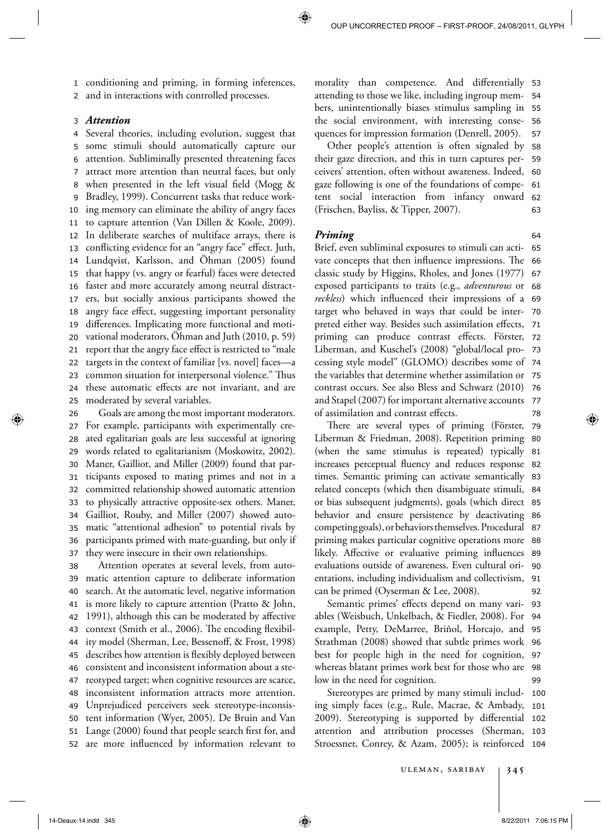2 and in interactions with controlled processes. <sup>1</sup> conditioning and priming, in forming inferences,

# 3  *Attention*

25 24 23 22 21 20 19 18 17 16 15 14 13 12 11 10 9 8 7 6 5 4 Several theories, including evolution, suggest that some stimuli should automatically capture our attention. Subliminally presented threatening faces attract more attention than neutral faces, but only when presented in the left visual field (Mogg  $\&$ Bradley, 1999). Concurrent tasks that reduce working memory can eliminate the ability of angry faces to capture attention (Van Dillen & Koole, 2009). In deliberate searches of multiface arrays, there is conflicting evidence for an "angry face" effect. Juth, Lundqvist, Karlsson, and Öhman (2005) found that happy (vs. angry or fearful) faces were detected faster and more accurately among neutral distracters, but socially anxious participants showed the angry face effect, suggesting important personality differences. Implicating more functional and motivational moderators, Öhman and Juth (2010, p. 59) report that the angry face effect is restricted to "male targets in the context of familiar [vs. novel] faces — a common situation for interpersonal violence." Thus these automatic effects are not invariant, and are moderated by several variables.

37 36 35 34 33 32 31 30 29 28 27 26 Goals are among the most important moderators. For example, participants with experimentally created egalitarian goals are less successful at ignoring words related to egalitarianism (Moskowitz, 2002). Maner, Gailliot, and Miller (2009) found that participants exposed to mating primes and not in a committed relationship showed automatic attention to physically attractive opposite-sex others. Maner, Gailliot, Rouby, and Miller (2007) showed automatic "attentional adhesion" to potential rivals by participants primed with mate-guarding, but only if they were insecure in their own relationships.

52 51 50 49 48 47 46 45 44 43 42 41 40 39 38 Attention operates at several levels, from automatic attention capture to deliberate information search. At the automatic level, negative information is more likely to capture attention (Pratto & John, 1991), although this can be moderated by affective context (Smith et al., 2006). The encoding flexibility model (Sherman, Lee, Bessenoff, & Frost, 1998) describes how attention is flexibly deployed between consistent and inconsistent information about a stereotyped target; when cognitive resources are scarce, inconsistent information attracts more attention. Unprejudiced perceivers seek stereotype-inconsistent information (Wyer, 2005). De Bruin and Van Lange (2000) found that people search first for, and are more influenced by information relevant to

57 56 55 bers, unintentionally biases stimulus sampling in 54 morality than competence. And differentially 53 attending to those we like, including ingroup memthe social environment, with interesting consequences for impression formation (Denrell, 2005).

63 62 tent social interaction from infancy onward 61 60 59 Other people's attention is often signaled by 58 their gaze direction, and this in turn captures perceivers' attention, often without awareness. Indeed, gaze following is one of the foundations of compe-( Frischen, Bayliss, & Tipper, 2007 ).

## *Priming*

78 77 and Stapel (2007) for important alternative accounts 76 75 the variables that determine whether assimilation or 74 cessing style model" (GLOMO) describes some of 73 priming can produce contrast effects. Förster, 72 preted either way. Besides such assimilation effects, 71 70 *reckless*) which influenced their impressions of a 69 68 67 vate concepts that then influence impressions. The 66 65 Brief, even subliminal exposures to stimuli can acticlassic study by Higgins, Rholes, and Jones (1977) exposed participants to traits (e.g., *adventurous* or target who behaved in ways that could be inter-Liberman, and Kuschel's (2008) "global/local procontrast occurs. See also Bless and Schwarz (2010) of assimilation and contrast effects.

92 91 90 89 88 priming makes particular cognitive operations more 87 competing goals), or behaviors themselves. Procedural 86 behavior and ensure persistence by deactivating 85 or bias subsequent judgments), goals (which direct 84 83 times. Semantic priming can activate semantically 82 81 Liberman & Friedman, 2008). Repetition priming 80 There are several types of priming (Förster, 79 (when the same stimulus is repeated) typically increases perceptual fluency and reduces response related concepts (which then disambiguate stimuli, likely. Affective or evaluative priming influences evaluations outside of awareness. Even cultural orientations, including individualism and collectivism, can be primed (Oyserman & Lee, 2008).

99 98 whereas blatant primes work best for those who are 97 96 95 example, Petty, DeMarree, Briñol, Horcajo, and ables (Weisbuch, Unkelbach, & Fiedler, 2008). For 94 93 Semantic primes' effects depend on many vari-Strathman (2008) showed that subtle primes work best for people high in the need for cognition, low in the need for cognition.

Stroessner, Conrey, & Azam, 2005); is reinforced 104 attention and attribution processes (Sherman, 103 2009). Stereotyping is supported by differential 102 101 ing simply faces (e.g., Rule, Macrae, & Ambady, Stereotypes are primed by many stimuli includ- 100

 $ULEMAN, SARIBAY$ 

64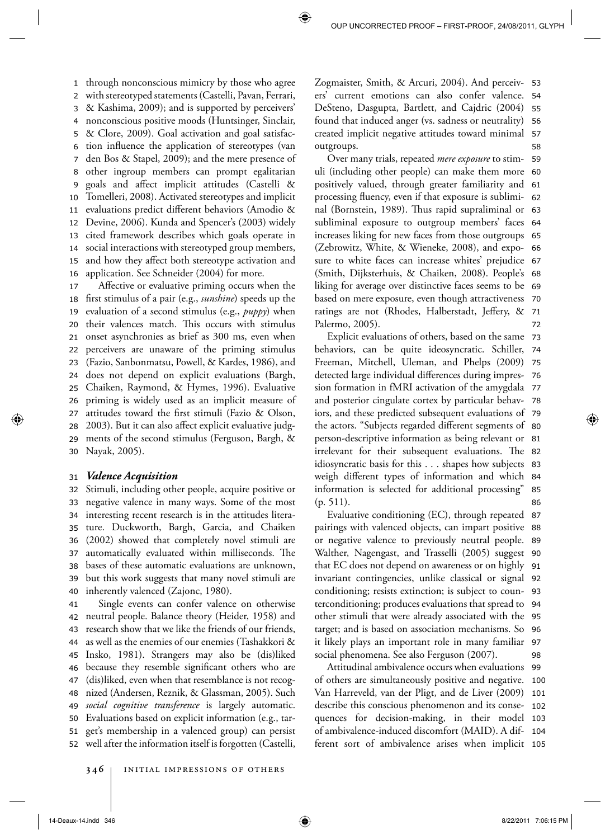16 15 14 13 12 11 10 9 8 7 6 5 4 3 2 <sup>1</sup> through nonconscious mimicry by those who agree with stereotyped statements (Castelli, Pavan, Ferrari, & Kashima, 2009); and is supported by perceivers' nonconscious positive moods (Huntsinger, Sinclair, & Clore, 2009). Goal activation and goal satisfaction influence the application of stereotypes (van den Bos & Stapel, 2009); and the mere presence of other ingroup members can prompt egalitarian goals and affect implicit attitudes (Castelli  $\&$ Tomelleri, 2008). Activated stereotypes and implicit evaluations predict different behaviors (Amodio & Devine, 2006). Kunda and Spencer's (2003) widely cited framework describes which goals operate in social interactions with stereotyped group members, and how they affect both stereotype activation and application. See Schneider (2004) for more.

30 29 28 27 26 25 24 23 22 21 20 19 18 17 Affective or evaluative priming occurs when the first stimulus of a pair (e.g., *sunshine*) speeds up the evaluation of a second stimulus (e.g., *puppy*) when their valences match. This occurs with stimulus onset asynchronies as brief as 300 ms, even when perceivers are unaware of the priming stimulus (Fazio, Sanbonmatsu, Powell, & Kardes, 1986), and does not depend on explicit evaluations (Bargh, Chaiken, Raymond, & Hymes, 1996). Evaluative priming is widely used as an implicit measure of attitudes toward the first stimuli (Fazio  $\&$  Olson, 2003). But it can also affect explicit evaluative judgments of the second stimulus (Ferguson, Bargh, & Nayak, 2005).

#### 31  *Valence Acquisition*

40 39 38 37 36 35 34 33 32 Stimuli, including other people, acquire positive or negative valence in many ways. Some of the most interesting recent research is in the attitudes literature. Duckworth, Bargh, Garcia, and Chaiken (2002) showed that completely novel stimuli are automatically evaluated within milliseconds. The bases of these automatic evaluations are unknown, but this work suggests that many novel stimuli are inherently valenced (Zajonc, 1980).

52 51 50 49 48 47 46 45 44 43 42 41 Single events can confer valence on otherwise neutral people. Balance theory (Heider, 1958) and research show that we like the friends of our friends, as well as the enemies of our enemies ( Tashakkori & Insko, 1981). Strangers may also be (dis)liked because they resemble significant others who are (dis)liked, even when that resemblance is not recognized (Andersen, Reznik, & Glassman, 2005). Such *social cognitive transference* is largely automatic. Evaluations based on explicit information (e.g., target's membership in a valenced group) can persist well after the information itself is forgotten (Castelli,

58 57 56 55 54 Zogmaister, Smith, & Arcuri, 2004). And perceiv- 53 ers' current emotions can also confer valence. DeSteno, Dasgupta, Bartlett, and Cajdric (2004) found that induced anger (vs. sadness or neutrality) created implicit negative attitudes toward minimal outgroups.

72 ratings are not (Rhodes, Halberstadt, Jeffery, & 71 70 based on mere exposure, even though attractiveness 69 liking for average over distinctive faces seems to be (Smith, Dijksterhuis, & Chaiken, 2008). People's 68 sure to white faces can increase whites' prejudice 67 (Zebrowitz, White, & Wieneke, 2008), and expo- 66 65 increases liking for new faces from those outgroups 64 subliminal exposure to outgroup members' faces nal (Bornstein, 1989). Thus rapid supraliminal or 63 62 61 60 59 Over many trials, repeated *mere exposure* to stimuli (including other people) can make them more positively valued, through greater familiarity and processing fluency, even if that exposure is sublimi-Palermo, 2005).

86 85 84 83 irrelevant for their subsequent evaluations. The 82 81 person-descriptive information as being relevant or the actors. "Subjects regarded different segments of  $\,$  80  $\,$ 79 iors, and these predicted subsequent evaluations of 78 77 76 75 74 Explicit evaluations of others, based on the same 73 behaviors, can be quite ideosyncratic. Schiller, Freeman, Mitchell, Uleman, and Phelps (2009) detected large individual differences during impression formation in fMRI activation of the amygdala and posterior cingulate cortex by particular behavidiosyncratic basis for this . . . shapes how subjects weigh different types of information and which information is selected for additional processing" (p. 511).

98 97 96 95 other stimuli that were already associated with the 94 93 92 invariant contingencies, unlike classical or signal 91 90 89 88 pairings with valenced objects, can impart positive 87 Evaluative conditioning (EC), through repeated or negative valence to previously neutral people. Walther, Nagengast, and Trasselli (2005) suggest that EC does not depend on awareness or on highly conditioning; resists extinction; is subject to counterconditioning; produces evaluations that spread to target; and is based on association mechanisms. So it likely plays an important role in many familiar social phenomena. See also Ferguson (2007).

ferent sort of ambivalence arises when implicit 105 104 of ambivalence-induced discomfort (MAID). A difquences for decision-making, in their model 103 describe this conscious phenomenon and its conse- 102 Van Harreveld, van der Pligt, and de Liver (2009) 101 of others are simultaneously positive and negative. 100 99 Attitudinal ambivalence occurs when evaluations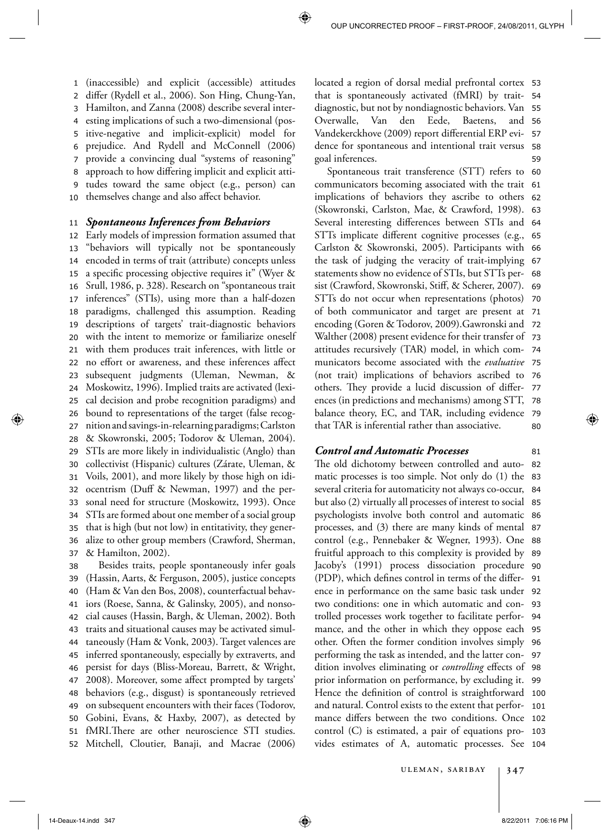10 9 8 7 6 5 4 3 2 <sup>1</sup> (inaccessible) and explicit (accessible) attitudes differ (Rydell et al., 2006). Son Hing, Chung-Yan, Hamilton, and Zanna (2008) describe several interesting implications of such a two-dimensional (positive-negative and implicit-explicit) model for prejudice. And Rydell and McConnell (2006) provide a convincing dual "systems of reasoning" approach to how differing implicit and explicit attitudes toward the same object (e.g., person) can themselves change and also affect behavior.

#### 11  *Spontaneous Inferences from Behaviors*

37 36 35 34 33 32 31 30 29 28 27 26 25 24 23 22 21 20 19 18 17 16 15 14 13 12 Early models of impression formation assumed that "behaviors will typically not be spontaneously encoded in terms of trait (attribute) concepts unless a specific processing objective requires it" (Wyer  $\&$ Srull, 1986, p. 328). Research on "spontaneous trait inferences" (STIs), using more than a half-dozen paradigms, challenged this assumption. Reading descriptions of targets' trait-diagnostic behaviors with the intent to memorize or familiarize oneself with them produces trait inferences, with little or no effort or awareness, and these inferences affect subsequent judgments (Uleman, Newman, & Moskowitz, 1996). Implied traits are activated (lexical decision and probe recognition paradigms) and bound to representations of the target (false recognition and savings-in-relearning paradigms; Carlston & Skowronski, 2005; Todorov & Uleman, 2004). STIs are more likely in individualistic (Anglo) than collectivist (Hispanic) cultures (Zárate, Uleman, & Voils, 2001), and more likely by those high on idiocentrism (Duff & Newman, 1997) and the personal need for structure (Moskowitz, 1993). Once STIs are formed about one member of a social group that is high (but not low) in entitativity, they generalize to other group members (Crawford, Sherman, & Hamilton, 2002).

52 51 50 49 48 47 46 45 44 43 42 41 40 39 38 Besides traits, people spontaneously infer goals (Hassin, Aarts, & Ferguson, 2005), justice concepts (Ham & Van den Bos, 2008), counterfactual behaviors (Roese, Sanna, & Galinsky, 2005), and nonsocial causes ( Hassin, Bargh, & Uleman, 2002 ). Both traits and situational causes may be activated simultaneously (Ham & Vonk, 2003). Target valences are inferred spontaneously, especially by extraverts, and persist for days ( Bliss-Moreau, Barrett, & Wright, 2008). Moreover, some affect prompted by targets' behaviors (e.g., disgust) is spontaneously retrieved on subsequent encounters with their faces (Todorov, Gobini, Evans, & Haxby, 2007), as detected by fMRI. There are other neuroscience STI studies. Mitchell, Cloutier, Banaji, and Macrae (2006)

59 58 dence for spontaneous and intentional trait versus 57 and 56 55 diagnostic, but not by nondiagnostic behaviors. Van 54 53 located a region of dorsal medial prefrontal cortex that is spontaneously activated (fMRI) by trait-Overwalle, Van den Eede, Baetens, Vandekerckhove (2009) report differential ERP evigoal inferences.

80 79 78 77 76 (not trait) implications of behaviors ascribed to 75 74 Walther (2008) present evidence for their transfer of 73 encoding (Goren & Todorov, 2009).Gawronski and 72 71 of both communicator and target are present at 70 69 68 67 Carlston & Skowronski, 2005). Participants with 66 65 64 63 62 implications of behaviors they ascribe to others 61 60 Spontaneous trait transference (STT) refers to communicators becoming associated with the trait ( Skowronski, Carlston, Mae, & Crawford, 1998). Several interesting differences between STIs and STTs implicate different cognitive processes (e.g., the task of judging the veracity of trait-implying statements show no evidence of STIs, but STTs persist (Crawford, Skowronski, Stiff, & Scherer, 2007). STTs do not occur when representations (photos) attitudes recursively (TAR) model, in which communicators become associated with the *evaluative* others. They provide a lucid discussion of differences (in predictions and mechanisms) among STT, balance theory, EC, and TAR, including evidence that TAR is inferential rather than associative.

## *Control and Automatic Processes*

vides estimates of A, automatic processes. See 104 control (C) is estimated, a pair of equations pro- 103 mance differs between the two conditions. Once 102 and natural. Control exists to the extent that perfor- 101 Hence the definition of control is straightforward 100 prior information on performance, by excluding it. 99 dition involves eliminating or *controlling* effects of 98 97 96 95 mance, and the other in which they oppose each 94 trolled processes work together to facilitate perfor-93 92 ence in performance on the same basic task under 91 Jacoby's (1991) process dissociation procedure 90 89 control (e.g., Pennebaker & Wegner, 1993). One 88 87 processes, and (3) there are many kinds of mental 86 psychologists involve both control and automatic 85 84 83 matic processes is too simple. Not only do (1) the 82 The old dichotomy between controlled and autoseveral criteria for automaticity not always co-occur, but also (2) virtually all processes of interest to social fruitful approach to this complexity is provided by (PDP), which defines control in terms of the differtwo conditions: one in which automatic and conother. Often the former condition involves simply performing the task as intended, and the latter con-

ULEMAN, SARIBAY

81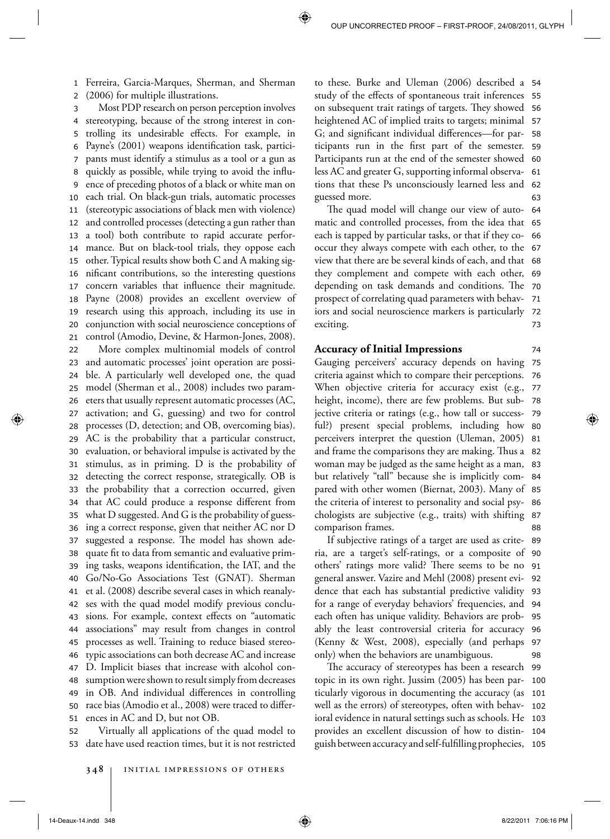OUP UNCORRECTED PROOF – FIRST-PROOF, 24/08/2011, GLYPH

⊕

6 5 4 3 2 <sup>1</sup> Ferreira, Garcia-Marques, Sherman, and Sherman (2006) for multiple illustrations. Most PDP research on person perception involves stereotyping, because of the strong interest in controlling its undesirable effects. For example, in Payne's (2001) weapons identification task, partici-

51 50 49 48 47 46 45 44 43 42 41 40 39 38 37 36 35 34 33 32 31 30 29 28 27 26 25 24 23 22 21 20 19 18 17 16 15 14 13 12 11 10 9 8 7 pants must identify a stimulus as a tool or a gun as quickly as possible, while trying to avoid the influence of preceding photos of a black or white man on each trial. On black-gun trials, automatic processes (stereotypic associations of black men with violence) and controlled processes (detecting a gun rather than a tool) both contribute to rapid accurate performance. But on black-tool trials, they oppose each other. Typical results show both C and A making significant contributions, so the interesting questions concern variables that influence their magnitude. Payne (2008) provides an excellent overview of research using this approach, including its use in conjunction with social neuroscience conceptions of control (Amodio, Devine, & Harmon-Jones, 2008). More complex multinomial models of control and automatic processes' joint operation are possible. A particularly well developed one, the quad model (Sherman et al., 2008) includes two parameters that usually represent automatic processes (AC, activation; and G, guessing) and two for control processes (D, detection; and OB, overcoming bias). AC is the probability that a particular construct, evaluation, or behavioral impulse is activated by the stimulus, as in priming. D is the probability of detecting the correct response, strategically. OB is the probability that a correction occurred, given that AC could produce a response different from what D suggested. And G is the probability of guessing a correct response, given that neither AC nor D suggested a response. The model has shown adequate fit to data from semantic and evaluative priming tasks, weapons identification, the IAT, and the Go/No-Go Associations Test (GNAT). Sherman et al. (2008) describe several cases in which reanalyses with the quad model modify previous conclusions. For example, context effects on "automatic associations" may result from changes in control processes as well. Training to reduce biased stereotypic associations can both decrease AC and increase D. Implicit biases that increase with alcohol consumption were shown to result simply from decreases in OB. And individual differences in controlling race bias (Amodio et al., 2008) were traced to differences in AC and D, but not OB.

53 52 Virtually all applications of the quad model to date have used reaction times, but it is not restricted

63 tions that these Ps unconsciously learned less and 62 61 60 Participants run at the end of the semester showed ticipants run in the first part of the semester. 59 58 57 heightened AC of implied traits to targets; minimal on subsequent trait ratings of targets. They showed 56 55 54 to these. Burke and Uleman (2006) described a study of the effects of spontaneous trait inferences G; and significant individual differences—for parless AC and greater G, supporting informal observaguessed more.

73 72 71 depending on task demands and conditions. The 70 69 68 view that there are be several kinds of each, and that occur they always compete with each other, to the 67 66 65 matic and controlled processes, from the idea that 64 The quad model will change our view of autoeach is tapped by particular tasks, or that if they cothey complement and compete with each other, prospect of correlating quad parameters with behaviors and social neuroscience markers is particularly exciting.

## **Accuracy of Initial Impressions**

88 87 chologists are subjective (e.g., traits) with shifting 86 pared with other women (Biernat, 2003). Many of  $\,$  85 84 83 and frame the comparisons they are making. Thus a  $\,$  82  $\,$ perceivers interpret the question (Uleman, 2005) 81 80 ful?) present special problems, including how 79 78 77 76 75 Gauging perceivers' accuracy depends on having criteria against which to compare their perceptions. When objective criteria for accuracy exist (e.g., height, income), there are few problems. But subjective criteria or ratings (e.g., how tall or successwoman may be judged as the same height as a man, but relatively "tall" because she is implicitly comthe criteria of interest to personality and social psycomparison frames.

98 97 96 ably the least controversial criteria for accuracy 95 each often has unique validity. Behaviors are prob-94 for a range of everyday behaviors' frequencies, and 93 dence that each has substantial predictive validity 92 others' ratings more valid? There seems to be no 91 90 ria, are a target's self-ratings, or a composite of 89 If subjective ratings of a target are used as critegeneral answer. Vazire and Mehl (2008) present evi-(Kenny & West, 2008), especially (and perhaps only) when the behaviors are unambiguous.

guish between accuracy and self-fulfilling prophecies, 105 104 provides an excellent discussion of how to distinioral evidence in natural settings such as schools. He 103 well as the errors) of stereotypes, often with behav- 102 101 ticularly vigorous in documenting the accuracy (as topic in its own right. Jussim (2005) has been par- 100 The accuracy of stereotypes has been a research 99

74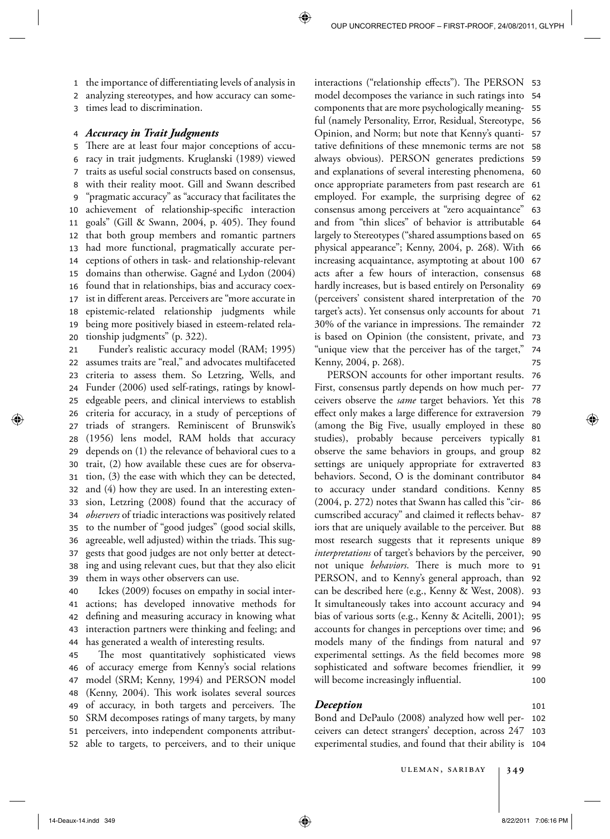1 the importance of differentiating levels of analysis in

2 analyzing stereotypes, and how accuracy can some-

3 times lead to discrimination.

#### 4  *Accuracy in Trait Judgments*

20 19 18 17 16 15 14 13 12 11 10 9 8 7 6 5 There are at least four major conceptions of accuracy in trait judgments. Kruglanski (1989) viewed traits as useful social constructs based on consensus, with their reality moot. Gill and Swann described "pragmatic accuracy" as "accuracy that facilitates the achievement of relationship-specific interaction goals" (Gill & Swann, 2004, p. 405). They found that both group members and romantic partners had more functional, pragmatically accurate perceptions of others in task- and relationship-relevant domains than otherwise. Gagné and Lydon (2004) found that in relationships, bias and accuracy coexist in different areas. Perceivers are "more accurate in epistemic-related relationship judgments while being more positively biased in esteem-related relationship judgments" (p. 322).

39 38 37 36 35 34 33 32 31 30 29 28 27 26 25 24 23 22 21 Funder's realistic accuracy model (RAM; 1995) assumes traits are "real," and advocates multifaceted criteria to assess them. So Letzring, Wells, and Funder (2006) used self-ratings, ratings by knowledgeable peers, and clinical interviews to establish criteria for accuracy, in a study of perceptions of triads of strangers. Reminiscent of Brunswik's (1956) lens model, RAM holds that accuracy depends on (1) the relevance of behavioral cues to a trait, (2) how available these cues are for observation, (3) the ease with which they can be detected, and (4) how they are used. In an interesting extension, Letzring (2008) found that the accuracy of *observers* of triadic interactions was positively related to the number of "good judges" (good social skills, agreeable, well adjusted) within the triads. This suggests that good judges are not only better at detecting and using relevant cues, but that they also elicit them in ways other observers can use.

44 43 42 41 40 Ickes (2009) focuses on empathy in social interactions; has developed innovative methods for defining and measuring accuracy in knowing what interaction partners were thinking and feeling; and has generated a wealth of interesting results.

52 51 50 49 48 47 46 45 The most quantitatively sophisticated views of accuracy emerge from Kenny's social relations model (SRM; Kenny, 1994) and PERSON model (Kenny, 2004). This work isolates several sources of accuracy, in both targets and perceivers. The SRM decomposes ratings of many targets, by many perceivers, into independent components attributable to targets, to perceivers, and to their unique

75 74 is based on Opinion (the consistent, private, and 73 30% of the variance in impressions. The remainder 72 target's acts). Yet consensus only accounts for about 71 (perceivers' consistent shared interpretation of the 70 69 68 67 physical appearance"; Kenny, 2004, p. 268). With 66 largely to Stereotypes ("shared assumptions based on  $\,$  65  $\,$ 64 and from "thin slices" of behavior is attributable 63 employed. For example, the surprising degree of 62 61 60 59 always obvious). PERSON generates predictions tative definitions of these mnemonic terms are not 58 57 56 55 54 interactions ("relationship effects"). The PERSON 53 model decomposes the variance in such ratings into components that are more psychologically meaningful (namely Personality, Error, Residual, Stereotype, Opinion, and Norm; but note that Kenny's quantiand explanations of several interesting phenomena, once appropriate parameters from past research are consensus among perceivers at "zero acquaintance" increasing acquaintance, asymptoting at about 100 acts after a few hours of interaction, consensus hardly increases, but is based entirely on Personality "unique view that the perceiver has of the target," Kenny, 2004, p. 268).

100 sophisticated and software becomes friendlier, it 99 experimental settings. As the field becomes more 98 97 96 accounts for changes in perceptions over time; and bias of various sorts (e.g., Kenny & Acitelli, 2001); 95 94 It simultaneously takes into account accuracy and 93 PERSON, and to Kenny's general approach, than 92 not unique *behaviors*. There is much more to 91 90 89 most research suggests that it represents unique 88 iors that are uniquely available to the perceiver. But 87 86 85 to accuracy under standard conditions. Kenny behaviors. Second, O is the dominant contributor 84 83 82 studies), probably because perceivers typically 81 (among the Big Five, usually employed in these 80 effect only makes a large difference for extraversion 79 ceivers observe the *same* target behaviors. Yet this 78 77 76 PERSON accounts for other important results. First, consensus partly depends on how much perobserve the same behaviors in groups, and group settings are uniquely appropriate for extraverted  $(2004, p. 272)$  notes that Swann has called this "circumscribed accuracy" and claimed it reflects behav*interpretations* of target's behaviors by the perceiver, can be described here (e.g., Kenny & West, 2008). models many of the findings from natural and will become increasingly influential.

## *Deception*

experimental studies, and found that their ability is 104 103 ceivers can detect strangers' deception, across 247 102 Bond and DePaulo (2008) analyzed how well per-

 $ULEMAN, SARIBAY$ 

101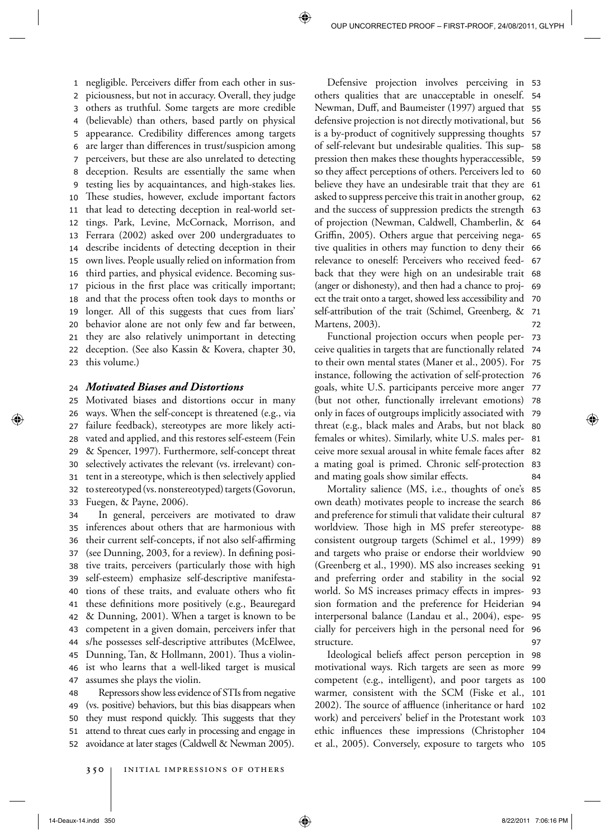23 22 21 20 19 18 17 16 15 14 13 12 11 10 9 8 7 6 5 4 3 2 1 negligible. Perceivers differ from each other in suspiciousness, but not in accuracy. Overall, they judge others as truthful. Some targets are more credible (believable) than others, based partly on physical appearance. Credibility differences among targets are larger than differences in trust/suspicion among perceivers, but these are also unrelated to detecting deception. Results are essentially the same when testing lies by acquaintances, and high-stakes lies. These studies, however, exclude important factors that lead to detecting deception in real-world settings. Park, Levine, McCornack, Morrison, and Ferrara (2002) asked over 200 undergraduates to describe incidents of detecting deception in their own lives. People usually relied on information from third parties, and physical evidence. Becoming suspicious in the first place was critically important; and that the process often took days to months or longer. All of this suggests that cues from liars' behavior alone are not only few and far between, they are also relatively unimportant in detecting deception. (See also Kassin & Kovera, chapter 30, this volume.)

#### 24  *Motivated Biases and Distortions*

33 32 31 30 29 28 27 26 25 Motivated biases and distortions occur in many ways. When the self-concept is threatened (e.g., via failure feedback), stereotypes are more likely activated and applied, and this restores self-esteem (Fein & Spencer, 1997 ). Furthermore, self-concept threat selectively activates the relevant (vs. irrelevant) content in a stereotype, which is then selectively applied to stereotyped (vs. nonstereotyped) targets ( Govorun, Fuegen, & Payne, 2006).

47 46 45 44 43 42 41 40 39 38 37 36 35 34 In general, perceivers are motivated to draw inferences about others that are harmonious with their current self-concepts, if not also self-affirming (see Dunning, 2003, for a review). In defining positive traits, perceivers (particularly those with high self-esteem) emphasize self-descriptive manifestations of these traits, and evaluate others who fit these definitions more positively (e.g., Beauregard & Dunning, 2001). When a target is known to be competent in a given domain, perceivers infer that s/he possesses self-descriptive attributes (McElwee, Dunning, Tan, & Hollmann, 2001). Thus a violinist who learns that a well-liked target is musical assumes she plays the violin.

52 51 50 49 48 Repressors show less evidence of STIs from negative (vs. positive) behaviors, but this bias disappears when they must respond quickly. This suggests that they attend to threat cues early in processing and engage in avoidance at later stages (Caldwell & Newman 2005).

72 self-attribution of the trait (Schimel, Greenberg, & 71 70 69 68 67 tive qualities in others may function to deny their 66 65 64 63 62 believe they have an undesirable trait that they are 61 60 59 58 57 is a by-product of cognitively suppressing thoughts 56 defensive projection is not directly motivational, but Newman, Duff, and Baumeister (1997) argued that 55 54 Defensive projection involves perceiving in 53 others qualities that are unacceptable in oneself. of self-relevant but undesirable qualities. This suppression then makes these thoughts hyperaccessible, so they affect perceptions of others. Perceivers led to asked to suppress perceive this trait in another group, and the success of suppression predicts the strength of projection ( Newman, Caldwell, Chamberlin, & Griffin, 2005). Others argue that perceiving negarelevance to oneself: Perceivers who received feedback that they were high on an undesirable trait (anger or dishonesty), and then had a chance to project the trait onto a target, showed less accessibility and Martens, 2003).

84 83 82 ceive more sexual arousal in white female faces after 81 80 threat (e.g., black males and Arabs, but not black 79 78 77 76 instance, following the activation of self-protection 75 74 73 Functional projection occurs when people perceive qualities in targets that are functionally related to their own mental states ( Maner et al., 2005 ). For goals, white U.S. participants perceive more anger (but not other, functionally irrelevant emotions) only in faces of outgroups implicitly associated with females or whites). Similarly, white U.S. males pera mating goal is primed. Chronic self-protection and mating goals show similar effects.

97 96 cially for perceivers high in the personal need for 95 sion formation and the preference for Heiderian 94 93 92 (Greenberg et al., 1990). MS also increases seeking 91 90 89 88 87 and preference for stimuli that validate their cultural 86 own death) motivates people to increase the search 85 Mortality salience (MS, i.e., thoughts of one's worldview. Those high in MS prefer stereotypeconsistent outgroup targets (Schimel et al., 1999) and targets who praise or endorse their worldview and preferring order and stability in the social world. So MS increases primacy effects in impresinterpersonal balance (Landau et al., 2004), espestructure.

et al., 2005). Conversely, exposure to targets who 105 ethic influences these impressions (Christopher 104 103 work) and perceivers' belief in the Protestant work 2002). The source of affluence (inheritance or hard 102 warmer, consistent with the SCM (Fiske et al., 101 competent (e.g., intelligent), and poor targets as 100 99 motivational ways. Rich targets are seen as more Ideological beliefs affect person perception in 98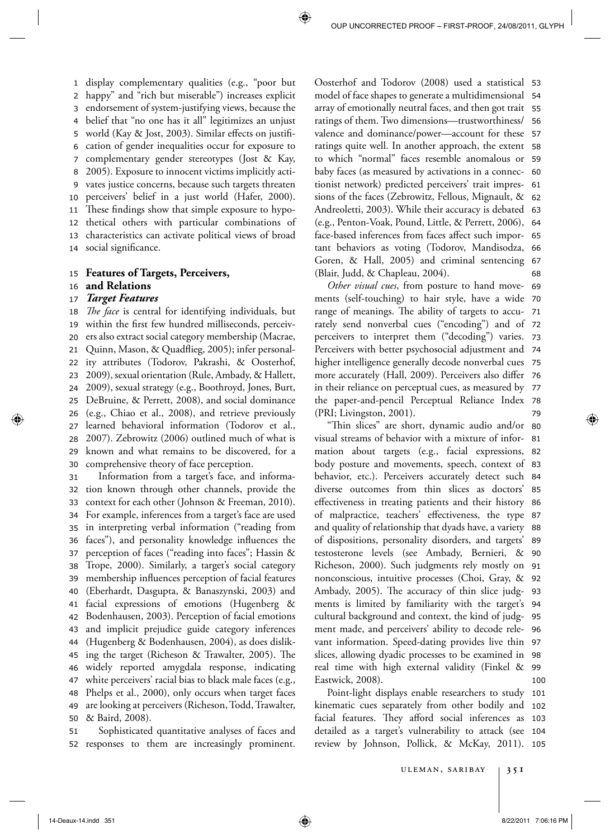14 13 12 11 10 9 8 7 6 5 4 3 2 <sup>1</sup> display complementary qualities (e.g., "poor but happy" and "rich but miserable") increases explicit endorsement of system-justifying views, because the belief that "no one has it all" legitimizes an unjust world (Kay & Jost, 2003). Similar effects on justification of gender inequalities occur for exposure to complementary gender stereotypes (Jost & Kay, 2005). Exposure to innocent victims implicitly activates justice concerns, because such targets threaten perceivers' belief in a just world (Hafer, 2000). These findings show that simple exposure to hypothetical others with particular combinations of characteristics can activate political views of broad social significance.

#### 15  **Features of Targets, Perceivers,**

#### 16 **and Relations**

#### 17  *Target Features*

30 29 28 27 26 25 24 23 22 21 20 19 18 *The face* is central for identifying individuals, but within the first few hundred milliseconds, perceivers also extract social category membership ( Macrae, Quinn, Mason, & Quadflieg, 2005); infer personality attributes ( Todorov, Pakrashi, & Oosterhof, 2009), sexual orientation (Rule, Ambady, & Hallett, 2009 ), sexual strategy (e.g., Boothroyd, Jones, Burt, DeBruine, & Perrett, 2008), and social dominance (e.g., Chiao et al., 2008), and retrieve previously learned behavioral information (Todorov et al., 2007). Zebrowitz (2006) outlined much of what is known and what remains to be discovered, for a comprehensive theory of face perception.

50 49 48 47 46 45 44 43 42 41 40 39 38 37 36 35 34 33 32 31 Information from a target's face, and information known through other channels, provide the context for each other (Johnson & Freeman, 2010). For example, inferences from a target's face are used in interpreting verbal information ("reading from faces"), and personality knowledge influences the perception of faces ("reading into faces"; Hassin & Trope, 2000). Similarly, a target's social category membership influences perception of facial features (Eberhardt, Dasgupta, & Banaszynski, 2003) and facial expressions of emotions (Hugenberg & Bodenhausen, 2003). Perception of facial emotions and implicit prejudice guide category inferences (Hugenberg & Bodenhausen, 2004), as does disliking the target (Richeson & Trawalter, 2005). The widely reported amygdala response, indicating white perceivers' racial bias to black male faces (e.g., Phelps et al., 2000), only occurs when target faces are looking at perceivers ( Richeson, Todd, Trawalter, & Baird, 2008 ).

52 51 Sophisticated quantitative analyses of faces and responses to them are increasingly prominent.

68 67 66 65 64 63 62 61 60 59 58 ratings quite well. In another approach, the extent valence and dominance/power—account for these 57 56 55 array of emotionally neutral faces, and then got trait 54 model of face shapes to generate a multidimensional 53 Oosterhof and Todorov (2008) used a statistical ratings of them. Two dimensions—trustworthiness/ to which "normal" faces resemble anomalous or baby faces (as measured by activations in a connectionist network) predicted perceivers' trait impressions of the faces (Zebrowitz, Fellous, Mignault, & Andreoletti, 2003). While their accuracy is debated (e.g., Penton-Voak, Pound, Little, & Perrett, 2006 ), face-based inferences from faces affect such important behaviors as voting ( Todorov, Mandisodza, Goren, & Hall, 2005) and criminal sentencing (Blair, Judd, & Chapleau, 2004).

79 78 the paper-and-pencil Perceptual Reliance Index 77 in their reliance on perceptual cues, as measured by more accurately (Hall, 2009). Perceivers also differ  $\,$  76  $\,$ 75 74 73 perceivers to interpret them ("decoding") varies. 72 rately send nonverbal cues ("encoding") and of 71 70 ments (self-touching) to hair style, have a wide 69 *Other visual cues*, from posture to hand moverange of meanings. The ability of targets to accu-Perceivers with better psychosocial adjustment and higher intelligence generally decode nonverbal cues (PRI; Livingston, 2001).

100 real time with high external validity (Finkel & 99 98 97 96 95 cultural background and context, the kind of judg-94 ments is limited by familiarity with the target's 93 nonconscious, intuitive processes (Choi, Gray, & 92 Richeson, 2000). Such judgments rely mostly on 91 90 89 88 and quality of relationship that dyads have, a variety of malpractice, teachers' effectiveness, the type 87 effectiveness in treating patients and their history 86 85 84 behavior, etc.). Perceivers accurately detect such body posture and movements, speech, context of 83 82 81 "Thin slices" are short, dynamic audio and/or 80 visual streams of behavior with a mixture of information about targets (e.g., facial expressions, diverse outcomes from thin slices as doctors' of dispositions, personality disorders, and targets' testosterone levels (see Ambady, Bernieri, & Ambady, 2005). The accuracy of thin slice judgment made, and perceivers' ability to decode relevant information. Speed-dating provides live thin slices, allowing dyadic processes to be examined in Eastwick, 2008).

review by Johnson, Pollick, & McKay, 2011). 105 detailed as a target's vulnerability to attack (see 104 facial features. They afford social inferences as 103 kinematic cues separately from other bodily and 102 Point-light displays enable researchers to study 101

 $ULEMAN, SARIBAY$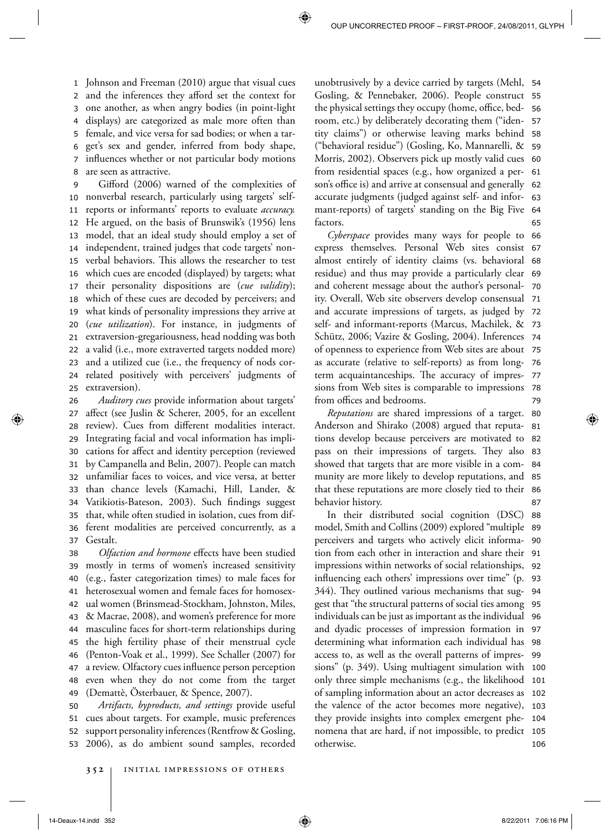8 7 6 5 4 3 2 <sup>1</sup> Johnson and Freeman (2010) argue that visual cues and the inferences they afford set the context for one another, as when angry bodies (in point-light displays) are categorized as male more often than female, and vice versa for sad bodies; or when a target's sex and gender, inferred from body shape, influences whether or not particular body motions are seen as attractive.

⊕

25 24 23 22 21 20 19 18 17 16 15 14 13 12 11 10 9 Gifford (2006) warned of the complexities of nonverbal research, particularly using targets' selfreports or informants' reports to evaluate *accuracy.* He argued, on the basis of Brunswik's (1956) lens model, that an ideal study should employ a set of independent, trained judges that code targets' nonverbal behaviors. This allows the researcher to test which cues are encoded (displayed) by targets; what their personality dispositions are (*cue validity*); which of these cues are decoded by perceivers; and what kinds of personality impressions they arrive at (*cue utilization*). For instance, in judgments of extraversion-gregariousness, head nodding was both a valid (i.e., more extraverted targets nodded more) and a utilized cue (i.e., the frequency of nods correlated positively with perceivers' judgments of extraversion).

37 36 35 34 33 32 31 30 29 28 27 26 *Auditory cues* provide information about targets' affect (see Juslin & Scherer, 2005, for an excellent review). Cues from different modalities interact. Integrating facial and vocal information has implications for affect and identity perception (reviewed by Campanella and Belin, 2007). People can match unfamiliar faces to voices, and vice versa, at better than chance levels (Kamachi, Hill, Lander, & Vatikiotis-Bateson, 2003). Such findings suggest that, while often studied in isolation, cues from different modalities are perceived concurrently, as a Gestalt.

49 48 47 46 45 44 43 42 41 40 39 38 Olfaction and hormone effects have been studied mostly in terms of women's increased sensitivity (e.g., faster categorization times) to male faces for heterosexual women and female faces for homosexual women ( Brinsmead-Stockham, Johnston, Miles, & Macrae, 2008), and women's preference for more masculine faces for short-term relationships during the high fertility phase of their menstrual cycle ( Penton-Voak et al., 1999 ). See Schaller (2007) for a review. Olfactory cues influence person perception even when they do not come from the target ( Demattè, Österbauer, & Spence, 2007 ).

53 52 51 50 *Artifacts, byproducts, and settings* provide useful cues about targets. For example, music preferences support personality inferences (Rentfrow & Gosling, 2006), as do ambient sound samples, recorded

65 64 mant-reports) of targets' standing on the Big Five 63 62 61 Morris, 2002). Observers pick up mostly valid cues 60 59 ("behavioral residue") ( Gosling, Ko, Mannarelli, & 58 57 56 Gosling, & Pennebaker, 2006). People construct 55 unobtrusively by a device carried by targets (Mehl, 54 the physical settings they occupy (home, office, bedroom, etc.) by deliberately decorating them ("identity claims") or otherwise leaving marks behind from residential spaces (e.g., how organized a person's office is) and arrive at consensual and generally accurate judgments (judged against self- and inforfactors.

79 78 sions from Web sites is comparable to impressions 77 76 75 of openness to experience from Web sites are about Schütz, 2006; Vazire & Gosling, 2004). Inferences 74 73 self- and informant-reports ( Marcus, Machilek, & 72 and accurate impressions of targets, as judged by 71 ity. Overall, Web site observers develop consensual 70 and coherent message about the author's personal-69 68 almost entirely of identity claims (vs. behavioral 67 express themselves. Personal Web sites consist Cyberspace provides many ways for people to 66 residue) and thus may provide a particularly clear as accurate (relative to self-reports) as from longterm acquaintanceships. The accuracy of impresfrom offices and bedrooms.

87 86 85 munity are more likely to develop reputations, and 84 83 82 81 80 *Reputations* are shared impressions of a target. Anderson and Shirako (2008) argued that reputations develop because perceivers are motivated to pass on their impressions of targets. They also showed that targets that are more visible in a comthat these reputations are more closely tied to their behavior history.

106 nomena that are hard, if not impossible, to predict 105 they provide insights into complex emergent phe- 104 the valence of the actor becomes more negative), 103 102 of sampling information about an actor decreases as 101 only three simple mechanisms (e.g., the likelihood sions" (p. 349). Using multiagent simulation with 100 99 98 and dyadic processes of impression formation in 97 96 individuals can be just as important as the individual 95 gest that "the structural patterns of social ties among 94 93 92 91 90 perceivers and targets who actively elicit informa-89 model, Smith and Collins (2009) explored "multiple 88 In their distributed social cognition (DSC) tion from each other in interaction and share their impressions within networks of social relationships, influencing each others' impressions over time" (p. 344). They outlined various mechanisms that sugdetermining what information each individual has access to, as well as the overall patterns of impresotherwise.

14-Deaux-14.indd 352 8/22/2011 7:06:16 PM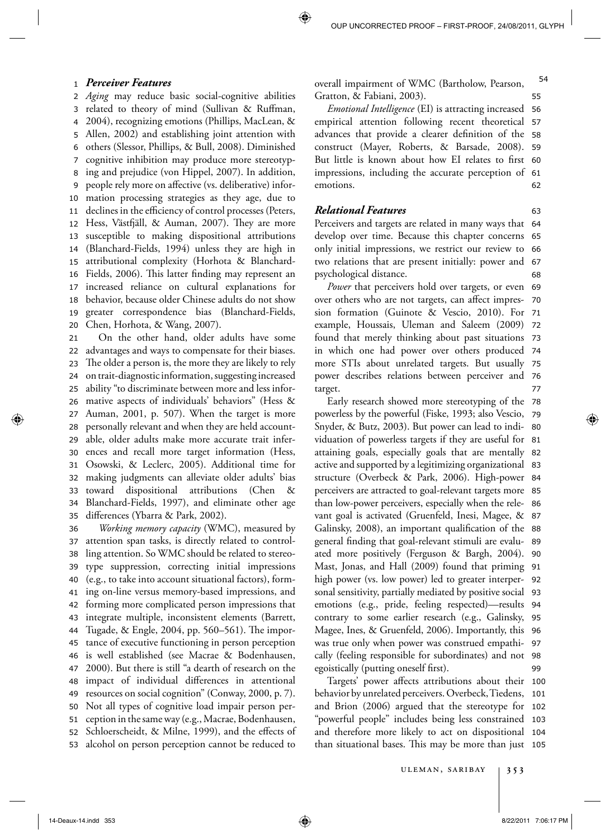## <sup>1</sup> *Perceiver Features*

20 19 18 17 16 15 14 13 12 11 10 9 8 7 6 5 4 3  $\overline{2}$ *Aging* may reduce basic social-cognitive abilities related to theory of mind (Sullivan & Ruffman, 2004), recognizing emotions (Phillips, MacLean, & Allen, 2002) and establishing joint attention with others ( Slessor, Phillips, & Bull, 2008 ). Diminished cognitive inhibition may produce more stereotyping and prejudice (von Hippel, 2007). In addition, people rely more on affective (vs. deliberative) information processing strategies as they age, due to declines in the efficiency of control processes (Peters, Hess, Västfjäll, & Auman, 2007). They are more susceptible to making dispositional attributions (Blanchard-Fields, 1994) unless they are high in attributional complexity ( Horhota & Blanchard-Fields, 2006). This latter finding may represent an increased reliance on cultural explanations for behavior, because older Chinese adults do not show greater correspondence bias ( Blanchard-Fields, Chen, Horhota, & Wang, 2007).

35 34 33 32 31 30 29 28 27 26 25 24 23 22 21 On the other hand, older adults have some advantages and ways to compensate for their biases. The older a person is, the more they are likely to rely on trait-diagnostic information, suggesting increased ability "to discriminate between more and less informative aspects of individuals' behaviors" (Hess & Auman, 2001, p. 507). When the target is more personally relevant and when they are held accountable, older adults make more accurate trait inferences and recall more target information (Hess, Osowski, & Leclerc, 2005). Additional time for making judgments can alleviate older adults' bias toward dispositional attributions (Chen & Blanchard-Fields, 1997), and eliminate other age differences (Ybarra & Park, 2002).

53 52 51 50 49 48 47 46 45 44 43 42 41 40 39 38 37 36 *Working memory capacity* (WMC), measured by attention span tasks, is directly related to controlling attention. So WMC should be related to stereotype suppression, correcting initial impressions (e.g., to take into account situational factors), forming on-line versus memory-based impressions, and forming more complicated person impressions that integrate multiple, inconsistent elements (Barrett, Tugade,  $&$  Engle, 2004, pp. 560–561). The importance of executive functioning in person perception is well established (see Macrae & Bodenhausen, 2000). But there is still "a dearth of research on the impact of individual differences in attentional resources on social cognition" (Conway, 2000, p. 7). Not all types of cognitive load impair person perception in the same way (e.g., Macrae, Bodenhausen, Schloerscheidt, & Milne, 1999), and the effects of alcohol on person perception cannot be reduced to

55 overall impairment of WMC (Bartholow, Pearson, Gratton, & Fabiani, 2003).

62 impressions, including the accurate perception of 61 But little is known about how EI relates to first 60 construct (Mayer, Roberts, & Barsade, 2008). 59 advances that provide a clearer definition of the 58 57 empirical attention following recent theoretical 56 *Emotional Intelligence* (EI) is attracting increased emotions.

## *Relational Features*

⊕

68 67 two relations that are present initially: power and 66 develop over time. Because this chapter concerns 65 64 Perceivers and targets are related in many ways that only initial impressions, we restrict our review to psychological distance.

63

⊕

54

77 76 power describes relations between perceiver and 75 74 in which one had power over others produced 73 found that merely thinking about past situations 72 example, Houssais, Uleman and Saleem (2009) 71 70 Power that perceivers hold over targets, or even 69 over others who are not targets, can affect impression formation (Guinote & Vescio, 2010). For more STIs about unrelated targets. But usually target.

99 98 cally (feeling responsible for subordinates) and not 97 Magee, Ines, & Gruenfeld, 2006). Importantly, this 96 95 emotions (e.g., pride, feeling respected)—results 94 93 92 91 Mast, Jonas, and Hall (2009) found that priming 90 89 Galinsky, 2008), an important qualification of the 88 vant goal is activated (Gruenfeld, Inesi, Magee, & 87 86 85 84 83 82 81 viduation of powerless targets if they are useful for 80 79 Early research showed more stereotyping of the 78 powerless by the powerful (Fiske, 1993; also Vescio, Snyder, & Butz, 2003). But power can lead to indiattaining goals, especially goals that are mentally active and supported by a legitimizing organizational structure (Overbeck & Park, 2006). High-power perceivers are attracted to goal-relevant targets more than low-power perceivers, especially when the relegeneral finding that goal-relevant stimuli are evaluated more positively (Ferguson & Bargh, 2004). high power (vs. low power) led to greater interpersonal sensitivity, partially mediated by positive social contrary to some earlier research (e.g., Galinsky, was true only when power was construed empathiegoistically (putting oneself first).

than situational bases. This may be more than just 105 and therefore more likely to act on dispositional 104 103 "powerful people" includes being less constrained and Brion (2006) argued that the stereotype for 102 101 behavior by unrelated perceivers. Overbeck, Tiedens, Targets' power affects attributions about their 100

ULEMAN, SARIBAY

14-Deaux-14.indd 353 8/22/2011 7:06:17 PM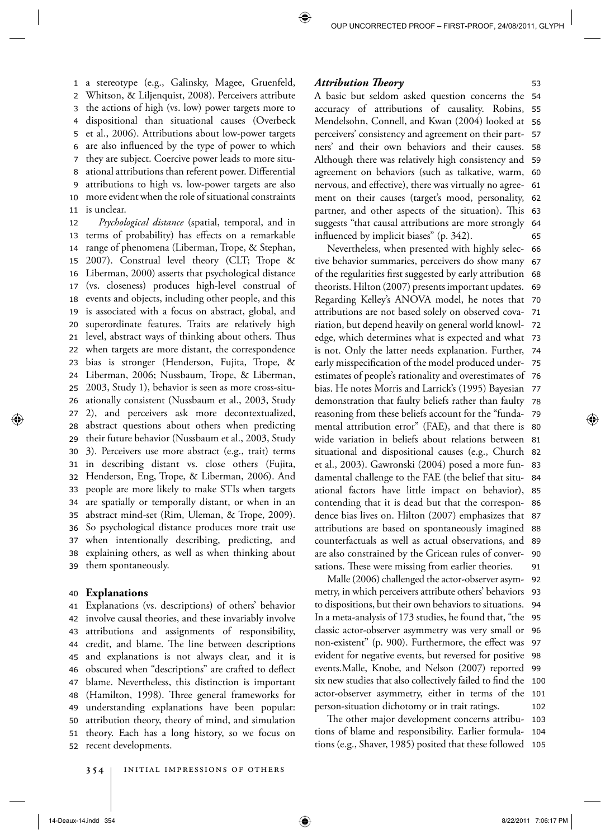53

⊕

⊕

11 10 9 8 7 6 5 4 3 2 <sup>1</sup> a stereotype (e.g., Galinsky, Magee, Gruenfeld, Whitson, & Liljenquist, 2008). Perceivers attribute the actions of high (vs. low) power targets more to dispositional than situational causes (Overbeck et al., 2006). Attributions about low-power targets are also influenced by the type of power to which they are subject. Coercive power leads to more situational attributions than referent power. Differential attributions to high vs. low-power targets are also more evident when the role of situational constraints is unclear.

39 38 37 36 35 34 33 32 31 30 29 28 27 26 25 24 23 22 21 20 19 18 17 16 15 14 13 12 *Psychological distance* (spatial, temporal, and in terms of probability) has effects on a remarkable range of phenomena (Liberman, Trope, & Stephan, 2007). Construal level theory (CLT; Trope & Liberman, 2000) asserts that psychological distance (vs. closeness) produces high-level construal of events and objects, including other people, and this is associated with a focus on abstract, global, and superordinate features. Traits are relatively high level, abstract ways of thinking about others. Thus when targets are more distant, the correspondence bias is stronger (Henderson, Fujita, Trope, & Liberman, 2006; Nussbaum, Trope, & Liberman, 2003, Study 1), behavior is seen as more cross-situationally consistent (Nussbaum et al., 2003, Study 2), and perceivers ask more decontextualized, abstract questions about others when predicting their future behavior (Nussbaum et al., 2003, Study 3). Perceivers use more abstract (e.g., trait) terms in describing distant vs. close others (Fujita, Henderson, Eng, Trope, & Liberman, 2006). And people are more likely to make STIs when targets are spatially or temporally distant, or when in an abstract mind-set (Rim, Uleman, & Trope, 2009). So psychological distance produces more trait use when intentionally describing, predicting, and explaining others, as well as when thinking about them spontaneously.

#### 40  **Explanations**

52 51 50 49 48 47 46 45 44 43 42 41 Explanations (vs. descriptions) of others' behavior involve causal theories, and these invariably involve attributions and assignments of responsibility, credit, and blame. The line between descriptions and explanations is not always clear, and it is obscured when "descriptions" are crafted to deflect blame. Nevertheless, this distinction is important (Hamilton, 1998). Three general frameworks for understanding explanations have been popular: attribution theory, theory of mind, and simulation theory. Each has a long history, so we focus on recent developments.

## *Attribution Theory*

65 64 partner, and other aspects of the situation). This 63 62 61 60 59 Although there was relatively high consistency and 58 ners' and their own behaviors and their causes. 57 56 Mendelsohn, Connell, and Kwan (2004) looked at 55 accuracy of attributions of causality. Robins, 54 A basic but seldom asked question concerns the perceivers' consistency and agreement on their partagreement on behaviors (such as talkative, warm, nervous, and effective), there was virtually no agreement on their causes (target's mood, personality, suggests "that causal attributions are more strongly influenced by implicit biases" (p. 342).

91 90 89 counterfactuals as well as actual observations, and 88 attributions are based on spontaneously imagined 87 dence bias lives on. Hilton (2007) emphasizes that 86 85 84 83 situational and dispositional causes (e.g., Church 82 81 wide variation in beliefs about relations between 80 mental attribution error" (FAE), and that there is 79 reasoning from these beliefs account for the "funda-78 bias. He notes Morris and Larrick's (1995) Bayesian 77 76 estimates of people's rationality and overestimates of 75 74 73 edge, which determines what is expected and what 72 riation, but depend heavily on general world knowl-71 70 Regarding Kelley's ANOVA model, he notes that 69 68 67 66 Nevertheless, when presented with highly selective behavior summaries, perceivers do show many of the regularities first suggested by early attribution theorists. Hilton (2007) presents important updates. attributions are not based solely on observed covais not. Only the latter needs explanation. Further, early misspecification of the model produced underdemonstration that faulty beliefs rather than faulty et al., 2003). Gawronski (2004) posed a more fundamental challenge to the FAE (the belief that situational factors have little impact on behavior), contending that it is dead but that the corresponare also constrained by the Gricean rules of conversations. These were missing from earlier theories.

102 actor-observer asymmetry, either in terms of the 101 six new studies that also collectively failed to find the 100 99 98 evident for negative events, but reversed for positive non-existent" (p. 900). Furthermore, the effect was 97 96 classic actor-observer asymmetry was very small or 95 In a meta-analysis of 173 studies, he found that, "the 94 to dispositions, but their own behaviors to situations. 93 92 Malle (2006) challenged the actor-observer asymmetry, in which perceivers attribute others' behaviors events. Malle, Knobe, and Nelson (2007) reported person-situation dichotomy or in trait ratings.

tions (e.g., Shaver, 1985) posited that these followed 105 104 The other major development concerns attribu- 103 tions of blame and responsibility. Earlier formula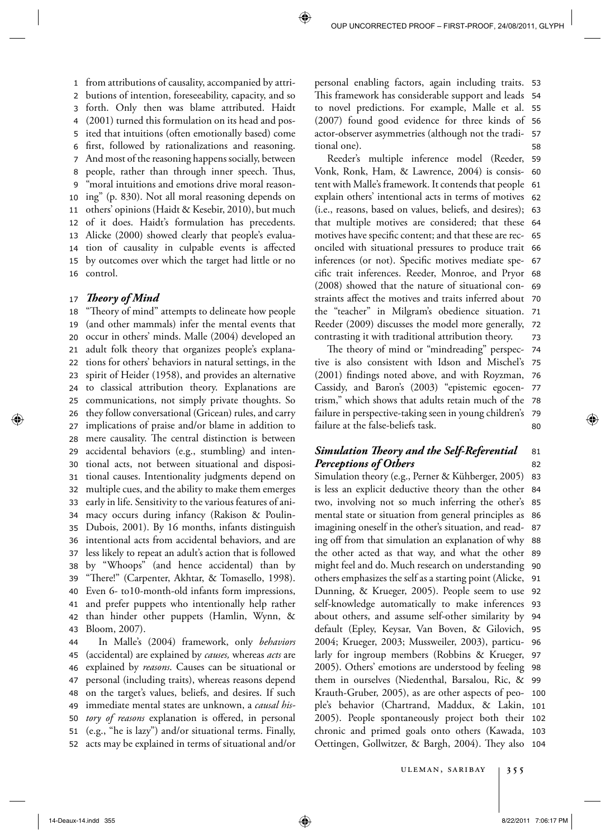16 15 14 13 12 11 10 9 8 7 6 5 4 3 2 <sup>1</sup> from attributions of causality, accompanied by attributions of intention, foreseeability, capacity, and so forth. Only then was blame attributed. Haidt (2001) turned this formulation on its head and posited that intuitions (often emotionally based) come first, followed by rationalizations and reasoning. And most of the reasoning happens socially, between people, rather than through inner speech. Thus, "moral intuitions and emotions drive moral reasoning" (p. 830). Not all moral reasoning depends on others' opinions (Haidt & Kesebir, 2010), but much of it does. Haidt's formulation has precedents. Alicke (2000) showed clearly that people's evaluation of causality in culpable events is affected by outcomes over which the target had little or no control.

## 17 *Theory of Mind*

43 42 41 40 39 38 37 36 35 34 33 32 31 30 29 28 27 26 25 24 23 22 21 20 19 18 "Theory of mind" attempts to delineate how people (and other mammals) infer the mental events that occur in others' minds. Malle (2004) developed an adult folk theory that organizes people's explanations for others' behaviors in natural settings, in the spirit of Heider (1958), and provides an alternative to classical attribution theory. Explanations are communications, not simply private thoughts. So they follow conversational (Gricean) rules, and carry implications of praise and/or blame in addition to mere causality. The central distinction is between accidental behaviors (e.g., stumbling) and intentional acts, not between situational and dispositional causes. Intentionality judgments depend on multiple cues, and the ability to make them emerges early in life. Sensitivity to the various features of animacy occurs during infancy (Rakison & Poulin-Dubois, 2001). By 16 months, infants distinguish intentional acts from accidental behaviors, and are less likely to repeat an adult's action that is followed by "Whoops" (and hence accidental) than by "There!" (Carpenter, Akhtar, & Tomasello, 1998). Even 6- to10-month-old infants form impressions, and prefer puppets who intentionally help rather than hinder other puppets (Hamlin, Wynn, & Bloom, 2007).

52 51 50 49 48 47 46 45 44 In Malle's (2004) framework, only *behaviors* (accidental) are explained by *causes,* whereas *acts* are explained by *reasons* . Causes can be situational or personal (including traits), whereas reasons depend on the target's values, beliefs, and desires. If such immediate mental states are unknown, a *causal his*tory of reasons explanation is offered, in personal (e.g., "he is lazy") and/or situational terms. Finally, acts may be explained in terms of situational and/or

58 57 (2007) found good evidence for three kinds of 56 55 This framework has considerable support and leads 54 53 personal enabling factors, again including traits. to novel predictions. For example, Malle et al. actor-observer asymmetries (although not the traditional one).

73 72 71 straints affect the motives and traits inferred about 70 69 68 67 66 onciled with situational pressures to produce trait 65 64 that multiple motives are considered; that these 63 62 explain others' intentional acts in terms of motives tent with Malle's framework. It contends that people 61 60 Reeder's multiple inference model (Reeder, 59 Vonk, Ronk, Ham, & Lawrence, 2004) is consis-(i.e., reasons, based on values, beliefs, and desires); motives have specific content; and that these are recinferences (or not). Specific motives mediate specific trait inferences. Reeder, Monroe, and Pryor (2008) showed that the nature of situational conthe "teacher" in Milgram's obedience situation. Reeder (2009) discusses the model more generally, contrasting it with traditional attribution theory.

80 79 78 77 (2001) findings noted above, and with Royzman, 76 75 74 The theory of mind or "mindreading" perspective is also consistent with Idson and Mischel's Cassidy, and Baron's (2003) "epistemic egocentrism," which shows that adults retain much of the failure in perspective-taking seen in young children's failure at the false-beliefs task.

## 82 81  *Simulation Th eory and the Self-Referential Perceptions of Others*

Oettingen, Gollwitzer, & Bargh, 2004). They also 104 chronic and primed goals onto others (Kawada, 103 2005). People spontaneously project both their 102 ple's behavior (Chartrand, Maddux, & Lakin, 101 Krauth-Gruber, 2005), as are other aspects of peo- 100 99 them in ourselves ( Niedenthal, Barsalou, Ric, & 2005). Others' emotions are understood by feeling 98 larly for ingroup members (Robbins & Krueger, 97 96 95 94 about others, and assume self-other similarity by 93 self-knowledge automatically to make inferences Dunning, & Krueger, 2005). People seem to use 92 91 90 might feel and do. Much research on understanding 89 88 87 86 mental state or situation from general principles as 85 84 83 Simulation theory (e.g., Perner & Kühberger, 2005) is less an explicit deductive theory than the other two, involving not so much inferring the other's imagining oneself in the other's situation, and reading off from that simulation an explanation of why the other acted as that way, and what the other others emphasizes the self as a starting point ( Alicke, default ( Epley, Keysar, Van Boven, & Gilovich, 2004; Krueger, 2003; Mussweiler, 2003), particu-

ULEMAN, SARIBAY

14-Deaux-14.indd 355 8/22/2011 7:06:17 PM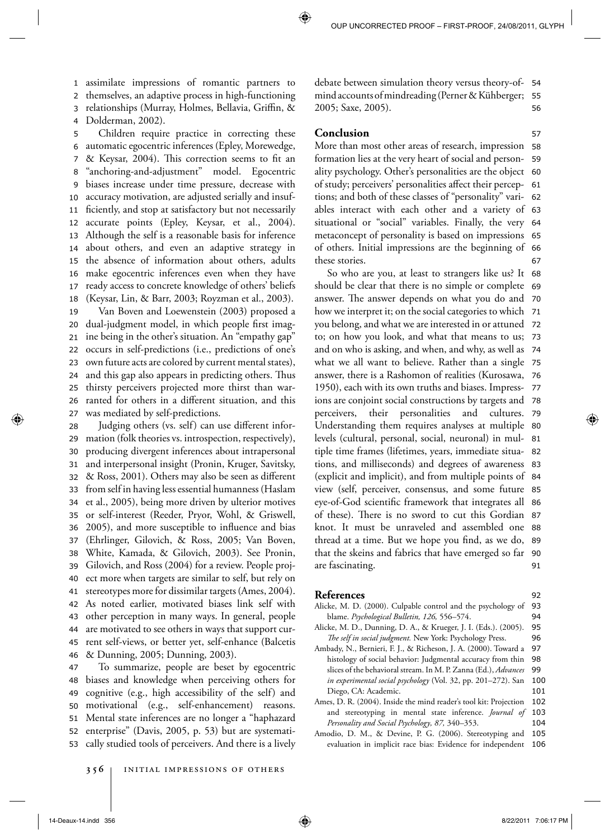4 3 2 <sup>1</sup> assimilate impressions of romantic partners to themselves, an adaptive process in high-functioning relationships (Murray, Holmes, Bellavia, Griffin, & Dolderman, 2002).

27 26 25 24 23 22 21 20 19 18 17 16 15 14 13 12 11 10 9 8 7 6 5 Children require practice in correcting these automatic egocentric inferences (Epley, Morewedge, & Keysar, 2004). This correction seems to fit an "anchoring-and-adjustment" model. Egocentric biases increase under time pressure, decrease with accuracy motivation, are adjusted serially and insufficiently, and stop at satisfactory but not necessarily accurate points (Epley, Keysar, et al., 2004). Although the self is a reasonable basis for inference about others, and even an adaptive strategy in the absence of information about others, adults make egocentric inferences even when they have ready access to concrete knowledge of others' beliefs (Keysar, Lin, & Barr, 2003; Royzman et al., 2003). Van Boven and Loewenstein (2003) proposed a dual-judgment model, in which people first imagine being in the other's situation. An "empathy gap" occurs in self-predictions (i.e., predictions of one's own future acts are colored by current mental states), and this gap also appears in predicting others. Thus thirsty perceivers projected more thirst than warranted for others in a different situation, and this was mediated by self-predictions.

46 45 44 43 42 41 40 39 38 37 36 35 34 33 32 31 30 29 28 Judging others (vs. self) can use different information (folk theories vs. introspection, respectively), producing divergent inferences about intrapersonal and interpersonal insight ( Pronin, Kruger, Savitsky, & Ross, 2001). Others may also be seen as different from self in having less essential humanness ( Haslam et al., 2005), being more driven by ulterior motives or self-interest ( Reeder, Pryor, Wohl, & Griswell, 2005), and more susceptible to influence and bias (Ehrlinger, Gilovich, & Ross, 2005; Van Boven, White, Kamada, & Gilovich, 2003). See Pronin, Gilovich, and Ross (2004) for a review. People project more when targets are similar to self, but rely on stereotypes more for dissimilar targets (Ames, 2004). As noted earlier, motivated biases link self with other perception in many ways. In general, people are motivated to see others in ways that support current self-views, or better yet, self-enhance (Balcetis & Dunning, 2005; Dunning, 2003).

53 52 51 50 49 48 47 To summarize, people are beset by egocentric biases and knowledge when perceiving others for cognitive (e.g., high accessibility of the self) and motivational (e.g., self-enhancement) reasons. Mental state inferences are no longer a "haphazard enterprise" (Davis, 2005, p. 53) but are systematically studied tools of perceivers. And there is a lively

56 55 mind accounts of mindreading ( Perner & Kühberger; 54 debate between simulation theory versus theory-of-2005; Saxe, 2005).

## **Conclusion**

⊕

67 66 of others. Initial impressions are the beginning of 65 metaconcept of personality is based on impressions 64 situational or "social" variables. Finally, the very ables interact with each other and a variety of 63 62 61 60 ality psychology. Other's personalities are the object 59 58 More than most other areas of research, impression 57 formation lies at the very heart of social and personof study; perceivers' personalities affect their perceptions; and both of these classes of "personality" varithese stories.

91 90 89 88 knot. It must be unraveled and assembled one of these). There is no sword to cut this Gordian 87 eye-of-God scientific framework that integrates all 86 85 view (self, perceiver, consensus, and some future (explicit and implicit), and from multiple points of 84 83 82 81 Understanding them requires analyses at multiple 80 79 78 ions are conjoint social constructions by targets and 77 76 75 what we all want to believe. Rather than a single 74 and on who is asking, and when, and why, as well as 73 to; on how you look, and what that means to us; 72 you belong, and what we are interested in or attuned how we interpret it; on the social categories to which 71 70 69 should be clear that there is no simple or complete So who are you, at least to strangers like us? It 68 answer. The answer depends on what you do and answer, there is a Rashomon of realities ( Kurosawa, 1950), each with its own truths and biases. Impressperceivers, their personalities and cultures. levels (cultural, personal, social, neuronal) in multiple time frames (lifetimes, years, immediate situations, and milliseconds) and degrees of awareness thread at a time. But we hope you find, as we do, that the skeins and fabrics that have emerged so far are fascinating.

## **References**

- 94 93 Alicke, M. D. (2000). Culpable control and the psychology of blame. Psychological Bulletin, 126, 556-574.
- 96 95 Alicke, M. D., Dunning, D. A., & Krueger, J. I. (Eds.). (2005). The self in social judgment. New York: Psychology Press.
- 101 100 99 98 97 Ambady, N., Bernieri, F. J., & Richeson, J. A. (2000). Toward a histology of social behavior: Judgmental accuracy from thin slices of the behavioral stream . In M. P. Zanna (Ed.), *Advances in experimental social psychology* (Vol. 32, pp. 201-272). San Diego, CA: Academic.
- 104 103 102 Ames, D. R. (2004). Inside the mind reader's tool kit: Projection and stereotyping in mental state inference . *Journal of*  Personality and Social Psychology, 87, 340-353.
- evaluation in implicit race bias: Evidence for independent 106 105 Amodio, D. M., & Devine, P. G. (2006). Stereotyping and

92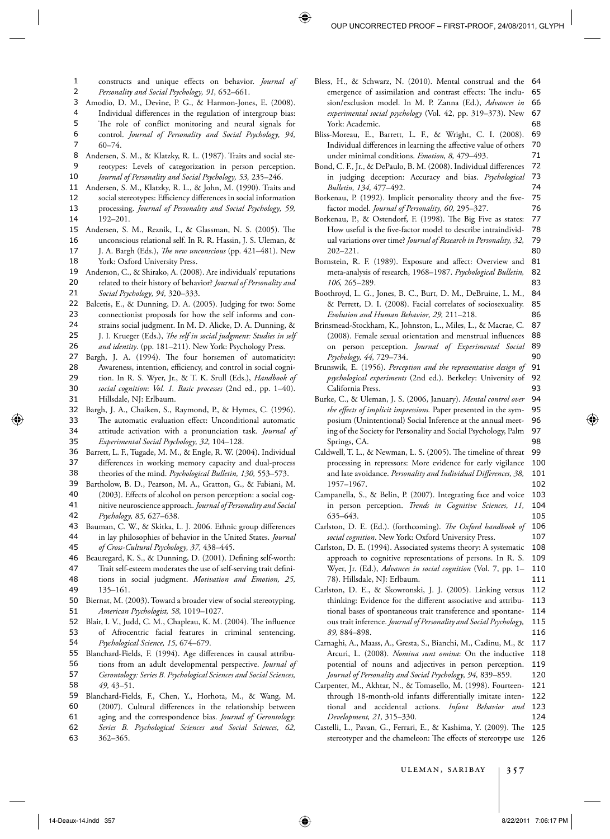- 2 1 constructs and unique effects on behavior. *Journal of* Personality and Social Psychology, 91, 652-661.
- 3 Amodio, D. M., Devine, P. G., & Harmon-Jones, E. (2008).
- 4 Individual differences in the regulation of intergroup bias:
- 7 6 5 The role of conflict monitoring and neural signals for control . *Journal of Personality and Social Psychology, 94,*  $60 - 74$
- 9 8 Andersen, S. M., & Klatzky, R. L. (1987). Traits and social stereotypes: Levels of categorization in person perception.
- 10 Journal of Personality and Social Psychology, 53, 235-246.
- 11 Andersen, S. M., Klatzky, R. L., & John, M. (1990). Traits and
- 12 social stereotypes: Efficiency differences in social information
- 14 13 processing . *Journal of Personality and Social Psychology, 59,*  $192 - 201$
- 15 Andersen, S. M., Reznik, I., & Glassman, N. S. (2005). The
- 17 16 unconscious relational self. In R. R. Hassin, J. S. Uleman, & J. A. Bargh (Eds.), *The new unconscious* (pp. 421-481). New
- 18 York: Oxford University Press.
- 20 19 Anderson, C., & Shirako, A. (2008). Are individuals' reputations related to their history of behavior? *Journal of Personality and*
- 22 21 Social Psychology, 94, 320-333. Balcetis, E., & Dunning, D. A. (2005). Judging for two: Some
- 23 connectionist proposals for how the self informs and con-
- 24 strains social judgment. In M. D. Alicke, D. A. Dunning, &
- 25 J. J. Krueger (Eds.), *The self in social judgment: Studies in self*
- 26 and identity. (pp. 181-211). New York: Psychology Press.
- 27 Bargh, J. A. (1994). The four horsemen of automaticity:
- 28 Awareness, intention, efficiency, and control in social cogni-
- 31 30 29 tion. In R. S. Wyer, Jr., & T. K. Srull (Eds.), *Handbook of* social cognition: Vol. 1. Basic processes (2nd ed., pp. 1-40). Hillsdale, NJ: Erlbaum.
- 35 34 33 32 Bargh, J. A., Chaiken, S., Raymond, P., & Hymes, C. (1996). The automatic evaluation effect: Unconditional automatic attitude activation with a pronunciation task . *Journal of Experimental Social Psychology, 32, 104-128.*
- 38 37 36 Barrett, L. F., Tugade, M. M., & Engle, R. W. (2004). Individual differences in working memory capacity and dual-process theories of the mind. *Psychological Bulletin*, 130, 553-573.
- 39 Bartholow, B. D., Pearson, M. A., Gratton, G., & Fabiani, M.
- 40 (2003). Effects of alcohol on person perception: a social cog-
- 42 41 nitive neuroscience approach . *Journal of Personality and Social*  Psychology, 85, 627-638.
- 43 Bauman, C. W., & Skitka, L. J. 2006. Ethnic group differences
- 45 44 in lay philosophies of behavior in the United States . *Journal of Cross-Cultural Psychology, 37,* 438 – 445 .
- 46 Beauregard, K. S., & Dunning, D. (2001). Defining self-worth:
- 47 Trait self-esteem moderates the use of self-serving trait defini-
- 49 48 tions in social judgment. Motivation and Emotion, 25, 135 – 161.
- 51 50 Biernat, M. (2003). Toward a broader view of social stereotyping. *American Psychologist, 58,* 1019 – 1027 .
- 52 Blair, I. V., Judd, C. M., Chapleau, K. M. (2004). The influence
- 54 53 of Afrocentric facial features in criminal sentencing . Psychological Science, 15, 674-679.
- 55 Blanchard-Fields, F. (1994). Age differences in causal attribu-
- 56 tions from an adult developmental perspective. *Journal of*
- 58 57 *Gerontology: Series B. Psychological Sciences and Social Sciences, 49,* 43 – 51 .
- 59 Blanchard-Fields, F., Chen, Y., Horhota, M., & Wang, M.
- 60 (2007). Cultural differences in the relationship between
- 61 aging and the correspondence bias . *Journal of Gerontology:*
- 63 62 *Series B. Psychological Sciences and Social Sciences, 62,* 362-365.
- 68 67 66 65 64 Bless, H., & Schwarz, N. (2010). Mental construal and the emergence of assimilation and contrast effects: The inclusion/exclusion model . In M. P. Zanna (Ed.), *Advances in experimental social psychology* (Vol. 42, pp. 319–373). New York: Academic.
- 71 70 69 Bliss-Moreau, E., Barrett, L. F., & Wright, C. I. (2008). Individual differences in learning the affective value of others under minimal conditions. *Emotion*, 8, 479-493.
- 74 73 72 Bond, C. F., Jr., & DePaulo, B. M. (2008). Individual differences in judging deception: Accuracy and bias . *Psychological Bulletin, 134,* 477 – 492 .
- 76 75 Borkenau, P. (1992). Implicit personality theory and the fivefactor model. *Journal of Personality*, 60, 295-327.
- 80 79 78 77 Borkenau, P., & Ostendorf, F. (1998). The Big Five as states: How useful is the five-factor model to describe intraindividual variations over time? *Journal of Research in Personality, 32,* 202-221.
- 83 82 81 Bornstein, R. F. (1989). Exposure and affect: Overview and meta-analysis of research, 1968–1987 . *Psychological Bulletin, 106,* 265 – 289 .
- 86 85 84 Boothroyd, L. G., Jones, B. C., Burt, D. M., DeBruine, L. M., & Perrett, D. I. (2008). Facial correlates of sociosexuality. *Evolution and Human Behavior, 29,* 211 – 218 .
- 90 89 88 87 Brinsmead-Stockham, K., Johnston, L., Miles, L., & Macrae, C. (2008). Female sexual orientation and menstrual influences on person perception . *Journal of Experimental Social*  Psychology, 44, 729-734.
- 93 92 91 Brunswik, E. (1956). *Perception and the representative design of* psychological experiments (2nd ed.). Berkeley: University of California Press.
- 98 97 96 95 94 Burke, C., & Uleman, J. S. (2006, January). *Mental control over the effects of implicit impressions*. Paper presented in the symposium (Unintentional) Social Inference at the annual meeting of the Society for Personality and Social Psychology , Palm Springs, CA.
- 102 101 100 99 Caldwell, T. L., & Newman, L. S. (2005). The timeline of threat processing in repressors: More evidence for early vigilance and late avoidance. Personality and Individual Differences, 38, 1957-1967.
- 105 104 103 Campanella, S., & Belin, P. (2007). Integrating face and voice in person perception. *Trends in Cognitive Sciences*, 11, 635-643.
- 107 106 Carlston, D. E. (Ed.). (forthcoming). *The Oxford handbook of* social cognition. New York: Oxford University Press.
- 111 110 109 108 Carlston, D. E. (1994). Associated systems theory: A systematic approach to cognitive representations of persons. In R. S. Wyer, Jr. (Ed.), *Advances in social cognition* (Vol. 7, pp. 1-78). Hillsdale, NJ: Erlbaum.
- 116 115 114 113 112 Carlston, D. E., & Skowronski, J. J. (2005). Linking versus thinking: Evidence for the different associative and attributional bases of spontaneous trait transference and spontaneous trait inference . *Journal of Personality and Social Psychology, 89,* 884 – 898 .
- 120 119 118 117 Carnaghi, A., Maass, A., Gresta, S., Bianchi, M., Cadinu, M., & Arcuri, L. (2008). *Nomina sunt omina*: On the inductive potential of nouns and adjectives in person perception. *Journal of Personality and Social Psychology, 94,* 839 – 859.
- 124 123 122 121 Carpenter, M., Akhtar, N., & Tomasello, M. (1998). Fourteenthrough 18-month-old infants differentially imitate intentional and accidental actions . *Infant Behavior and Development, 21,* 315 – 330 .
- stereotyper and the chameleon: The effects of stereotype use 126 125 Castelli, L., Pavan, G., Ferrari, E., & Kashima, Y. (2009). The

 $ULEMAN, SARIBAY$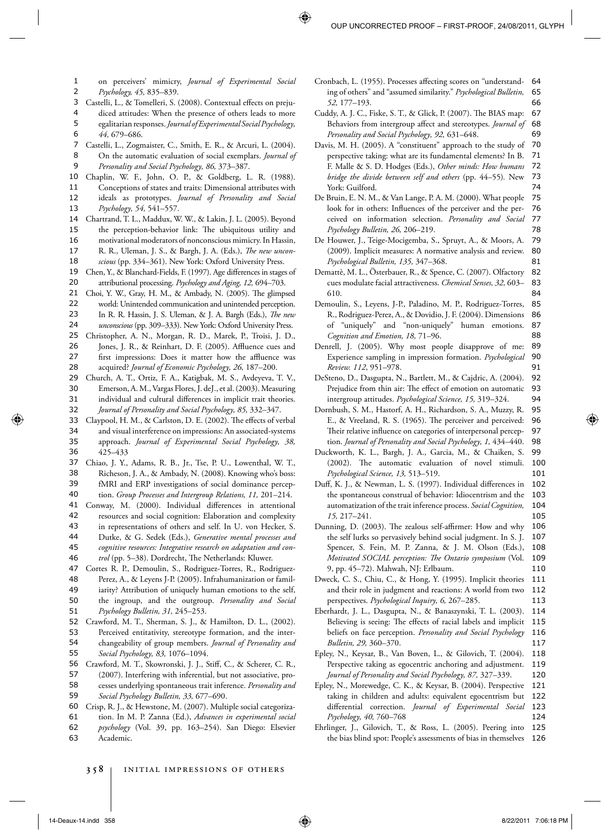

- 2 1 on perceivers' mimicry , *Journal of Experimental Social Psychology, 45,* 835 – 839 .
- 3 Castelli, L., & Tomelleri, S. (2008). Contextual effects on preju-
- 5 4 diced attitudes: When the presence of others leads to more egalitarian responses . *Journal of Experimental Social Psychology,*
- 6 *44,* 679 – 686 .
- 7 Castelli, L., Zogmaister, C., Smith, E. R., & Arcuri, L. (2004).
- 9 8 On the automatic evaluation of social exemplars . *Journal of*
- Personality and Social Psychology, 86, 373-387.
- 10 Chaplin, W. F., John, O. P., & Goldberg, L. R. (1988).
- 12 11 Conceptions of states and traits: Dimensional attributes with ideals as prototypes. *Journal of Personality and Social*
- 13 Psychology, 54, 541-557.
- 14 Chartrand, T. L., Maddux, W. W., & Lakin, J. L. (2005). Beyond
- 16 15 the perception-behavior link: The ubiquitous utility and motivational moderators of nonconscious mimicry. In Hassin,
- 17 R. R., Uleman, J. S., & Bargh, J. A. (Eds.), *The new uncon-*
- 18 scious (pp. 334-361). New York: Oxford University Press.
- 20 19 Chen, Y., & Blanchard-Fields, F. (1997). Age differences in stages of attributional processing. Psychology and Aging, 12, 694-703.
- 21 Choi, Y. W., Gray, H. M., & Ambady, N. (2005). The glimpsed
- 22 world: Unintended communication and unintended perception.
- 23 In R. R. Hassin, J. S. Uleman, & J. A. Bargh (Eds.), *The new*
- 24 unconscious (pp. 309-333). New York: Oxford University Press.
- 26 25 Christopher, A. N., Morgan, R. D., Marek, P., Troisi, J. D., Jones, J. R., & Reinhart, D. F. (2005). Affluence cues and
- 28 27 first impressions: Does it matter how the affluence was acquired? *Journal of Economic Psychology, 26, 187-200*.
- 32 31 30 29 Church, A. T., Ortiz, F. A., Katigbak, M. S., Avdeyeva, T. V., Emerson, A. M., Vargas Flores, J. deJ., et al. (2003). Measuring individual and cultural differences in implicit trait theories. Journal of Personality and Social Psychology, 85, 332-347.
- 36 35 34 33 Claypool, H. M., & Carlston, D. E. (2002). The effects of verbal and visual interference on impressions: An associated-systems approach . *Journal of Experimental Social Psychology, 38,* 425 – 433
- 37 Chiao, J. Y., Adams, R. B., Jr., Tse, P. U., Lowenthal, W. T.,
- 38 Richeson, J. A., & Ambady, N. (2008). Knowing who's boss:
- 39 fMRI and ERP investigations of social dominance percep-
- 40 tion. *Group Processes and Intergroup Relations, 11*, 201-214.
- 41 Conway, M. (2000). Individual differences in attentional
- 43 42 resources and social cognition: Elaboration and complexity
- 44 in representations of others and self. In U. von Hecker, S. Dutke, & G. Sedek (Eds.), *Generative mental processes and*
- 45 *cognitive resources: Integrative research on adaptation and con-*
- 46 trol (pp. 5-38). Dordrecht, The Netherlands: Kluwer.
- 47 Cortes R. P., Demoulin, S., Rodriguez-Torres, R., Rodriguez-
- 49 48 Perez, A., & Leyens J-P. (2005). Infrahumanization or familiarity? Attribution of uniquely human emotions to the self,
- 51 50 the ingroup, and the outgroup. Personality and Social Psychology Bulletin, 31, 245-253.
- 52 Crawford, M. T., Sherman, S. J., & Hamilton, D. L., (2002).
- 53 Perceived entitativity, stereotype formation, and the inter-
- 55 54 changeability of group members . *Journal of Personality and*  Social Psychology, 83, 1076-1094.
- 56 Crawford, M. T., Skowronski, J. J., Stiff, C., & Scherer, C. R.,
- 58 57 (2007). Interfering with inferential, but not associative, pro-
- 59 cesses underlying spontaneous trait inference . *Personality and*  Social Psychology Bulletin, 33, 677-690.
- 60 Crisp, R. J., & Hewstone, M. (2007). Multiple social categoriza-
- 61 tion . In M. P. Zanna (Ed.), *Advances in experimental social*
- 63 62 psychology (Vol. 39, pp. 163-254). San Diego: Elsevier Academic.
- 66 65 64 Cronbach, L. (1955). Processes affecting scores on "understanding of others" and "assumed similarity." *Psychological Bulletin*, *52,* 177 – 193 .
- 69 68 67 Cuddy, A. J. C., Fiske, S. T., & Glick, P. (2007). The BIAS map: Behaviors from intergroup affect and stereotypes. *Journal of* Personality and Social Psychology, 92, 631-648.
- 74 73 72 71 70 Davis, M. H. (2005). A "constituent" approach to the study of perspective taking: what are its fundamental elements? In B. F. Malle & S. D. Hodges (Eds.), *Other minds: How humans bridge the divide between self and others* (pp. 44-55). New York: Guilford.
- 78 77 76 75 De Bruin, E. N. M., & Van Lange, P. A. M. (2000). What people look for in others: Influences of the perceiver and the perceived on information selection . *Personality and Social*  Psychology Bulletin, 26, 206-219.
- 81 80 79 De Houwer, J., Teige-Mocigemba, S., Spruyt, A., & Moors, A. (2009). Implicit measures: A normative analysis and review. *Psychological Bulletin, 135,* 347 – 368 .
- 84 83 82 Demattè, M. L., Österbauer, R., & Spence, C. (2007). Olfactory cues modulate facial attractiveness . *Chemical Senses, 32,* 603 – 610.
- 88 87 86 85 Demoulin, S., Leyens, J-P., Paladino, M. P., Rodriguez-Torres, R., Rodriguez-Perez, A., & Dovidio, J. F. (2004). Dimensions of "uniquely" and "non-uniquely" human emotions. Cognition and Emotion, 18, 71-96.
- 91 90 89 Denrell, J. (2005). Why most people disapprove of me: Experience sampling in impression formation . *Psychological Review. 112* , 951 – 978 .
- 94 93 92 DeSteno, D., Dasgupta, N., Bartlett, M., & Cajdric, A. (2004). Prejudice from thin air: The effect of emotion on automatic intergroup attitudes. Psychological Science, 15, 319-324.
- 98 97 96 95 Dornbush, S. M., Hastorf, A. H., Richardson, S. A., Muzzy, R. E., & Vreeland, R. S. (1965). The perceiver and perceived: Their relative influence on categories of interpersonal perception. *Journal of Personality and Social Psychology*, 1, 434-440.
- 101 100 99 Duckworth, K. L., Bargh, J. A., Garcia, M., & Chaiken, S. (2002). The automatic evaluation of novel stimuli. Psychological Science, 13, 513-519.
- 105 104 103 102 Duff, K. J., & Newman, L. S. (1997). Individual differences in the spontaneous construal of behavior: Idiocentrism and the automatization of the trait inference process . *Social Cognition, 15,* 217 – 241 .
- 110 109 108 107 106 Dunning, D. (2003). The zealous self-affirmer: How and why the self lurks so pervasively behind social judgment. In S. J. Spencer, S. Fein, M. P. Zanna, & J. M. Olson (Eds.), *Motivated SOCIAL perception: The Ontario symposium* (Vol. 9, pp. 45-72). Mahwah, NJ: Erlbaum.
- 113 112 111 Dweck, C. S., Chiu, C., & Hong, Y. (1995). Implicit theories and their role in judgment and reactions: A world from two perspectives. Psychological Inquiry, 6, 267-285.
- 117 116 115 114 Eberhardt, J. L., Dasgupta, N., & Banaszynski, T. L. (2003). Believing is seeing: The effects of racial labels and implicit beliefs on face perception . *Personality and Social Psychology Bulletin, 29,* 360 – 370 .
- 120 119 118 Epley, N., Keysar, B., Van Boven, L., & Gilovich, T. (2004). Perspective taking as egocentric anchoring and adjustment. Journal of Personality and Social Psychology, 87, 327–339.
- 124 differential correction. *Journal of Experimental Social* 123 122 taking in children and adults: equivalent egocentrism but Epley, N., Morewedge, C. K., & Keysar, B. (2004). Perspective 121 *Psychology, 40,* 760 – 768
- 126 the bias blind spot: People's assessments of bias in themselves 125 Ehrlinger, J., Gilovich, T., & Ross, L. (2005). Peering into

14-Deaux-14.indd 358 8/22/2011 7:06:18 PM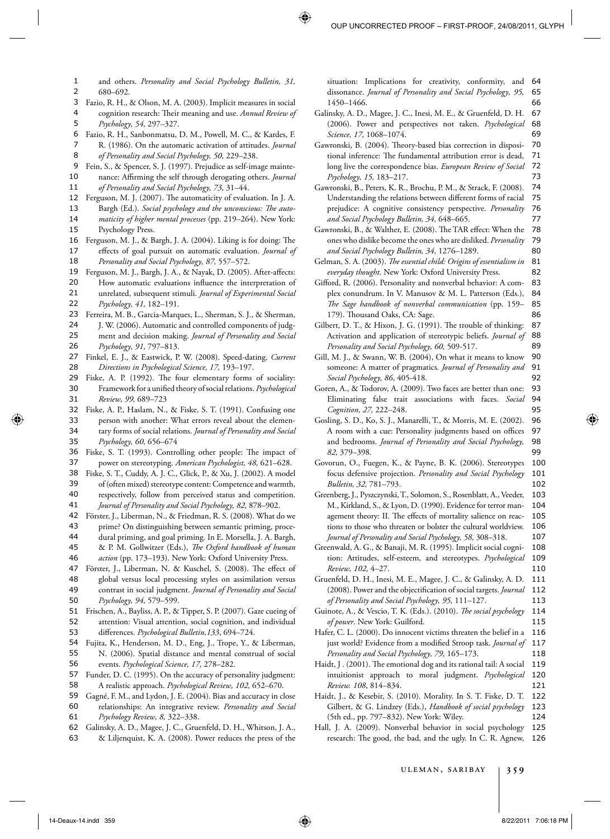- ⊕
- 2 1 and others . *Personality and Social Psychology Bulletin, 31,* 680 – 692.
- 5 4 3 Fazio, R. H., & Olson, M. A. (2003). Implicit measures in social cognition research: Their meaning and use. *Annual Review of* Psychology, 54, 297-327.

8 7 6 Fazio, R. H., Sanbonmatsu, D. M., Powell, M. C., & Kardes, F. R. (1986). On the automatic activation of attitudes. *Journal* of Personality and Social Psychology, 50, 229-238.

- 9
- 10 Fein, S., & Spencer, S. J. (1997). Prejudice as self-image maintenance: Affirming the self through derogating others. *Journal*
- 11 of Personality and Social Psychology, 73, 31-44.
- 12 Ferguson, M. J. (2007). The automaticity of evaluation. In J. A.
- 13 Bargh (Ed.). Social psychology and the unconscious: The auto-
- 14 *maticity of higher mental processes* (pp. 219-264). New York:
- 17 16 15 Psychology Press. Ferguson, M. J., & Bargh, J. A. (2004). Liking is for doing: The effects of goal pursuit on automatic evaluation. *Journal of*
- 18 Personality and Social Psychology, 87, 557-572.
- 19 Ferguson, M. J., Bargh, J. A., & Nayak, D. (2005). After-affects:
- 20 How automatic evaluations influence the interpretation of
- 22 21 unrelated, subsequent stimuli . *Journal of Experimental Social*  Psychology, 41, 182-191.
- 23 Ferreira, M. B., Garcia-Marques, L., Sherman, S. J., & Sherman,
- 24 J. W. (2006). Automatic and controlled components of judg-
- 26 25 ment and decision making. *Journal of Personality and Social* Psychology, 91, 797-813.
- 28 27 Finkel, E. J., & Eastwick, P. W. (2008). Speed-dating. Current *Directions in Psychological Science, 17, 193-197.*
- 31 30 29 Fiske, A. P. (1992). The four elementary forms of sociality: Framework for a unified theory of social relations. *Psychological Review, 99,* 689 – 723
- 34 33 32 Fiske, A. P., Haslam, N., & Fiske, S. T. (1991). Confusing one person with another: What errors reveal about the elementary forms of social relations . *Journal of Personality and Social*
- 37 36 35 Psychology, 60, 656-674 Fiske, S. T. (1993). Controlling other people: The impact of power on stereotyping. American Psychologist, 48, 621-628.
- 38 Fiske, S. T., Cuddy, A. J. C., Glick, P., & Xu, J. (2002). A model
- 39 of (often mixed) stereotype content: Competence and warmth,
- 40 respectively, follow from perceived status and competition.
- 41 Journal of Personality and Social Psychology, 82, 878-902.
- 42 Förster, J., Liberman, N., & Friedman, R. S. (2008). What do we
- 43 prime? On distinguishing between semantic priming, proce-
- 45 44 dural priming, and goal priming. In E. Morsella, J. A. Bargh, & P. M. Gollwitzer (Eds.), *The Oxford handbook of human*
- 46 action (pp. 173-193). New York: Oxford University Press.
- 49 48 47 Förster, J., Liberman, N. & Kuschel, S. (2008). The effect of global versus local processing styles on assimilation versus contrast in social judgment . *Journal of Personality and Social*
- 51 50 Psychology, 94, 579-599.
- 53 52 Frischen, A., Bayliss, A. P., & Tipper, S. P. (2007). Gaze cueing of attention: Visual attention, social cognition, and individual differences. Psychological Bulletin, 133, 694-724.
- 55 54 Fujita, K., Henderson, M. D., Eng, J., Trope, Y., & Liberman, N. (2006). Spatial distance and mental construal of social
- 56 events. Psychological Science, 17, 278-282.
- 58 57 Funder, D. C. (1995). On the accuracy of personality judgment: A realistic approach. *Psychological Review*, 102, 652-670.
- $60$ 59 Gagné, F. M., and Lydon, J. E. (2004). Bias and accuracy in close
- 61 relationships: An integrative review . *Personality and Social Psychology Review, 8,* 322 – 338 .
- 62 Galinsky, A. D., Magee, J. C., Gruenfeld, D. H., Whitson, J. A.,
- 63 & Liljenquist, K. A. (2008). Power reduces the press of the

66 65 64 situation: Implications for creativity, conformity, and dissonance . *Journal of Personality and Social Psychology, 95,* 1450-1466.

- 69 68 67 Galinsky, A. D., Magee, J. C., Inesi, M. E., & Gruenfeld, D. H. (2006). Power and perspectives not taken. Psychological Science, 17, 1068-1074.
- 73 72 71 70 Gawronski, B. (2004). Theory-based bias correction in dispositional inference: The fundamental attribution error is dead, long live the correspondence bias . *European Review of Social Psychology, 15, 183-217.*
- 77 76 75 74 Gawronski, B., Peters, K. R., Brochu, P. M., & Strack, F. (2008). Understanding the relations between different forms of racial prejudice: A cognitive consistency perspective. *Personality* and Social Psychology Bulletin, 34, 648-665.
- 80 79 78 Gawronski, B., & Walther, E. (2008). The TAR effect: When the ones who dislike become the ones who are disliked . *Personality*  and Social Psychology Bulletin, 34, 1276-1289.
- 82 81 Gelman, S. A. (2003). *The essential child: Origins of essentialism in* everyday thought. New York: Oxford University Press.
- 86 85 84 83 Gifford, R. (2006). Personality and nonverbal behavior: A complex conundrum. In V. Manusov & M. L. Patterson (Eds.), The Sage handbook of nonverbal communication (pp. 159-179). Thousand Oaks, CA: Sage.
- 89 88 87 Gilbert, D. T., & Hixon, J. G. (1991). The trouble of thinking: Activation and application of stereotypic beliefs . *Journal of*  Personality and Social Psychology, 60, 509-517.
- 92 91 90 Gill, M. J., & Swann, W. B. (2004), On what it means to know someone: A matter of pragmatics . *Journal of Personality and*  Social Psychology, 86, 405-418.
- 95 94 93 Goren, A., & Todorov, A. (2009). Two faces are better than one: Eliminating false trait associations with faces . *Social Cognition, 27,* 222 – 248 .
- 99 98 97 96 Gosling, S. D., Ko, S. J., Manarelli, T., & Morris, M. E. (2002). A room with a cue: Personality judgments based on offices and bedrooms. *Journal of Personality and Social Psychology*, *82,* 379 – 398 .
- 102 101 100 Govorun, O., Fuegen, K., & Payne, B. K. (2006). Stereotypes focus defensive projection . *Personality and Social Psychology*  Bulletin, 32, 781-793.
- 107 106 105 104 103 Greenberg, J., Pyszczynski, T., Solomon, S., Rosenblatt, A., Veeder, M., Kirkland, S., & Lyon, D. (1990). Evidence for terror management theory: II. The effects of mortality salience on reactions to those who threaten or bolster the cultural worldview. Journal of Personality and Social Psychology, 58, 308-318.
- 110 109 108 Greenwald, A. G., & Banaji, M. R. (1995). Implicit social cognition: Attitudes, self-esteem, and stereotypes. Psychological *Review, 102, 4-27.*
- 113 112 111 Gruenfeld, D. H., Inesi, M. E., Magee, J. C., & Galinsky, A. D. (2008). Power and the objectification of social targets. *Journal of Personality and Social Psychology, 95,* 111 – 127 .
- 115 114 Guinote, A., & Vescio, T. K. (Eds.). (2010). *The social psychology* of power. New York: Guilford.
- 118 117 116 Hafer, C. L. (2000). Do innocent victims threaten the belief in a just world? Evidence from a modified Stroop task. *Journal of* Personality and Social Psychology, 79, 165-173.
- 121 120 Haidt, J . (2001). The emotional dog and its rational tail: A social 119 intuitionist approach to moral judgment . *Psychological Review. 108* , 814 – 834 .
- 124 123 Haidt, J., & Kesebir, S. (2010). Morality. In S. T. Fiske, D. T. 122 Gilbert, & G. Lindzey (Eds.), *Handbook of social psychology* (5th ed., pp. 797–832). New York: Wiley.
- 126 125 Hall, J. A. (2009). Nonverbal behavior in social psychology research: The good, the bad, and the ugly. In C. R. Agnew,

ULEMAN, SARIBAY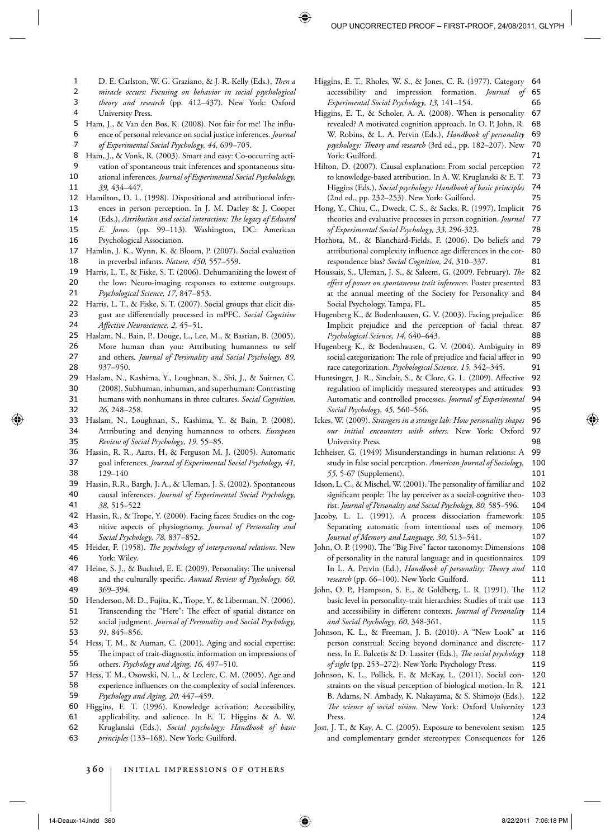- 1 D. E. Carlston, W. G. Graziano, & J. R. Kelly (Eds.), *Then a*
- 2 *miracle occurs: Focusing on behavior in social psychological*
- 4 3 theory and research (pp. 412-437). New York: Oxford University Press .
- 7 6 5 Ham, J., & Van den Bos, K. (2008). Not fair for me! The influence of personal relevance on social justice inferences . *Journal*  of Experimental Social Psychology, 44, 699-705.
- 8
- Ham, J., & Vonk, R. (2003). Smart and easy: Co-occurring acti-
- 11 10 9 vation of spontaneous trait inferences and spontaneous situational inferences . *Journal of Experimental Social Psycholology, 39,* 434 – 447 .
- 12 Hamilton, D. L. (1998). Dispositional and attributional infer-
- 13 ences in person perception. In J. M. Darley & J. Cooper
- 14 (Eds.), Attribution and social interaction: The legacy of Edward
- 16 15 E. Jones. (pp. 99-113). Washington, DC: American Psychological Association.
- 18 17 Hamlin, J. K., Wynn, K. & Bloom, P. (2007). Social evaluation in preverbal infants . *Nature, 450,* 557 – 559 .
- 20 19 Harris, L. T., & Fiske, S. T. (2006). Dehumanizing the lowest of the low: Neuro-imaging responses to extreme outgroups.
- 22 21 Psychological Science, 17, 847-853. Harris, L. T., & Fiske, S. T. (2007). Social groups that elicit dis-
- 23 gust are differentially processed in mPFC. *Social Cognitive*
- 24 *Aff ective Neuroscience, 2,* 45 – 51 .
- 25 Haslam, N., Bain, P., Douge, L., Lee, M., & Bastian, B. (2005).
- 28 27 26 More human than you: Attributing humanness to self and others . *Journal of Personality and Social Psychology, 89,* 937-950.
- 32 31 30 29 Haslam, N., Kashima, Y., Loughnan, S., Shi, J., & Suitner, C. ( 2008 ). Subhuman, inhuman, and superhuman: Contrasting humans with nonhumans in three cultures . *Social Cognition, 26,* 248 – 258 .
- 35 34 33 Haslam, N., Loughnan, S., Kashima, Y., & Bain, P. (2008). Attributing and denying humanness to others. *European Review of Social Psychology, 19,* 55 – 85 .
- 37 36 Hassin, R. R., Aarts, H, & Ferguson M. J. (2005). Automatic goal inferences . *Journal of Experimental Social Psychology, 41,*
- 39 38  $129 - 140$ Hassin, R.R., Bargh, J. A., & Uleman, J. S. (2002). Spontaneous
- 41 40 causal inferences . *Journal of Experimental Social Psychology, 38,* 515 – 522
- 42 Hassin, R., & Trope, Y. (2000). Facing faces: Studies on the cog-
- 44 43 nitive aspects of physiognomy . *Journal of Personality and Social Psychology, 78,* 837 – 852 .
- 46 45 Heider, F. (1958). *The psychology of interpersonal relations*. New York: Wiley.
- 48 47 Heine, S. J., & Buchtel, E. E. (2009). Personality: The universal and the culturally specific. Annual Review of Psychology, 60,
- 50 49 369-394. Henderson, M. D., Fujita, K., Trope, Y., & Liberman, N. (2006).
- 51
- 53 52 Transcending the "Here": The effect of spatial distance on social judgment. *Journal of Personality and Social Psychology*, *91,* 845 – 856 .
- 56 55 54 Hess, T. M., & Auman, C. (2001). Aging and social expertise: The impact of trait-diagnostic information on impressions of others. Psychology and Aging, 16, 497-510.
- 57
- 59 58 Hess, T. M., Osowski, N. L., & Leclerc, C. M. (2005). Age and experience influences on the complexity of social inferences. Psychology and Aging, 20, 447-459.
- 60 Higgins, E. T. (1996). Knowledge activation: Accessibility,
- 61 applicability, and salience . In E. T. Higgins & A. W.
- 62 Kruglanski (Eds.), *Social psychology: Handbook of basic*
- 63 principles (133-168). New York: Guilford.
	- **360** initial impressions of others
- 66 65 64 Higgins, E. T., Rholes, W. S., & Jones, C. R. (1977). Category accessibility and impression formation. *Journal Experimental Social Psychology, 13,* 141 – 154 .
- 71 70 69 68 67 Higgins, E. T., & Scholer, A. A. (2008). When is personality revealed? A motivated cognition approach. In O. P. John, R. W. Robins, & L. A. Pervin (Eds.), *Handbook of personality* psychology: Theory and research (3rd ed., pp. 182-207). New York: Guilford.
- 75 74 73 72 Hilton, D. (2007). Causal explanation: From social perception to knowledge-based attribution . In A. W. Kruglanski & E. T. Higgins (Eds.), *Social psychology: Handbook of basic principles* (2nd ed., pp. 232-253). New York: Guilford.
- 78 77 76 Hong, Y., Chiu, C., Dweck, C. S., & Sacks, R. (1997). Implicit theories and evaluative processes in person cognition . *Journal of Experimental Social Psychology, 33* , 296 - 323 .
- 81 80 79 Horhota, M., & Blanchard-Fields, F. (2006). Do beliefs and attributional complexity influence age differences in the correspondence bias? *Social Cognition, 24, 310-337*.
- 85 84 83 82 Houssais, S., Uleman, J. S., & Saleem, G. (2009. February). *The* effect of power on spontaneous trait inferences. Poster presented at the annual meeting of the Society for Personality and Social Psychology, Tampa, FL.
- 88 87 86 Hugenberg K., & Bodenhausen, G. V. (2003). Facing prejudice: Implicit prejudice and the perception of facial threat. Psychological Science, 14, 640-643.
- 91 90 89 Hugenberg K., & Bodenhausen, G. V. (2004). Ambiguity in social categorization: The role of prejudice and facial affect in race categorization. Psychological Science, 15, 342-345.
- 95 94 93 92 Huntsinger, J. R., Sinclair, S., & Clore, G. L. (2009). Affective regulation of implicitly measured stereotypes and attitudes: Automatic and controlled processes . *Journal of Experimental*  Social Psychology, 45, 560-566.
- 98 97 96 Ickes, W. (2009). *Strangers in a strange lab: How personality shapes* our initial encounters with others. New York: Oxford University Press .
- 101 100 99 Ichheiser, G. (1949) Misunderstandings in human relations: A study in false social perception . *American Journal of Sociology, 55,* 5-67 (Supplement) .
- 104 103 102 Idson, L. C., & Mischel, W. (2001). The personality of familiar and significant people: The lay perceiver as a social-cognitive theorist. Journal of Personality and Social Psychology, 80, 585-596.
- 107 106 105 Jacoby, L. L. (1991). A process dissociation framework: Separating automatic from intentional uses of memory. Journal of Memory and Language, 30, 513-541.
- 111 110 109 108 John, O. P. (1990). The "Big Five" factor taxonomy: Dimensions of personality in the natural language and in questionnaires . In L. A. Pervin (Ed.), *Handbook of personality: Theory and* research (pp. 66-100). New York: Guilford.
- 115 114 113 112 John, O. P., Hampson, S. E., & Goldberg, L. R. (1991). The basic level in personality-trait hierarchies: Studies of trait use and accessibility in different contexts. *Journal of Personality and Social Psychology, 60* , 348 - 361 .
- 119 118 117 116 Johnson, K. L., & Freeman, J. B. (2010). A "New Look" at person construal: Seeing beyond dominance and discreteness. In E. Balcetis & D. Lassiter (Eds.), *The social psychology* of sight (pp. 253-272). New York: Psychology Press.
- 124 123 B. Adams, N. Ambady, K. Nakayama, & S. Shimojo (Eds.), 122 121 120 Johnson, K. L., Pollick, F., & McKay, L. (2011). Social constraints on the visual perception of biological motion. In R. *The science of social vision*. New York: Oxford University Press .
- 126 125 Jost, J. T., & Kay, A. C. (2005). Exposure to benevolent sexism and complementary gender stereotypes: Consequences for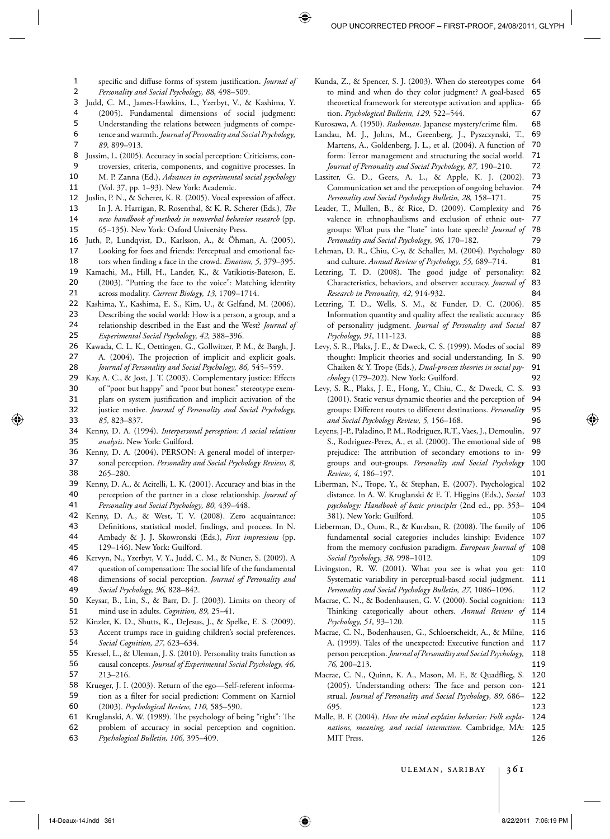- OUP UNCORRECTED PROOF FIRST-PROOF, 24/08/2011, GLYPH
- ⊕
- 4 3 2 1 specific and diffuse forms of system justification. *Journal of* Personality and Social Psychology, 88, 498-509. Judd, C. M., James-Hawkins, L., Yzerbyt, V., & Kashima, Y. (2005). Fundamental dimensions of social judgment:
- 6 5 Understanding the relations between judgments of competence and warmth . *Journal of Personality and Social Psychology,*
- 7 *89,* 899 – 913 .
- 8 Jussim, L. (2005). Accuracy in social perception: Criticisms, con-
- 10 9 troversies, criteria, components, and cognitive processes . In M. P. Zanna (Ed.), *Advances in experimental social psychology*
- 11 (Vol. 37, pp. 1-93). New York: Academic.
- 12 Juslin, P. N., & Scherer, K. R. (2005). Vocal expression of affect.
- 13 In J. A. Harrigan, R. Rosenthal, & K. R. Scherer (Eds.), *The*
- 14 *new handbook of methods in nonverbal behavior research* (pp.
- 15 65-135). New York: Oxford University Press.
- 17 16 Juth, P., Lundqvist, D., Karlsson, A., & Öhman, A. (2005). Looking for foes and friends: Perceptual and emotional fac-
- 18 tors when finding a face in the crowd. *Emotion*, 5, 379-395.
- 19 Kamachi, M., Hill, H., Lander, K., & Vatikiotis-Bateson, E.
- 21 20 (2003). "Putting the face to the voice": Matching identity across modality. *Current Biology, 13,* 1709-1714.
- 22 Kashima, Y., Kashima, E. S., Kim, U., & Gelfand, M. (2006).
- 25 24 23 Describing the social world: How is a person, a group, and a relationship described in the East and the West? *Journal of Experimental Social Psychology, 42,* 388 – 396 .
- 28 27 26 Kawada, C. L. K., Oettingen, G., Gollwitzer, P. M., & Bargh, J. A. (2004). The projection of implicit and explicit goals. *Journal of Personality and Social Psychology, 86,* 545 – 559 .
- 33 32 31 30 29 Kay, A. C., & Jost, J. T. (2003). Complementary justice: Effects of "poor but happy" and "poor but honest" stereotype exemplars on system justification and implicit activation of the justice motive. *Journal of Personality and Social Psychology*, *85,* 823 – 837 .
- 35 34 Kenny, D. A. (1994). *Interpersonal perception: A social relations* analysis. New York: Guilford.
- 38 37 36 Kenny, D. A. (2004). PERSON: A general model of interpersonal perception. *Personality and Social Psychology Review*, 8,  $265 - 280$
- 40 39 Kenny, D. A., & Acitelli, L. K. (2001). Accuracy and bias in the perception of the partner in a close relationship. *Journal of*
- 42 41 Personality and Social Psychology, 80, 439-448.
- 43 Kenny, D. A., & West, T. V. (2008). Zero acquaintance: Definitions, statistical model, findings, and process. In N.
- 45 44 Ambady & J. J. Skowronski (Eds.), *First impressions* (pp. 129-146). New York: Guilford.
- 46 Kervyn, N., Yzerbyt, V. Y., Judd, C. M., & Nuner, S. (2009). A
- 47 question of compensation: The social life of the fundamental
- 49 48 dimensions of social perception . *Journal of Personality and Social Psychology, 96,* 828 – 842 .
- 51 50 Keysar, B., Lin, S., & Barr, D. J. (2003). Limits on theory of mind use in adults. *Cognition*, 89, 25-41.
- 52 Kinzler, K. D., Shutts, K., DeJesus, J., & Spelke, E. S. (2009).
- 54 53 Accent trumps race in guiding children's social preferences. *Social Cognition, 27, 623-634.*
- 55 Kressel, L., & Uleman, J. S. (2010). Personality traits function as
- 57 56 causal concepts . *Journal of Experimental Social Psychology, 46,*  $213 - 216$ .
- 59 58 Krueger, J. I. (2003). Return of the ego-Self-referent information as a filter for social prediction: Comment on Karniol
- 60 (2003) . *Psychological Review, 110,* 585 – 590.
- 61 Kruglanski, A. W. (1989). The psychology of being "right": The
- 62 problem of accuracy in social perception and cognition.
- 63 Psychological Bulletin, 106, 395-409.
- 67 66 65 64 Kunda, Z., & Spencer, S. J. (2003). When do stereotypes come to mind and when do they color judgment? A goal-based theoretical framework for stereotype activation and application. Psychological Bulletin, 129, 522-544.
- 68 Kurosawa, A. (1950). *Rashoman*. Japanese mystery/crime film.
- 72 71 70 69 Landau, M. J., Johns, M., Greenberg, J., Pyszczynski, T., Martens, A., Goldenberg, J. L., et al. (2004). A function of form: Terror management and structuring the social world. Journal of Personality and Social Psychology, 87, 190-210.
- 75 74 73 Lassiter, G. D., Geers, A. L., & Apple, K. J. (2002). Communication set and the perception of ongoing behavior. Personality and Social Psychology Bulletin, 28, 158-171.
- 79 78 77 76 Leader, T., Mullen, B., & Rice, D. (2009). Complexity and valence in ethnophaulisms and exclusion of ethnic outgroups: What puts the "hate" into hate speech? *Journal of*  Personality and Social Psychology, 96, 170-182.
- 81 80 Lehman, D. R., Chiu, C-y, & Schaller, M. (2004). Psychology and culture. Annual Review of Psychology, 55, 689-714.
- 84 83 82 Letzring, T. D. (2008). The good judge of personality: Characteristics, behaviors, and observer accuracy . *Journal of Research in Personality, 42, 914-932.*
- 88 87 86 85 Letzring, T. D., Wells, S. M., & Funder, D. C. (2006). Information quantity and quality affect the realistic accuracy of personality judgment. *Journal of Personality and Social Psychology, 91,* 111 - 123 .
- 92 91 90 89 Levy, S. R., Plaks, J. E., & Dweck, C. S. (1999). Modes of social thought: Implicit theories and social understanding. In S. Chaiken & Y. Trope (Eds.), *Dual-process theories in social psy*chology (179-202). New York: Guilford.
- 96 95 94 93 Levy, S. R., Plaks, J. E., Hong, Y., Chiu, C., & Dweck, C. S. (2001). Static versus dynamic theories and the perception of groups: Different routes to different destinations. *Personality and Social Psychology Review, 5,* 156 – 168 .
- 101 100 99 98 97 Leyens, J-P., Paladino, P. M., Rodriguez, R.T., Vaes, J., Demoulin, S., Rodriguez-Perez, A., et al. (2000). The emotional side of prejudice: The attribution of secondary emotions to ingroups and out-groups . *Personality and Social Psychology Review, 4,* 186–197.
- 105 104 103 102 Liberman, N., Trope, Y., & Stephan, E. (2007). Psychological distance . In A. W. Kruglanski & E. T. Higgins (Eds.), *Social psychology: Handbook of basic principles* (2nd ed., pp. 353-381). New York: Guilford.
- 109 108 107 106 Lieberman, D., Oum, R., & Kurzban, R. (2008). The family of fundamental social categories includes kinship: Evidence from the memory confusion paradigm. *European Journal of* Social Psychology, 38, 998-1012.
- 112 111 110 Livingston, R. W. (2001). What you see is what you get: Systematic variability in perceptual-based social judgment. Personality and Social Psychology Bulletin, 27, 1086-1096.
- 115 114 113 Macrae, C. N., & Bodenhausen, G. V. (2000). Social cognition: Thinking categorically about others. Annual Review of *Psychology, 51,* 93 – 120 .
- 119 118 117 116 Macrae, C. N., Bodenhausen, G., Schloerscheidt, A., & Milne, A. (1999). Tales of the unexpected: Executive function and person perception . *Journal of Personality and Social Psychology, 76,* 200 – 213 .
- 123 122 121 120 Macrae, C. N., Quinn, K. A., Mason, M. F., & Quadflieg, S. (2005). Understanding others: The face and person construal. *Journal of Personality and Social Psychology*, 89, 686-695 .
- 126 125 124 Malle, B. F. (2004). How the mind explains behavior: Folk expla*nations, meaning, and social interaction* . Cambridge, MA : MIT Press.

uleman, saribay **361**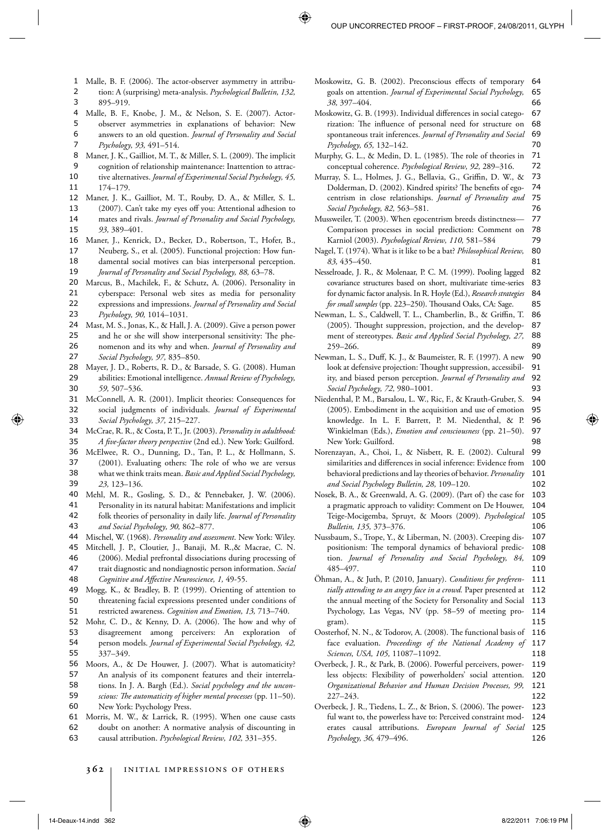- 3 2 1 Malle, B. F. (2006). The actor-observer asymmetry in attribution: A (surprising) meta-analysis . *Psychological Bulletin, 132,* 895-919.
- 4 Malle, B. F., Knobe, J. M., & Nelson, S. E. (2007). Actor-
- 6 5 observer asymmetries in explanations of behavior: New answers to an old question . *Journal of Personality and Social*
- 7 Psychology, 93, 491-514.
- 8 Maner, J. K., Gailliot, M. T., & Miller, S. L. (2009). The implicit
- 10 9 cognition of relationship maintenance: Inattention to attractive alternatives . *Journal of Experimental Social Psychology, 45,*
- 11 174 – 179.
- 12 Maner, J. K., Gailliot, M. T., Rouby, D. A., & Miller, S. L.
- 13 (2007). Can't take my eyes off you: Attentional adhesion to
- 15 14 mates and rivals . *Journal of Personality and Social Psychology, 93,* 389 – 401 .
- 17 16 Maner, J., Kenrick, D., Becker, D., Robertson, T., Hofer, B.,
- 18 Neuberg, S., et al. (2005). Functional projection: How fundamental social motives can bias interpersonal perception.
- 19 Journal of Personality and Social Psychology, 88, 63-78.
- 20 Marcus, B., Machilek, F., & Schutz, A. (2006). Personality in
- 21 cyberspace: Personal web sites as media for personality
- 23 22 expressions and impressions . *Journal of Personality and Social*  Psychology, 90, 1014-1031.
- 27 26 25 24 Mast, M. S., Jonas, K., & Hall, J. A. (2009). Give a person power and he or she will show interpersonal sensitivity: The phenomenon and its why and when . *Journal of Personality and Social Psychology, 97,* 835 – 850 .
- 30 29 28 Mayer, J. D., Roberts, R. D., & Barsade, S. G. (2008). Human abilities: Emotional intelligence . *Annual Review of Psychology, 59,* 507 – 536 .
- 33 32 31 McConnell, A. R. (2001). Implicit theories: Consequences for social judgments of individuals . *Journal of Experimental Social Psychology, 37,* 215 – 227 .
- 35 34 McCrae , R. R. , & Costa , P. T., Jr . ( 2003 ). *Personality in adulthood: A five-factor theory perspective* (2nd ed.). New York: Guilford.
- 39 38 37 36 McElwee, R. O., Dunning, D., Tan, P. L., & Hollmann, S. (2001). Evaluating others: The role of who we are versus what we think traits mean . *Basic and Applied Social Psychology, 23,* 123 – 136 .
- 40 Mehl, M. R., Gosling, S. D., & Pennebaker, J. W. (2006).
- 41 Personality in its natural habitat: Manifestations and implicit
- 43 42 folk theories of personality in daily life . *Journal of Personality*
- 44 *and Social Psychology, 90,* 862 – 877 .
- 45 Mischel, W. (1968). *Personality and assessment*. New York: Wiley.
- 46 Mitchell, J. P., Cloutier, J., Banaji, M. R., & Macrae, C. N. (2006). Medial prefrontal dissociations during processing of
- 47 trait diagnostic and nondiagnostic person information . *Social*
- 48 Cognitive and Affective Neuroscience, 1, 49-55.
- 50 49 Mogg, K., & Bradley, B. P. (1999). Orienting of attention to threatening facial expressions presented under conditions of
- 51 restricted awareness. *Cognition and Emotion*, 13, 713-740.
- 52 Mohr, C. D., & Kenny, D. A. (2006). The how and why of
- 53 disagreement among perceivers: An exploration of
- 55 54 person models . *Journal of Experimental Social Psychology, 42,* 337-349.
- 56 Moors, A., & De Houwer, J. (2007). What is automaticity?
- 57 An analysis of its component features and their interrela-
- 59 58 tions . In J. A. Bargh (Ed.). *Social psychology and the unconscious: The automaticity of higher mental processes* (pp. 11–50).
- 60 New York: Psychology Press.
- 61 Morris, M. W., & Larrick, R. (1995). When one cause casts
- 62 doubt on another: A normative analysis of discounting in
- 63 causal attribution. *Psychological Review*, 102, 331-355.
	- **362** initial impressions of others
- 66 65 64 Moskowitz, G. B. (2002). Preconscious effects of temporary goals on attention . *Journal of Experimental Social Psychology, 38,* 397 – 404 .
- 70 69 68 67 Moskowitz, G. B. (1993). Individual differences in social categorization: The influence of personal need for structure on spontaneous trait inferences . *Journal of Personality and Social*  Psychology, 65, 132-142.
- 72 71 Murphy, G. L., & Medin, D. L. (1985). The role of theories in conceptual coherence. Psychological Review, 92, 289-316.
- 76 75 74 73 Murray, S. L., Holmes, J. G., Bellavia, G., Griffin, D. W., & Dolderman, D. (2002). Kindred spirits? The benefits of egocentrism in close relationships . *Journal of Personality and Social Psychology, 82,* 563 – 581 .
- 79 78 77 Mussweiler, T. (2003). When egocentrism breeds distinctness- Comparison processes in social prediction: Comment on Karniol (2003). Psychological Review, 110, 581-584
- 81 80 Nagel, T. (1974). What is it like to be a bat? *Philosophical Review*, *83,* 435 – 450 .
- 85 84 83 82 Nesselroade, J. R., & Molenaar, P. C. M. (1999). Pooling lagged covariance structures based on short, multivariate time-series for dynamic factor analysis . In R. Hoyle (Ed.), *Research strategies for small samples* (pp. 223-250). Thousand Oaks, CA: Sage.
- 89 88 87 86 Newman, L. S., Caldwell, T. L., Chamberlin, B., & Griffin, T. (2005). Thought suppression, projection, and the development of stereotypes . *Basic and Applied Social Psychology, 27,* 259-266.
- 93 92 91 90 Newman, L. S., Duff, K. J., & Baumeister, R. F. (1997). A new look at defensive projection: Thought suppression, accessibility, and biased person perception . *Journal of Personality and*  Social Psychology, 72, 980-1001.
- 98 97 96 95 94 Niedenthal, P. M., Barsalou, L. W., Ric, F., & Krauth-Gruber, S. (2005). Embodiment in the acquisition and use of emotion knowledge. In L. F. Barrett, P. M. Niedenthal, & P. Winkielman (Eds.), *Emotion and consciousness* (pp. 21-50). New York: Guilford.
- 102 101 100 99 Norenzayan, A., Choi, I., & Nisbett, R. E. (2002). Cultural similarities and differences in social inference: Evidence from behavioral predictions and lay theories of behavior . *Personality*  and Social Psychology Bulletin, 28, 109-120.
- 106 105 104 103 Nosek, B. A., & Greenwald, A. G. (2009). (Part of) the case for a pragmatic approach to validity: Comment on De Houwer, Teige-Mocigemba, Spruyt, & Moors (2009) . *Psychological Bulletin, 135,* 373 – 376 .
- 110 109 108 107 Nussbaum, S., Trope, Y., & Liberman, N. (2003). Creeping dispositionism: The temporal dynamics of behavioral prediction . *Journal of Personality and Social Psychology, 84,* 485-497
- 115 114 113 112 111 Öhman, A., & Juth, P. (2010, January). *Conditions for preferentially attending to an angry face in a crowd.* Paper presented at the annual meeting of the Society for Personality and Social Psychology, Las Vegas, NV (pp. 58-59 of meeting program).
- 118 117 Oosterhof, N. N., & Todorov, A. (2008). The functional basis of 116 face evaluation. Proceedings of the National Academy of *Sciences, USA, 105, 11087-11092.*
- 122 121 120 119 Overbeck, J. R., & Park, B. (2006). Powerful perceivers, powerless objects: Flexibility of powerholders' social attention. *Organizational Behavior and Human Decision Processes, 99,*  $227 - 243$ .
- 126 125 124 123 Overbeck, J. R., Tiedens, L. Z., & Brion, S. (2006). The powerful want to, the powerless have to: Perceived constraint moderates causal attributions . *European Journal of Social*  Psychology, 36, 479-496.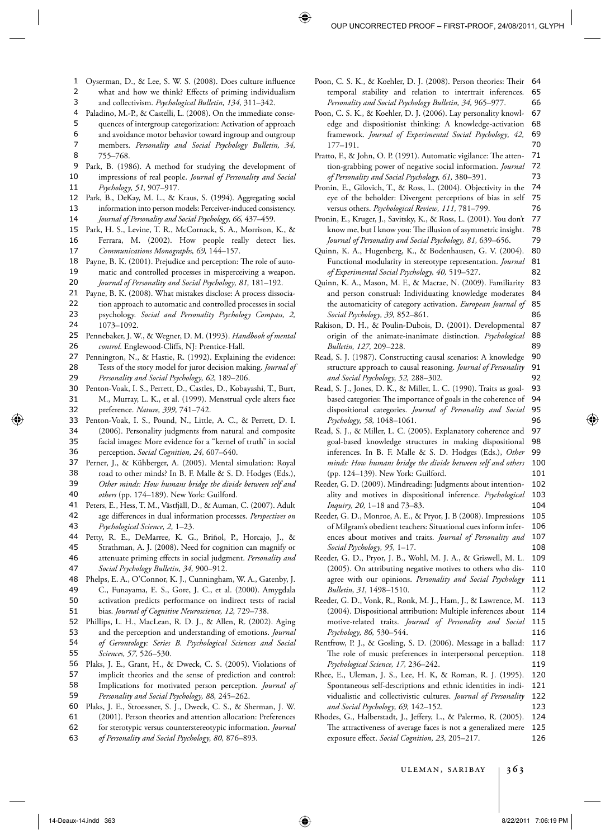- ⊕
- 3 2 1 Oyserman, D., & Lee, S. W. S. (2008). Does culture influence what and how we think? Effects of priming individualism and collectivism. *Psychological Bulletin*, 134, 311-342.
- 4 Paladino, M.-P., & Castelli, L. (2008). On the immediate conse-
- 5 quences of intergroup categorization: Activation of approach
- 7 6 and avoidance motor behavior toward ingroup and outgroup
- 8 members . *Personality and Social Psychology Bulletin, 34,* 755 – 768.
- 9 Park, B. (1986). A method for studying the development of
- 11 10 impressions of real people . *Journal of Personality and Social*  Psychology, 51, 907-917.
- 13 12 Park, B., DeKay, M. L., & Kraus, S. (1994). Aggregating social information into person models: Perceiver-induced consistency .
- 14 Journal of Personality and Social Psychology, 66, 437–459.
- 15 Park, H. S., Levine, T. R., McCornack, S. A., Morrison, K., &
- 17 16 Ferrara, M. (2002). How people really detect lies. *Communications Monographs, 69,* 144 – 157 .
- 19 18 Payne, B. K. (2001). Prejudice and perception: The role of automatic and controlled processes in misperceiving a weapon.
- 20 Journal of Personality and Social Psychology, 81, 181-192.
- 21 Payne, B. K. (2008). What mistakes disclose: A process dissocia-
- 22 tion approach to automatic and controlled processes in social
- 24 23 psychology . *Social and Personality Psychology Compass, 2,* 1073-1092.
- 26 25 Pennebaker, J. W., & Wegner, D. M. (1993). *Handbook of mental* control. Englewood-Cliffs, NJ: Prentice-Hall.
- 29 28 27 Pennington, N., & Hastie, R. (1992). Explaining the evidence: Tests of the story model for juror decision making . *Journal of*  Personality and Social Psychology, 62, 189-206.
- 32 31 30 Penton-Voak, I. S., Perrett, D., Castles, D., Kobayashi, T., Burt, M., Murray, L. K., et al. (1999). Menstrual cycle alters face preference. *Nature*, 399, 741-742.
- 36 35 34 33 Penton-Voak, I. S., Pound, N., Little, A. C., & Perrett, D. I. (2006). Personality judgments from natural and composite facial images: More evidence for a "kernel of truth" in social perception. *Social Cognition*, 24, 607-640.
- 37 Perner, J., & Kühberger, A. (2005). Mental simulation: Royal
- 38 road to other minds? In B. F. Malle & S. D. Hodges (Eds.),
- 39 *Other minds: How humans bridge the divide between self and*
- 40 others (pp. 174-189). New York: Guilford.
- 43 42 41 Peters, E., Hess, T. M., Västfjäll, D., & Auman, C. (2007). Adult age differences in dual information processes. Perspectives on *Psychological Science, 2, 1–23.*
- 44 Petty, R. E., DeMarree, K. G., Briñol, P., Horcajo, J., &
- 46 45 Strathman, A. J. (2008). Need for cognition can magnify or
- 47 attenuate priming effects in social judgment. Personality and Social Psychology Bulletin, 34, 900-912.
- 48 Phelps, E. A., O'Connor, K. J., Cunningham, W. A., Gatenby, J.
- 49 C., Funayama, E. S., Gore, J. C., et al. (2000). Amygdala
- 51 50 activation predicts performance on indirect tests of racial
- 52 bias. *Journal of Cognitive Neuroscience*, 12, 729-738. Phillips, L. H., MacLean, R. D. J., & Allen, R. (2002). Aging
- 53 and the perception and understanding of emotions . *Journal*
- 55 54 *of Gerontology: Series B. Psychological Sciences and Social*  Sciences, 57, 526-530.
- 56 Plaks, J. E., Grant, H., & Dweck, C. S. (2005). Violations of
- 57 implicit theories and the sense of prediction and control:
- 58 Implications for motivated person perception . *Journal of*
- 59 Personality and Social Psychology, 88, 245-262.
- 60 Plaks, J. E., Stroessner, S. J., Dweck, C. S., & Sherman, J. W.
- 61 (2001). Person theories and attention allocation: Preferences
- 62 for sterotypic versus counterstereotypic information . *Journal*
- 63 of Personality and Social Psychology, 80, 876-893.
- 66 65 64 Poon, C. S. K., & Koehler, D. J. (2008). Person theories: Their temporal stability and relation to intertrait inferences . Personality and Social Psychology Bulletin, 34, 965-977.
- 70 69 68 67 Poon, C. S. K., & Koehler, D. J. (2006). Lay personality knowledge and dispositionist thinking: A knowledge-activation framework . *Journal of Experimental Social Psychology, 42,* 177-191.
- 73 72 71 Pratto, F., & John, O. P. (1991). Automatic vigilance: The attention-grabbing power of negative social information . *Journal*  of Personality and Social Psychology, 61, 380-391.
- 76 75 74 Pronin, E., Gilovich, T., & Ross, L. (2004). Objectivity in the eye of the beholder: Divergent perceptions of bias in self versus others. Psychological Review, 111, 781-799.
- 79 78 77 Pronin, E., Kruger, J., Savitsky, K., & Ross, L. (2001). You don't know me, but I know you: The illusion of asymmetric insight. Journal of Personality and Social Psychology, 81, 639–656.
- 82 81 80 Quinn, K. A., Hugenberg, K., & Bodenhausen, G. V. (2004). Functional modularity in stereotype representation. *Journal of Experimental Social Psychology, 40,* 519 – 527 .
- 86 85 84 83 Quinn, K. A., Mason, M. F., & Macrae, N. (2009). Familiarity and person construal: Individuating knowledge moderates the automaticity of category activation . *European Journal of Social Psychology, 39,* 852 – 861 .
- 89 88 87 Rakison, D. H., & Poulin-Dubois, D. (2001). Developmental origin of the animate-inanimate distinction . *Psychological Bulletin, 127, 209-228.*
- 92 91 90 Read, S. J. (1987). Constructing causal scenarios: A knowledge structure approach to causal reasoning . *Journal of Personality and Social Psychology, 52,* 288 – 302 .
- 96 95 94 93 Read, S. J., Jones, D. K., & Miller, L. C. (1990). Traits as goalbased categories: The importance of goals in the coherence of dispositional categories . *Journal of Personality and Social*  Psychology, 58, 1048-1061.
- 101 100 99 98 97 Read, S. J., & Miller, L. C. (2005). Explanatory coherence and goal-based knowledge structures in making dispositional inferences . In B. F. Malle & S. D. Hodges (Eds.), *Other minds: How humans bridge the divide between self and others* (pp. 124-139). New York: Guilford.
- 104 103 102 Reeder, G. D. (2009). Mindreading: Judgments about intentionality and motives in dispositional inference . *Psychological Inquiry, 20, 1*-18 and 73-83.
- 108 107 106 105 Reeder, G. D., Monroe, A. E., & Pryor, J. B (2008). Impressions of Milgram's obedient teachers: Situational cues inform inferences about motives and traits . *Journal of Personality and Social Psychology*, 95, 1-17.
- 112 111 110 109 Reeder, G. D., Pryor, J. B., Wohl, M. J. A., & Griswell, M. L. (2005). On attributing negative motives to others who disagree with our opinions . *Personality and Social Psychology Bulletin, 31, 1498-1510.*
- 116 115 114 113 Reeder, G. D., Vonk, R., Ronk, M. J., Ham, J., & Lawrence, M. (2004). Dispositional attribution: Multiple inferences about motive-related traits . *Journal of Personality and Social*  Psychology, 86, 530-544.
- 119 118 117 Rentfrow, P. J., & Gosling, S. D. (2006). Message in a ballad: The role of music preferences in interpersonal perception. Psychological Science, 17, 236-242.
- 123 122 121 120 Rhee, E., Uleman, J. S., Lee, H. K, & Roman, R. J. (1995). Spontaneous self-descriptions and ethnic identities in individualistic and collectivistic cultures . *Journal of Personality and Social Psychology, 69,* 142 – 152 .
- 126 125 124 Rhodes, G., Halberstadt, J., Jeffery, L., & Palermo, R. (2005). The attractiveness of average faces is not a generalized mere exposure effect. *Social Cognition*, 23, 205-217.

uleman, saribay **363**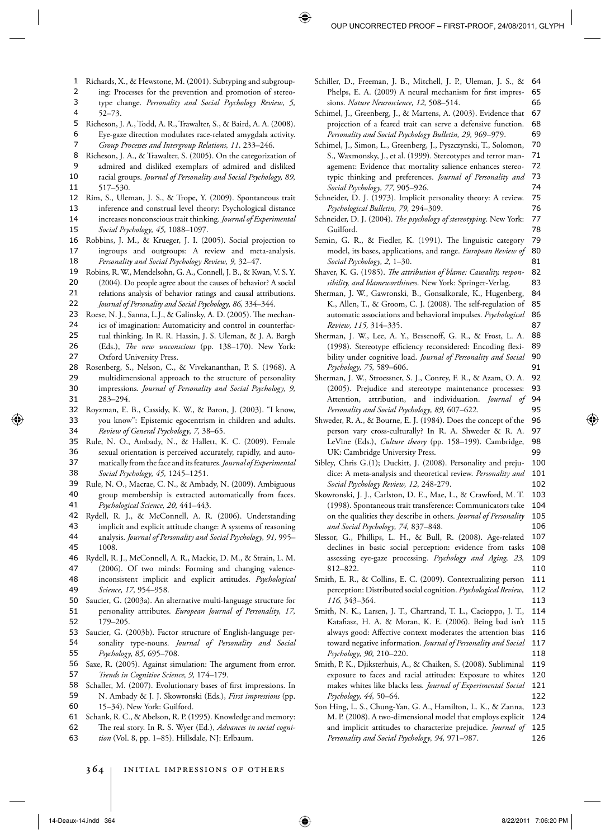- 1 Richards, X., & Hewstone, M. (2001). Subtyping and subgroup-
- 2 ing: Processes for the prevention and promotion of stereo-
- 4 3 type change. Personality and Social Psychology Review, 5,  $52 - 73$ .
- 6 5 Richeson, J. A., Todd, A. R., Trawalter, S., & Baird, A. A. (2008).
- 7 Eye-gaze direction modulates race-related amygdala activity . Group Processes and Intergroup Relations, 11, 233-246.
- 8 Richeson, J. A., & Trawalter, S. (2005). On the categorization of
- 11 10 9 admired and disliked exemplars of admired and disliked racial groups . *Journal of Personality and Social Psychology, 89,* 517-530.
- 12 Rim, S., Uleman, J. S., & Trope, Y. (2009). Spontaneous trait
- 13 inference and construal level theory: Psychological distance
- 15 14 increases nonconscious trait thinking . *Journal of Experimental*
- 17 16 *Social Psychology, 45,* 1088 – 1097 . Robbins, J. M., & Krueger, J. I. (2005). Social projection to ingroups and outgroups: A review and meta-analysis .
- 18 Personality and Social Psychology Review, 9, 32-47.
- 19 Robins, R. W., Mendelsohn, G. A., Connell, J. B., & Kwan, V. S. Y.
- 20 (2004). Do people agree about the causes of behavior? A social
- 22 21 relations analysis of behavior ratings and causal attributions . Journal of Personality and Social Psychology, 86, 334-344.
- 23 Roese, N. J., Sanna, L.J., & Galinsky, A. D. (2005). The mechan-
- 27 26 25 24 ics of imagination: Automaticity and control in counterfactual thinking. In R. R. Hassin, J. S. Uleman, & J. A. Bargh (Eds.), *The new unconscious* (pp. 138-170). New York: Oxford University Press.
- 28 Rosenberg, S., Nelson, C., & Vivekananthan, P. S. (1968). A
- 31 30 29 multidimensional approach to the structure of personality impressions . *Journal of Personality and Social Psychology, 9,* 283-294.
- 34 33 32 Royzman, E. B., Cassidy, K. W., & Baron, J. (2003). "I know, you know": Epistemic egocentrism in children and adults . *Review of General Psychology, 7,* 38 – 65 .
- 38 37 36 35 Rule, N. O., Ambady, N., & Hallett, K. C. (2009). Female sexual orientation is perceived accurately, rapidly, and automatically from the face and its features . *Journal of Experimental Social Psychology, 45,* 1245 – 1251 .
- 40 39 Rule, N. O., Macrae, C. N., & Ambady, N. (2009). Ambiguous group membership is extracted automatically from faces .
- 42 41 Psychological Science, 20, 441-443. Rydell, R. J., & McConnell, A. R. (2006). Understanding
- 43 implicit and explicit attitude change: A systems of reasoning
- 45 44 analysis. *Journal of Personality and Social Psychology*, 91, 995-1008 .
- 46 Rydell, R. J., McConnell, A. R., Mackie, D. M., & Strain, L. M.
- 47 (2006). Of two minds: Forming and changing valence-
- 49 48 inconsistent implicit and explicit attitudes . *Psychological*  Science, 17, 954-958.
- 52 51 50 Saucier, G. (2003a). An alternative multi-language structure for personality attributes. *European Journal of Personality*, 17,  $179 - 205$
- 53 Saucier, G. (2003b). Factor structure of English-language per-
- 55 54 sonality type-nouns . *Journal of Personality and Social*  Psychology, 85, 695-708.
- 57 56 Saxe, R. (2005). Against simulation: The argument from error. *Trends in Cognitive Science, 9,* 174 – 179 .
- 58 Schaller, M. (2007). Evolutionary bases of first impressions. In
- 60 59 N. Ambady & J. J. Skowronski (Eds.), *First impressions* (pp. 15-34). New York: Guilford.
- 61 Schank, R. C., & Abelson, R. P. (1995). Knowledge and memory:
- 62 The real story. In R. S. Wyer (Ed.), *Advances in social cogni-*
- 63 tion (Vol. 8, pp. 1-85). Hillsdale, NJ: Erlbaum.
	- **364** initial impressions of others
- 66 65 64 Schiller, D., Freeman, J. B., Mitchell, J. P., Uleman, J. S., & Phelps, E. A. (2009) A neural mechanism for first impressions. Nature Neuroscience, 12, 508-514.
- 69 68 67 Schimel, J., Greenberg, J., & Martens, A. (2003). Evidence that projection of a feared trait can serve a defensive function. Personality and Social Psychology Bulletin, 29, 969-979.
- 74 73 72 71 70 Schimel, J., Simon, L., Greenberg, J., Pyszczynski, T., Solomon, S., Waxmonsky, J., et al. (1999). Stereotypes and terror management: Evidence that mortality salience enhances stereotypic thinking and preferences . *Journal of Personality and*  Social Psychology, 77, 905-926.
- 76 75 Schneider, D. J. (1973). Implicit personality theory: A review. Psychological Bulletin, 79, 294-309.
- 78 77 Schneider, D. J. (2004). *The psychology of stereotyping*. New York: Guilford.
- 81 80 79 Semin, G. R., & Fiedler, K. (1991). The linguistic category model, its bases, applications, and range . *European Review of*  Social Psychology, 2, 1–30.
- 83 82 Shaver, K. G. (1985). The attribution of blame: Causality, responsibility, and blameworthiness. New York: Springer-Verlag.
- 87 86 85 84 Sherman, J. W., Gawronski, B., Gonsalkorale, K., Hugenberg, K., Allen, T., & Groom, C. J. (2008). The self-regulation of automatic associations and behavioral impulses . *Psychological Review, 115,* 314 – 335 .
- 91 90 89 88 Sherman, J. W., Lee, A. Y., Bessenoff, G. R., & Frost, L. A. (1998). Stereotype efficiency reconsidered: Encoding flexibility under cognitive load. *Journal of Personality and Social Psychology, 75,* 589 – 606 .
- 95 94 93 92 Sherman, J. W., Stroessner, S. J., Conrey, F. R., & Azam, O. A. (2005). Prejudice and stereotype maintenance processes: Attention, attribution, and individuation . *Journal of*  Personality and Social Psychology, 89, 607-622.
- 99 98 97 96 Shweder, R. A., & Bourne, E. J. (1984). Does the concept of the person vary cross-culturally? In R. A. Shweder & R. A. LeVine (Eds.), *Culture theory* (pp. 158-199). Cambridge, UK: Cambridge University Press.
- 102 101 100 Sibley, Chris G.(1); Duckitt, J. (2008). Personality and prejudice: A meta-analysis and theoretical review . *Personality and Social Psychology Review, 12* , 248 - 279 .
- 106 105 104 103 Skowronski, J. J., Carlston, D. E., Mae, L., & Crawford, M. T. (1998). Spontaneous trait transference: Communicators take on the qualities they describe in others . *Journal of Personality and Social Psychology, 74,* 837 – 848 .
- 110 109 108 107 Slessor, G., Phillips, L. H., & Bull, R. (2008). Age-related declines in basic social perception: evidence from tasks assessing eye-gaze processing . *Psychology and Aging, 23,*  $812 - 822$
- 113 112 111 Smith, E. R., & Collins, E. C. (2009). Contextualizing person perception: Distributed social cognition . *Psychological Review, 116,* 343 – 364 .
- 118 117 116 115 114 Smith, N. K., Larsen, J. T., Chartrand, T. L., Cacioppo, J. T., Katafiasz, H. A. & Moran, K. E. (2006). Being bad isn't always good: Affective context moderates the attention bias toward negative information . *Journal of Personality and Social*  Psychology, 90, 210–220.
- 122 121 120 119 Smith, P. K., Djiksterhuis, A., & Chaiken, S. (2008). Subliminal exposure to faces and racial attitudes: Exposure to whites makes whites like blacks less . *Journal of Experimental Social*  Psychology, 44, 50-64.
- 126 125 124 123 Son Hing, L. S., Chung-Yan, G. A., Hamilton, L. K., & Zanna, M. P. (2008). A two-dimensional model that employs explicit and implicit attitudes to characterize prejudice . *Journal of*  Personality and Social Psychology, 94, 971-987.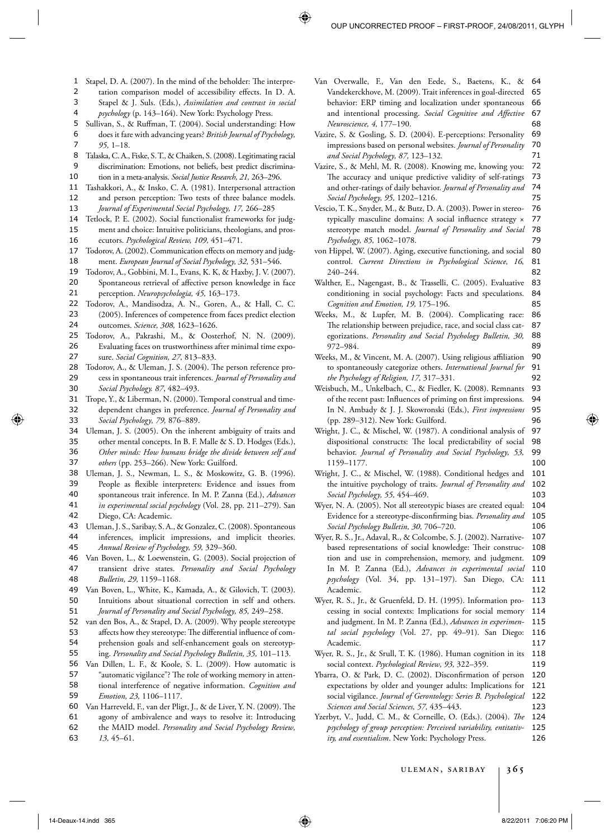

- ⊕
- 2 1 Stapel, D. A. (2007). In the mind of the beholder: The interpre-
- 3 tation comparison model of accessibility effects. In D. A. Stapel & J. Suls. (Eds.), *Assimilation and contrast in social*
- 4 *psychology* (p. 143–164). New York: Psychology Press.
- 5 Sullivan, S., & Ruffman, T. (2004). Social understanding: How
- 7 6 does it fare with advancing years? *British Journal of Psychology,*  95, 1-18.
- 9 8 Talaska, C. A., Fiske, S. T., & Chaiken, S. (2008). Legitimating racial discrimination: Emotions, not beliefs, best predict discrimina-
- 10 tion in a meta-analysis. *Social Justice Research*, 21, 263–296.
- 12 11 Tashakkori, A., & Insko, C. A. (1981). Interpersonal attraction and person perception: Two tests of three balance models .
- 13 Journal of Experimental Social Psychology, 17, 266-285
- 15 14 Tetlock, P. E. (2002). Social functionalist frameworks for judgment and choice: Intuitive politicians, theologians, and pros-
- 16 ecutors. Psychological Review, 109, 451-471.
- 18 17 Todorov, A. (2002). Communication effects on memory and judgment . *European Journal of Social Psychology, 32,* 531 – 546 .
- 19 Todorov, A., Gobbini, M. I., Evans, K. K, & Haxby, J. V. (2007).
- 20 Spontaneous retrieval of affective person knowledge in face
- 21 perception. *Neuropsychologia*, 45, 163-173. Todorov, A., Mandisodza, A. N., Goren, A., & Hall, C. C.
- 23 22 (2005). Inferences of competence from faces predict election
- 24 outcomes. Science, 308, 1623-1626.
- 27 26 25 Todorov, A., Pakrashi, M., & Oosterhof, N. N. (2009). Evaluating faces on trustworthiness after minimal time exposure. *Social Cognition*, 27, 813-833.
- 28 Todorov, A., & Uleman, J. S. (2004). The person reference pro-
- 30 29 cess in spontaneous trait inferences . *Journal of Personality and Social Psychology. 87* , 482 – 493 .
- 33 32 31 Trope, Y., & Liberman, N. (2000). Temporal construal and timedependent changes in preference . *Journal of Personality and Social Psychology, 79,* 876 – 889 .
- 35 34 Uleman, J. S. (2005). On the inherent ambiguity of traits and other mental concepts . In B. F. Malle & S. D. Hodges (Eds.),
- 37 36 *Other minds: How humans bridge the divide between self and*  others (pp. 253-266). New York: Guilford.
- 38 Uleman, J. S., Newman, L. S., & Moskowitz, G. B. (1996).
- 39 People as flexible interpreters: Evidence and issues from
- 40 spontaneous trait inference . In M. P. Zanna (Ed.), *Advances*
- 42 41 *in experimental social psychology* (Vol. 28, pp. 211-279). San Diego, CA: Academic.
- 44 43 Uleman, J. S., Saribay, S. A., & Gonzalez, C. (2008). Spontaneous inferences, implicit impressions, and implicit theories.
- 45 *Annual Review of Psychology, 59,* 329 – 360 .
- 47 46 Van Boven, L., & Loewenstein, G. (2003). Social projection of
- 48 transient drive states . *Personality and Social Psychology Bulletin, 29, 1159-1168.*
- 51 50 49 Van Boven, L., White, K., Kamada, A., & Gilovich, T. (2003). Intuitions about situational correction in self and others.
- 52 *Journal of Personality and Social Psychology, 85,* 249 – 258 .
- 53 van den Bos, A., & Stapel, D. A. (2009). Why people stereotype affects how they stereotype: The differential influence of com-
- 54 prehension goals and self-enhancement goals on stereotyp-
- 56 55 ing. Personality and Social Psychology Bulletin, 35, 101-113.
- 57 Van Dillen, L. F., & Koole, S. L. (2009). How automatic is
- 59 58 "automatic vigilance"? The role of working memory in attentional interference of negative information . *Cognition and Emotion, 23, 1106-1117.*
- 60 Van Harreveld, F., van der Pligt, J., & de Liver, Y. N. (2009). The
- 61 agony of ambivalence and ways to resolve it: Introducing
- 63 62 the MAID model. *Personality and Social Psychology Review*, *13*, 45–61.
- 68 67 66 65 64 Van Overwalle, F., Van den Eede, S., Baetens, K., & Vandekerckhove, M. (2009). Trait inferences in goal-directed behavior: ERP timing and localization under spontaneous and intentional processing. *Social Cognitive and Affective Neuroscience, 4,* 177 – 190 .
- 71 70 69 Vazire, S. & Gosling, S. D. (2004). E-perceptions: Personality impressions based on personal websites . *Journal of Personality*  and Social Psychology, 87, 123-132.
- 75 74 73 72 Vazire, S., & Mehl, M. R. (2008). Knowing me, knowing you: The accuracy and unique predictive validity of self-ratings and other-ratings of daily behavior . *Journal of Personality and*  Social Psychology, 95, 1202-1216.
- 79 78 77 76 Vescio, T. K., Snyder, M., & Butz, D. A. (2003). Power in stereotypically masculine domains: A social influence strategy  $\times$ stereotype match model . *Journal of Personality and Social*  Psychology, 85, 1062-1078.
- 82 81 80 von Hippel, W. (2007). Aging, executive functioning, and social control . *Current Directions in Psychological Science, 16,* 240-244.
- 85 84 83 Walther, E., Nagengast, B., & Trasselli, C. (2005). Evaluative conditioning in social psychology: Facts and speculations . *Cognition and Emotion, 19, 175-196.*
- 89 88 87 86 Weeks, M., & Lupfer, M. B. (2004). Complicating race: The relationship between prejudice, race, and social class categorizations. Personality and Social Psychology Bulletin, 30, 972-984.
- 92 91 90 Weeks, M., & Vincent, M. A. (2007). Using religious affiliation to spontaneously categorize others . *International Journal for*  the Psychology of Religion, 17, 317-331.
- 96 95 94 93 Weisbuch, M., Unkelbach, C., & Fiedler, K. (2008). Remnants of the recent past: Influences of priming on first impressions. In N. Ambady & J. J. Skowronski (Eds.), *First impressions* (pp. 289–312). New York: Guilford.
- 100 99 98 97 Wright, J. C., & Mischel, W. (1987). A conditional analysis of dispositional constructs: The local predictability of social behavior . *Journal of Personality and Social Psychology, 53,* 1159-1177.
- 103 102 101 Wright, J. C., & Mischel, W. (1988). Conditional hedges and the intuitive psychology of traits . *Journal of Personality and*  Social Psychology, 55, 454-469.
- 106 105 104 Wyer, N. A. (2005). Not all stereotypic biases are created equal: Evidence for a stereotype-disconfirming bias. Personality and *Social Psychology Bulletin, 30,* 706 – 720.
- 112 111 110 109 108 107 Wyer, R. S., Jr., Adaval, R., & Colcombe, S. J. (2002). Narrativebased representations of social knowledge: Their construction and use in comprehension, memory, and judgment. In M. P. Zanna (Ed.), *Advances in experimental social psychology* (Vol. 34, pp. 131–197). San Diego, CA: Academic.
- 117 116 115 114 113 Wyer, R. S., Jr., & Gruenfeld, D. H. (1995). Information processing in social contexts: Implications for social memory and judgment. In M. P. Zanna (Ed.), Advances in experimental social psychology (Vol. 27, pp. 49-91). San Diego: Academic.
- 119 118 Wyer, R. S., Jr., & Srull, T. K. (1986). Human cognition in its social context. Psychological Review, 93, 322-359.
- 123 122 121 120 Ybarra, O. & Park, D. C. (2002). Disconfirmation of person expectations by older and younger adults: Implications for social vigilance . *Journal of Gerontology: Series B. Psychological Sciences and Social Sciences, 57,* 435 – 443 .
- 126 125 124 Yzerbyt, V., Judd, C. M., & Corneille, O. (Eds.). (2004). *The psychology of group perception: Perceived variability, entitativ*ity, and essentialism. New York: Psychology Press.

ULEMAN, SARIBAY